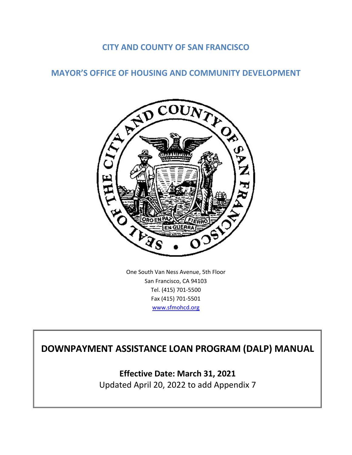## **CITY AND COUNTY OF SAN FRANCISCO**

## **MAYOR'S OFFICE OF HOUSING AND COMMUNITY DEVELOPMENT**



One South Van Ness Avenue, 5th Floor San Francisco, CA 94103 Tel. (415) 701-5500 Fax (415) 701-5501 [www.sfmohcd.org](http://www.sfmohcd.org/)

# **DOWNPAYMENT ASSISTANCE LOAN PROGRAM (DALP) MANUAL**

**Effective Date: March 31, 2021** Updated April 20, 2022 to add Appendix 7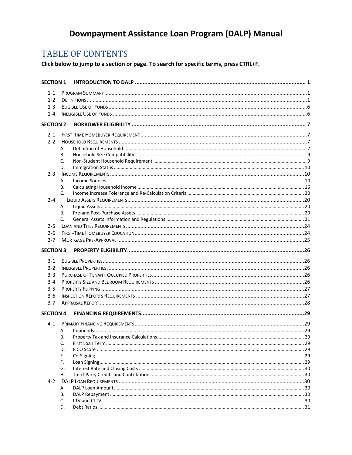# Downpayment Assistance Loan Program (DALP) Manual

# **TABLE OF CONTENTS**

Click below to jump to a section or page. To search for specific terms, press CTRL+F.

| <b>SECTION 1</b> |          |  |
|------------------|----------|--|
| $1 - 1$          |          |  |
| $1 - 2$          |          |  |
| $1 - 3$          |          |  |
| $1 - 4$          |          |  |
| <b>SECTION 2</b> |          |  |
| $2 - 1$          |          |  |
| $2 - 2$          |          |  |
|                  | А.       |  |
|                  | В.       |  |
|                  | C.       |  |
|                  | D.       |  |
| $2 - 3$          |          |  |
|                  | А.       |  |
|                  | В.       |  |
|                  | C.       |  |
| $2 - 4$          |          |  |
|                  | А.       |  |
|                  | В.       |  |
|                  | C.       |  |
| $2 - 5$          |          |  |
| $2 - 6$          |          |  |
| $2 - 7$          |          |  |
|                  |          |  |
| <b>SECTION 3</b> |          |  |
| $3 - 1$          |          |  |
| $3-2$            |          |  |
| $3 - 3$          |          |  |
| $3 - 4$          |          |  |
| $3 - 5$          |          |  |
|                  |          |  |
| $3 - 6$          |          |  |
| $3 - 7$          |          |  |
| <b>SECTION 4</b> |          |  |
| $4 - 1$          |          |  |
|                  | А.       |  |
|                  | В.       |  |
|                  | C.       |  |
|                  | D.       |  |
|                  | Е.       |  |
|                  | F.       |  |
|                  | G.       |  |
|                  | Η.       |  |
| $4 - 2$          |          |  |
|                  | А.       |  |
|                  | В.       |  |
|                  | C.<br>D. |  |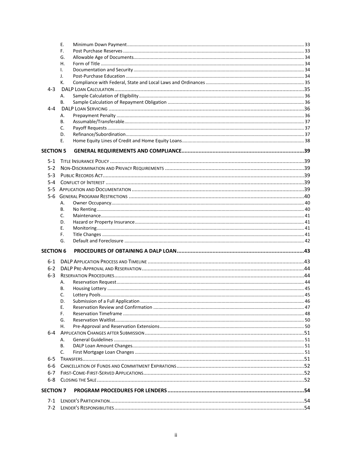|                  | Ε.       |  |
|------------------|----------|--|
|                  | F.       |  |
|                  | G.       |  |
|                  | Η.       |  |
|                  | I.       |  |
|                  | J.       |  |
|                  | К.       |  |
| $4 - 3$          |          |  |
|                  | А.       |  |
|                  | В.       |  |
| $4 - 4$          |          |  |
|                  | А.       |  |
|                  | В.       |  |
|                  | C.       |  |
|                  | D.       |  |
|                  | Е.       |  |
| <b>SECTION 5</b> |          |  |
| $5-1$            |          |  |
| $5-2$            |          |  |
| $5-3$            |          |  |
| 5-4              |          |  |
|                  |          |  |
|                  |          |  |
|                  |          |  |
|                  | А.       |  |
|                  | В.       |  |
|                  | C.       |  |
|                  | D.       |  |
|                  | Е.       |  |
|                  | F.<br>G. |  |
|                  |          |  |
| <b>SECTION 6</b> |          |  |
| ճ-1              |          |  |
| $6-2$            |          |  |
| $6 - 3$          |          |  |
|                  | А.       |  |
|                  | В.       |  |
|                  | C.       |  |
|                  | D.       |  |
|                  | Е.       |  |
|                  | F.       |  |
|                  |          |  |
|                  | G.       |  |
|                  | Н.       |  |
| $6-4$            |          |  |
|                  | А.       |  |
|                  | В.       |  |
|                  | C.       |  |
| $6 - 5$          |          |  |
| 6-6              |          |  |
| 6-7              |          |  |
|                  |          |  |
| $6 - 8$          |          |  |
| <b>SECTION 7</b> |          |  |
| 7-1<br>$7-2$     |          |  |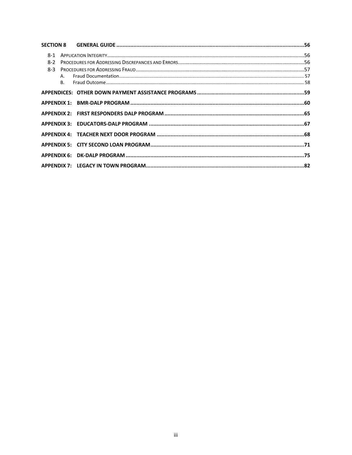| 8-1   |  |
|-------|--|
| $8-2$ |  |
| $8-3$ |  |
|       |  |
|       |  |
|       |  |
|       |  |
|       |  |
|       |  |
|       |  |
|       |  |
|       |  |
|       |  |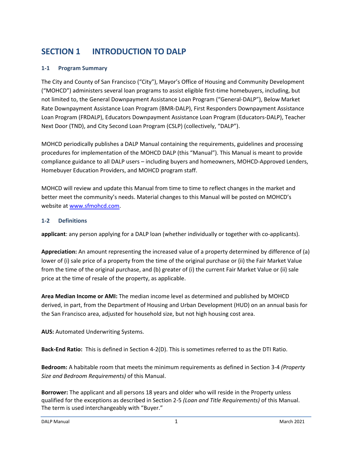# <span id="page-4-0"></span>**SECTION 1 INTRODUCTION TO DALP**

### <span id="page-4-1"></span>**1-1 Program Summary**

The City and County of San Francisco ("City"), Mayor's Office of Housing and Community Development ("MOHCD") administers several loan programs to assist eligible first-time homebuyers, including, but not limited to, the General Downpayment Assistance Loan Program ("General-DALP"), Below Market Rate Downpayment Assistance Loan Program (BMR-DALP), First Responders Downpayment Assistance Loan Program (FRDALP), Educators Downpayment Assistance Loan Program (Educators-DALP), Teacher Next Door (TND), and City Second Loan Program (CSLP) (collectively, "DALP").

MOHCD periodically publishes a DALP Manual containing the requirements, guidelines and processing procedures for implementation of the MOHCD DALP (this "Manual"). This Manual is meant to provide compliance guidance to all DALP users – including buyers and homeowners, MOHCD-Approved Lenders, Homebuyer Education Providers, and MOHCD program staff.

MOHCD will review and update this Manual from time to time to reflect changes in the market and better meet the community's needs. Material changes to this Manual will be posted on MOHCD's website at [www.sfmohcd.com.](http://www.sfmohcd.com./)

### <span id="page-4-2"></span>**1-2 Definitions**

**applicant**: any person applying for a DALP loan (whether individually or together with co-applicants).

**Appreciation:** An amount representing the increased value of a property determined by difference of (a) lower of (i) sale price of a property from the time of the original purchase or (ii) the Fair Market Value from the time of the original purchase, and (b) greater of (i) the current Fair Market Value or (ii) sale price at the time of resale of the property, as applicable.

**Area Median Income or AMI:** The median income level as determined and published by MOHCD derived, in part, from the Department of Housing and Urban Development (HUD) on an annual basis for the San Francisco area, adjusted for household size, but not high housing cost area.

**AUS:** Automated Underwriting Systems.

**Back-End Ratio:** This is defined in Section 4-2(D). This is sometimes referred to as the DTI Ratio.

**Bedroom:** A habitable room that meets the minimum requirements as defined in Section 3-4 *(Property Size and Bedroom Requirements)* of this Manual.

**Borrower:** The applicant and all persons 18 years and older who will reside in the Property unless qualified for the exceptions as described in Section 2-5 *(Loan and Title Requirements)* of this Manual. The term is used interchangeably with "Buyer."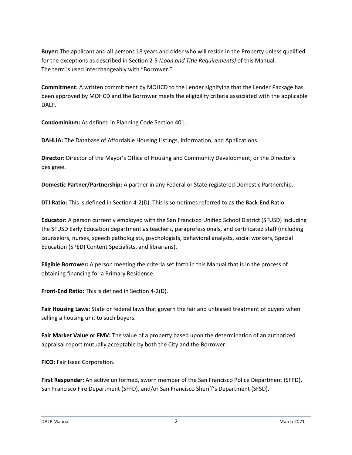**Buyer:** The applicant and all persons 18 years and older who will reside in the Property unless qualified for the exceptions as described in Section 2-5 *(Loan and Title Requirements)* of this Manual. The term is used interchangeably with "Borrower."

**Commitment:** A written commitment by MOHCD to the Lender signifying that the Lender Package has been approved by MOHCD and the Borrower meets the eligibility criteria associated with the applicable DALP.

**Condominium:** As defined in Planning Code Section 401.

**DAHLIA:** The Database of Affordable Housing Listings, Information, and Applications.

**Director:** Director of the Mayor's Office of Housing and Community Development, or the Director's designee.

**Domestic Partner/Partnership:** A partner in any Federal or State registered Domestic Partnership.

**DTI Ratio:** This is defined in Section 4-2(D). This is sometimes referred to as the Back-End Ratio.

**Educator:** A person currently employed with the San Francisco Unified School District (SFUSD) including the SFUSD Early Education department as teachers, paraprofessionals, and certificated staff (including counselors, nurses, speech pathologists, psychologists, behavioral analysts, social workers, Special Education (SPED) Content Specialists, and librarians).

**Eligible Borrower:** A person meeting the criteria set forth in this Manual that is in the process of obtaining financing for a Primary Residence.

**Front-End Ratio:** This is defined in Section 4-2(D).

**Fair Housing Laws:** State or federal laws that govern the fair and unbiased treatment of buyers when selling a housing unit to such buyers.

**Fair Market Value or FMV:** The value of a property based upon the determination of an authorized appraisal report mutually acceptable by both the City and the Borrower.

**FICO:** Fair Isaac Corporation.

**First Responder:** An active uniformed, sworn member of the San Francisco Police Department (SFPD), San Francisco Fire Department (SFFD), and/or San Francisco Sheriff's Department (SFSD).

DALP Manual 2 March 2021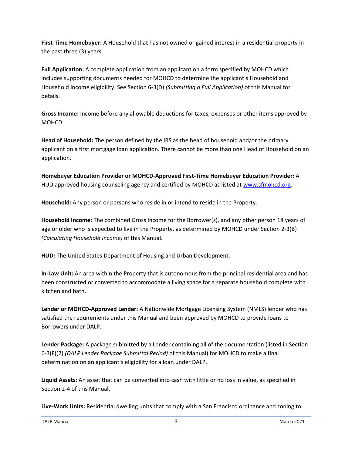**First-Time Homebuyer:** A Household that has not owned or gained interest in a residential property in the past three (3) years.

**Full Application:** A complete application from an applicant on a form specified by MOHCD which includes supporting documents needed for MOHCD to determine the applicant's Household and Household Income eligibility. See Section 6-3(D) *(Submitting a Full Application)* of this Manual for details.

**Gross Income:** Income before any allowable deductions for taxes, expenses or other items approved by MOHCD.

**Head of Household:** The person defined by the IRS as the head of household and/or the primary applicant on a first mortgage loan application. There cannot be more than one Head of Household on an application.

**Homebuyer Education Provider or MOHCD-Approved First-Time Homebuyer Education Provider:** A HUD approved housing counseling agency and certified by MOHCD as listed at [www.sfmohcd.org.](file:///C:/Users/BMcCloskey/AppData/Local/Microsoft/Windows/Temporary%20Internet%20Files/Content.Outlook/90V8OEVD/www.sfmohcd.org)

**Household:** Any person or persons who reside in or intend to reside in the Property.

**Household Income:** The combined Gross Income for the Borrower(s), and any other person 18 years of age or older who is expected to live in the Property, as determined by MOHCD under Section 2-3(B) *(Calculating Household Income)* of this Manual.

**HUD:** The United States Department of Housing and Urban Development.

**In-Law Unit:** An area within the Property that is autonomous from the principal residential area and has been constructed or converted to accommodate a living space for a separate household complete with kitchen and bath.

**Lender or MOHCD-Approved Lender:** A Nationwide Mortgage Licensing System (NMLS) lender who has satisfied the requirements under this Manual and been approved by MOHCD to provide loans to Borrowers under DALP.

**Lender Package:** A package submitted by a Lender containing all of the documentation (listed in Section 6-3(F)(2) *(DALP Lender Package Submittal Period)* of this Manual) for MOHCD to make a final determination on an applicant's eligibility for a loan under DALP.

**Liquid Assets:** An asset that can be converted into cash with little or no loss in value, as specified in Section 2-4 of this Manual.

**Live-Work Units:** Residential dwelling units that comply with a San Francisco ordinance and zoning to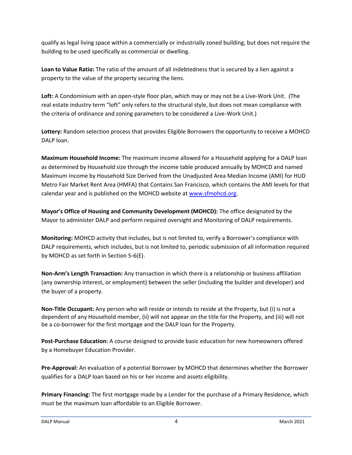qualify as legal living space within a commercially or industrially zoned building, but does not require the building to be used specifically as commercial or dwelling.

**Loan to Value Ratio:** The ratio of the amount of all indebtedness that is secured by a lien against a property to the value of the property securing the liens.

**Loft:** A Condominium with an open-style floor plan, which may or may not be a Live-Work Unit. (The real estate industry term "loft" only refers to the structural style, but does not mean compliance with the criteria of ordinance and zoning parameters to be considered a Live-Work Unit.)

**Lottery:** Random selection process that provides Eligible Borrowers the opportunity to receive a MOHCD DALP loan.

**Maximum Household Income:** The maximum income allowed for a Household applying for a DALP loan as determined by Household size through the income table produced annually by MOHCD and named Maximum Income by Household Size Derived from the Unadjusted Area Median Income (AMI) for HUD Metro Fair Market Rent Area (HMFA) that Contains San Francisco, which contains the AMI levels for that calendar year and is published on the MOHCD website at [www.sfmohcd.org.](file:///C:/Users/BMcCloskey/AppData/Local/Microsoft/Windows/Temporary%20Internet%20Files/Content.Outlook/90V8OEVD/www.sfmohcd.org)

**Mayor's Office of Housing and Community Development (MOHCD):** The office designated by the Mayor to administer DALP and perform required oversight and Monitoring of DALP requirements.

**Monitoring:** MOHCD activity that includes, but is not limited to, verify a Borrower's compliance with DALP requirements, which includes, but is not limited to, periodic submission of all information required by MOHCD as set forth in Section 5-6(E).

**Non-Arm's Length Transaction:** Any transaction in which there is a relationship or business affiliation (any ownership interest, or employment) between the seller (including the builder and developer) and the buyer of a property.

**Non-Title Occupant:** Any person who will reside or intends to reside at the Property, but (i) is not a dependent of any Household member, (ii) will not appear on the title for the Property, and (iii) will not be a co-borrower for the first mortgage and the DALP loan for the Property.

**Post-Purchase Education:** A course designed to provide basic education for new homeowners offered by a Homebuyer Education Provider.

**Pre-Approval:** An evaluation of a potential Borrower by MOHCD that determines whether the Borrower qualifies for a DALP loan based on his or her income and assets eligibility.

**Primary Financing:** The first mortgage made by a Lender for the purchase of a Primary Residence, which must be the maximum loan affordable to an Eligible Borrower.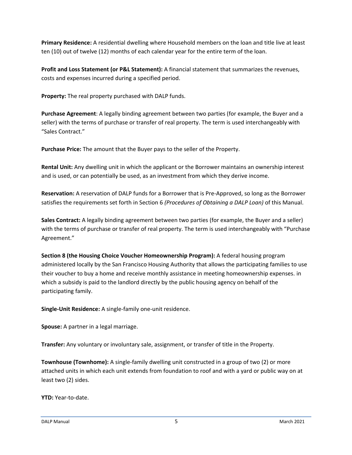**Primary Residence:** A residential dwelling where Household members on the loan and title live at least ten (10) out of twelve (12) months of each calendar year for the entire term of the loan.

**Profit and Loss Statement (or P&L Statement):** A financial statement that summarizes the revenues, costs and expenses incurred during a specified period.

**Property:** The real property purchased with DALP funds.

**Purchase Agreement**: A legally binding agreement between two parties (for example, the Buyer and a seller) with the terms of purchase or transfer of real property. The term is used interchangeably with "Sales Contract."

**Purchase Price:** The amount that the Buyer pays to the seller of the Property.

**Rental Unit:** Any dwelling unit in which the applicant or the Borrower maintains an ownership interest and is used, or can potentially be used, as an investment from which they derive income.

**Reservation:** A reservation of DALP funds for a Borrower that is Pre-Approved, so long as the Borrower satisfies the requirements set forth in Section 6 *(Procedures of Obtaining a DALP Loan)* of this Manual.

**Sales Contract:** A legally binding agreement between two parties (for example, the Buyer and a seller) with the terms of purchase or transfer of real property. The term is used interchangeably with "Purchase Agreement."

**Section 8 (the Housing Choice Voucher Homeownership Program):** A federal housing program administered locally by the San Francisco Housing Authority that allows the participating families to use their voucher to buy a home and receive monthly assistance in meeting homeownership expenses. in which a subsidy is paid to the landlord directly by the public housing agency on behalf of the participating family.

**Single-Unit Residence:** A single-family one-unit residence.

**Spouse:** A partner in a legal marriage.

**Transfer:** Any voluntary or involuntary sale, assignment, or transfer of title in the Property.

**Townhouse (Townhome):** A single-family dwelling unit constructed in a group of two (2) or more attached units in which each unit extends from foundation to roof and with a yard or public way on at least two (2) sides.

**YTD:** Year-to-date.

DALP Manual 5 March 2021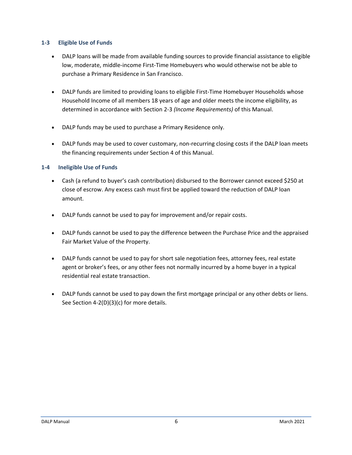#### <span id="page-9-0"></span>**1-3 Eligible Use of Funds**

- DALP loans will be made from available funding sources to provide financial assistance to eligible low, moderate, middle-income First-Time Homebuyers who would otherwise not be able to purchase a Primary Residence in San Francisco.
- DALP funds are limited to providing loans to eligible First-Time Homebuyer Households whose Household Income of all members 18 years of age and older meets the income eligibility, as determined in accordance with Section 2-3 *(Income Requirements)* of this Manual.
- DALP funds may be used to purchase a Primary Residence only.
- DALP funds may be used to cover customary, non-recurring closing costs if the DALP loan meets the financing requirements under Section 4 of this Manual.

### <span id="page-9-1"></span>**1-4 Ineligible Use of Funds**

- Cash (a refund to buyer's cash contribution) disbursed to the Borrower cannot exceed \$250 at close of escrow. Any excess cash must first be applied toward the reduction of DALP loan amount.
- DALP funds cannot be used to pay for improvement and/or repair costs.
- DALP funds cannot be used to pay the difference between the Purchase Price and the appraised Fair Market Value of the Property.
- DALP funds cannot be used to pay for short sale negotiation fees, attorney fees, real estate agent or broker's fees, or any other fees not normally incurred by a home buyer in a typical residential real estate transaction.
- DALP funds cannot be used to pay down the first mortgage principal or any other debts or liens. See Section 4-2(D)(3)(c) for more details.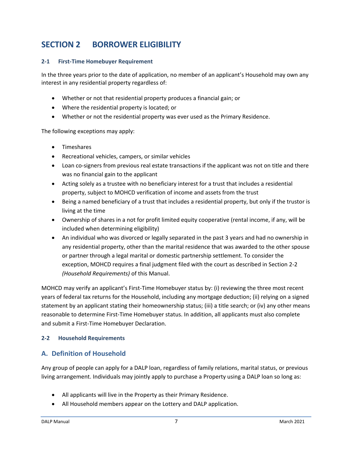# <span id="page-10-0"></span>**SECTION 2 BORROWER ELIGIBILITY**

### <span id="page-10-1"></span>**2-1 First-Time Homebuyer Requirement**

In the three years prior to the date of application, no member of an applicant's Household may own any interest in any residential property regardless of:

- Whether or not that residential property produces a financial gain; or
- Where the residential property is located; or
- Whether or not the residential property was ever used as the Primary Residence.

The following exceptions may apply:

- Timeshares
- Recreational vehicles, campers, or similar vehicles
- Loan co-signers from previous real estate transactions if the applicant was not on title and there was no financial gain to the applicant
- Acting solely as a trustee with no beneficiary interest for a trust that includes a residential property, subject to MOHCD verification of income and assets from the trust
- Being a named beneficiary of a trust that includes a residential property, but only if the trustor is living at the time
- Ownership of shares in a not for profit limited equity cooperative (rental income, if any, will be included when determining eligibility)
- An individual who was divorced or legally separated in the past 3 years and had no ownership in any residential property, other than the marital residence that was awarded to the other spouse or partner through a legal marital or domestic partnership settlement. To consider the exception, MOHCD requires a final judgment filed with the court as described in Section 2-2 *(Household Requirements)* of this Manual.

MOHCD may verify an applicant's First-Time Homebuyer status by: (i) reviewing the three most recent years of federal tax returns for the Household, including any mortgage deduction; (ii) relying on a signed statement by an applicant stating their homeownership status; (iii) a title search; or (iv) any other means reasonable to determine First-Time Homebuyer status. In addition, all applicants must also complete and submit a First-Time Homebuyer Declaration.

### <span id="page-10-2"></span>**2-2 Household Requirements**

### <span id="page-10-3"></span>**A. Definition of Household**

Any group of people can apply for a DALP loan, regardless of family relations, marital status, or previous living arrangement. Individuals may jointly apply to purchase a Property using a DALP loan so long as:

- All applicants will live in the Property as their Primary Residence.
- All Household members appear on the Lottery and DALP application.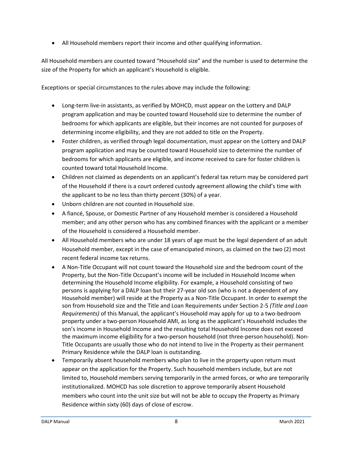• All Household members report their income and other qualifying information.

All Household members are counted toward "Household size" and the number is used to determine the size of the Property for which an applicant's Household is eligible.

Exceptions or special circumstances to the rules above may include the following:

- Long-term live-in assistants, as verified by MOHCD, must appear on the Lottery and DALP program application and may be counted toward Household size to determine the number of bedrooms for which applicants are eligible, but their incomes are not counted for purposes of determining income eligibility, and they are not added to title on the Property.
- Foster children, as verified through legal documentation, must appear on the Lottery and DALP program application and may be counted toward Household size to determine the number of bedrooms for which applicants are eligible, and income received to care for foster children is counted toward total Household Income.
- Children not claimed as dependents on an applicant's federal tax return may be considered part of the Household if there is a court ordered custody agreement allowing the child's time with the applicant to be no less than thirty percent (30%) of a year.
- Unborn children are not counted in Household size.
- A fiancé, Spouse, or Domestic Partner of any Household member is considered a Household member; and any other person who has any combined finances with the applicant or a member of the Household is considered a Household member.
- All Household members who are under 18 years of age must be the legal dependent of an adult Household member, except in the case of emancipated minors, as claimed on the two (2) most recent federal income tax returns.
- A Non-Title Occupant will not count toward the Household size and the bedroom count of the Property, but the Non-Title Occupant's income will be included in Household Income when determining the Household Income eligibility. For example, a Household consisting of two persons is applying for a DALP loan but their 27-year old son (who is not a dependent of any Household member) will reside at the Property as a Non-Title Occupant. In order to exempt the son from Household size and the Title and Loan Requirements under Section 2-5 *(Title and Loan Requirements)* of this Manual, the applicant's Household may apply for up to a two-bedroom property under a two-person Household AMI, as long as the applicant's Household includes the son's income in Household Income and the resulting total Household Income does not exceed the maximum income eligibility for a two-person household (not three-person household). Non-Title Occupants are usually those who do not intend to live in the Property as their permanent Primary Residence while the DALP loan is outstanding.
- Temporarily absent household members who plan to live in the property upon return must appear on the application for the Property. Such household members include, but are not limited to, Household members serving temporarily in the armed forces, or who are temporarily institutionalized. MOHCD has sole discretion to approve temporarily absent Household members who count into the unit size but will not be able to occupy the Property as Primary Residence within sixty (60) days of close of escrow.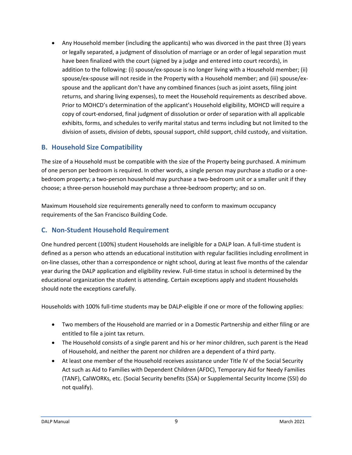• Any Household member (including the applicants) who was divorced in the past three (3) years or legally separated, a judgment of dissolution of marriage or an order of legal separation must have been finalized with the court (signed by a judge and entered into court records), in addition to the following: (i) spouse/ex-spouse is no longer living with a Household member; (ii) spouse/ex-spouse will not reside in the Property with a Household member; and (iii) spouse/exspouse and the applicant don't have any combined finances (such as joint assets, filing joint returns, and sharing living expenses), to meet the Household requirements as described above. Prior to MOHCD's determination of the applicant's Household eligibility, MOHCD will require a copy of court-endorsed, final judgment of dissolution or order of separation with all applicable exhibits, forms, and schedules to verify marital status and terms including but not limited to the division of assets, division of debts, spousal support, child support, child custody, and visitation.

### <span id="page-12-0"></span>**B. Household Size Compatibility**

The size of a Household must be compatible with the size of the Property being purchased. A minimum of one person per bedroom is required. In other words, a single person may purchase a studio or a onebedroom property; a two-person household may purchase a two-bedroom unit or a smaller unit if they choose; a three-person household may purchase a three-bedroom property; and so on.

Maximum Household size requirements generally need to conform to maximum occupancy requirements of the San Francisco Building Code.

### <span id="page-12-1"></span>**C. Non-Student Household Requirement**

One hundred percent (100%) student Households are ineligible for a DALP loan. A full-time student is defined as a person who attends an educational institution with regular facilities including enrollment in on-line classes, other than a correspondence or night school, during at least five months of the calendar year during the DALP application and eligibility review. Full-time status in school is determined by the educational organization the student is attending. Certain exceptions apply and student Households should note the exceptions carefully.

Households with 100% full-time students may be DALP-eligible if one or more of the following applies:

- Two members of the Household are married or in a Domestic Partnership and either filing or are entitled to file a joint tax return.
- The Household consists of a single parent and his or her minor children, such parent is the Head of Household, and neither the parent nor children are a dependent of a third party.
- At least one member of the Household receives assistance under Title IV of the Social Security Act such as Aid to Families with Dependent Children (AFDC), Temporary Aid for Needy Families (TANF), CalWORKs, etc. (Social Security benefits (SSA) or Supplemental Security Income (SSI) do not qualify).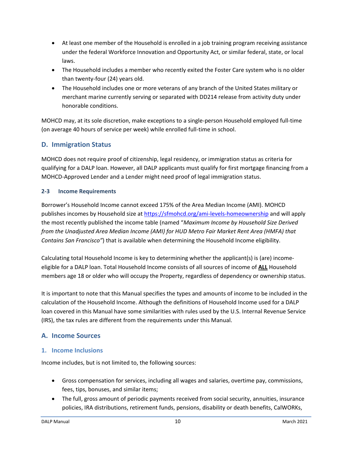- At least one member of the Household is enrolled in a job training program receiving assistance under the federal Workforce Innovation and Opportunity Act, or similar federal, state, or local laws.
- The Household includes a member who recently exited the Foster Care system who is no older than twenty-four (24) years old.
- The Household includes one or more veterans of any branch of the United States military or merchant marine currently serving or separated with DD214 release from activity duty under honorable conditions.

MOHCD may, at its sole discretion, make exceptions to a single-person Household employed full-time (on average 40 hours of service per week) while enrolled full-time in school.

### <span id="page-13-0"></span>**D. Immigration Status**

MOHCD does not require proof of citizenship, legal residency, or immigration status as criteria for qualifying for a DALP loan. However, all DALP applicants must qualify for first mortgage financing from a MOHCD-Approved Lender and a Lender might need proof of legal immigration status.

### <span id="page-13-1"></span>**2-3 Income Requirements**

Borrower's Household Income cannot exceed 175% of the Area Median Income (AMI). MOHCD publishes incomes by Household size at <https://sfmohcd.org/ami-levels-homeownership> and will apply the most recently published the income table (named "*Maximum Income by Household Size Derived from the Unadjusted Area Median Income (AMI) for HUD Metro Fair Market Rent Area (HMFA) that Contains San Francisco"*) that is available when determining the Household Income eligibility.

Calculating total Household Income is key to determining whether the applicant(s) is (are) incomeeligible for a DALP loan. Total Household Income consists of all sources of income of **ALL** Household members age 18 or older who will occupy the Property, regardless of dependency or ownership status.

It is important to note that this Manual specifies the types and amounts of income to be included in the calculation of the Household Income. Although the definitions of Household Income used for a DALP loan covered in this Manual have some similarities with rules used by the U.S. Internal Revenue Service (IRS), the tax rules are different from the requirements under this Manual.

### <span id="page-13-2"></span>**A. Income Sources**

### **1. Income Inclusions**

Income includes, but is not limited to, the following sources:

- Gross compensation for services, including all wages and salaries, overtime pay, commissions, fees, tips, bonuses, and similar items;
- The full, gross amount of periodic payments received from social security, annuities, insurance policies, IRA distributions, retirement funds, pensions, disability or death benefits, CalWORKs,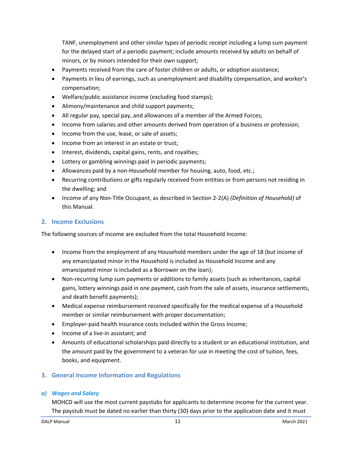TANF, unemployment and other similar types of periodic receipt including a lump sum payment for the delayed start of a periodic payment; include amounts received by adults on behalf of minors, or by minors intended for their own support;

- Payments received from the care of foster children or adults, or adoption assistance;
- Payments in lieu of earnings, such as unemployment and disability compensation, and worker's compensation;
- Welfare/public assistance income (excluding food stamps);
- Alimony/maintenance and child support payments;
- All regular pay, special pay, and allowances of a member of the Armed Forces;
- Income from salaries and other amounts derived from operation of a business or profession;
- Income from the use, lease, or sale of assets;
- Income from an interest in an estate or trust;
- Interest, dividends, capital gains, rents, and royalties;
- Lottery or gambling winnings paid in periodic payments;
- Allowances paid by a non-Household member for housing, auto, food, etc.;
- Recurring contributions or gifts regularly received from entities or from persons not residing in the dwelling; and
- Income of any Non-Title Occupant, as described in Section 2-2(A) *(Definition of Household)* of this Manual.

### **2. Income Exclusions**

The following sources of income are excluded from the total Household Income:

- Income from the employment of any Household members under the age of 18 (but income of any emancipated minor in the Household is included as Household Income and any emancipated minor is included as a Borrower on the loan);
- Non-recurring lump sum payments or additions to family assets (such as inheritances, capital gains, lottery winnings paid in one payment, cash from the sale of assets, insurance settlements, and death benefit payments);
- Medical expense reimbursement received specifically for the medical expense of a Household member or similar reimbursement with proper documentation;
- Employer-paid health insurance costs included within the Gross Income;
- Income of a live-in assistant; and
- Amounts of educational scholarships paid directly to a student or an educational institution, and the amount paid by the government to a veteran for use in meeting the cost of tuition, fees, books, and equipment.

### **3. General Income Information and Regulations**

### *a) Wages and Salary*

MOHCD will use the most current paystubs for applicants to determine income for the current year. The paystub must be dated no earlier than thirty (30) days prior to the application date and it must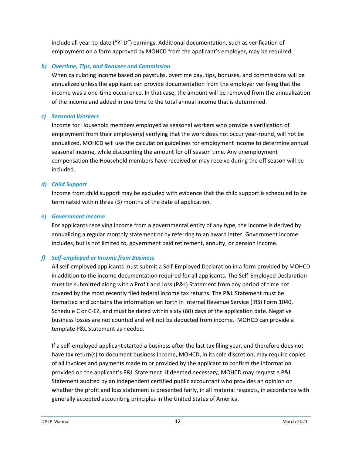include all year-to-date ("YTD") earnings. Additional documentation, such as verification of employment on a form approved by MOHCD from the applicant's employer, may be required.

### *b) Overtime, Tips, and Bonuses and Commission*

When calculating income based on paystubs, overtime pay, tips, bonuses, and commissions will be annualized unless the applicant can provide documentation from the employer verifying that the income was a one-time occurrence. In that case, the amount will be removed from the annualization of the income and added in one time to the total annual income that is determined.

### *c) Seasonal Workers*

Income for Household members employed as seasonal workers who provide a verification of employment from their employer(s) verifying that the work does not occur year-round, will not be annualized. MOHCD will use the calculation guidelines for employment income to determine annual seasonal income, while discounting the amount for off season time. Any unemployment compensation the Household members have received or may receive during the off season will be included.

### *d) Child Support*

Income from child support may be excluded with evidence that the child support is scheduled to be terminated within three (3) months of the date of application.

### *e) Government Income*

For applicants receiving income from a governmental entity of any type, the income is derived by annualizing a regular monthly statement or by referring to an award letter. Government income includes, but is not limited to, government paid retirement, annuity, or pension income.

### *f) Self-employed or Income from Business*

All self-employed applicants must submit a Self-Employed Declaration in a form provided by MOHCD in addition to the income documentation required for all applicants. The Self-Employed Declaration must be submitted along with a Profit and Loss (P&L) Statement from any period of time not covered by the most recently filed federal income tax returns. The P&L Statement must be formatted and contains the information set forth in Internal Revenue Service (IRS) Form 1040, Schedule C or C-EZ, and must be dated within sixty (60) days of the application date. Negative business losses are not counted and will not be deducted from income. MOHCD can provide a template P&L Statement as needed.

If a self-employed applicant started a business after the last tax filing year, and therefore does not have tax return(s) to document business income, MOHCD, in its sole discretion, may require copies of all invoices and payments made to or provided by the applicant to confirm the information provided on the applicant's P&L Statement. If deemed necessary, MOHCD may request a P&L Statement audited by an independent certified public accountant who provides an opinion on whether the profit and loss statement is presented fairly, in all material respects, in accordance with generally accepted accounting principles in the United States of America.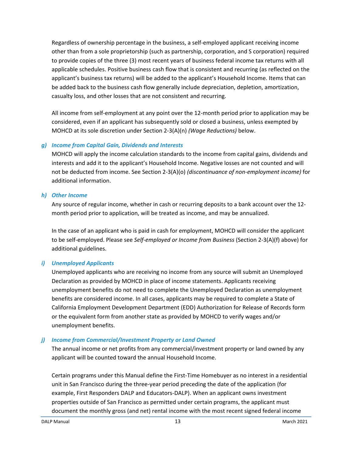Regardless of ownership percentage in the business, a self-employed applicant receiving income other than from a sole proprietorship (such as partnership, corporation, and S corporation) required to provide copies of the three (3) most recent years of business federal income tax returns with all applicable schedules. Positive business cash flow that is consistent and recurring (as reflected on the applicant's business tax returns) will be added to the applicant's Household Income. Items that can be added back to the business cash flow generally include depreciation, depletion, amortization, casualty loss, and other losses that are not consistent and recurring.

All income from self-employment at any point over the 12-month period prior to application may be considered, even if an applicant has subsequently sold or closed a business, unless exempted by MOHCD at its sole discretion under Section 2-3(A)(n) *(Wage Reductions)* below.

#### *g) Income from Capital Gain, Dividends and Interests*

MOHCD will apply the income calculation standards to the income from capital gains, dividends and interests and add it to the applicant's Household Income. Negative losses are not counted and will not be deducted from income. See Section 2-3(A)(o) *(discontinuance of non-employment income)* for additional information.

#### *h) Other Income*

Any source of regular income, whether in cash or recurring deposits to a bank account over the 12 month period prior to application, will be treated as income, and may be annualized.

In the case of an applicant who is paid in cash for employment, MOHCD will consider the applicant to be self-employed. Please see *Self-employed or Income from Business* (Section 2-3(A)(f) above) for additional guidelines.

### *i) Unemployed Applicants*

Unemployed applicants who are receiving no income from any source will submit an Unemployed Declaration as provided by MOHCD in place of income statements. Applicants receiving unemployment benefits do not need to complete the Unemployed Declaration as unemployment benefits are considered income. In all cases, applicants may be required to complete a State of California Employment Development Department (EDD) Authorization for Release of Records form or the equivalent form from another state as provided by MOHCD to verify wages and/or unemployment benefits.

### *j) Income from Commercial/Investment Property or Land Owned*

The annual income or net profits from any commercial/investment property or land owned by any applicant will be counted toward the annual Household Income.

Certain programs under this Manual define the First-Time Homebuyer as no interest in a residential unit in San Francisco during the three-year period preceding the date of the application (for example, First Responders DALP and Educators-DALP). When an applicant owns investment properties outside of San Francisco as permitted under certain programs, the applicant must document the monthly gross (and net) rental income with the most recent signed federal income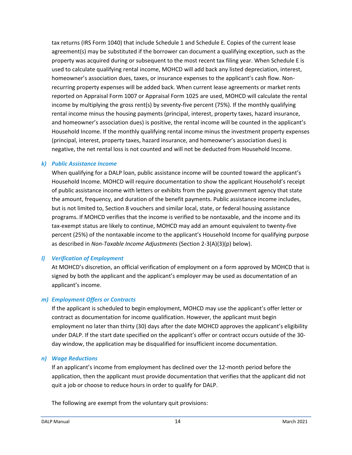tax returns (IRS Form 1040) that include Schedule 1 and Schedule E. Copies of the current lease agreement(s) may be substituted if the borrower can document a qualifying exception, such as the property was acquired during or subsequent to the most recent tax filing year. When Schedule E is used to calculate qualifying rental income, MOHCD will add back any listed depreciation, interest, homeowner's association dues, taxes, or insurance expenses to the applicant's cash flow. Nonrecurring property expenses will be added back. When current lease agreements or market rents reported on Appraisal Form 1007 or Appraisal Form 1025 are used, MOHCD will calculate the rental income by multiplying the gross rent(s) by seventy-five percent (75%). If the monthly qualifying rental income minus the housing payments (principal, interest, property taxes, hazard insurance, and homeowner's association dues) is positive, the rental income will be counted in the applicant's Household Income. If the monthly qualifying rental income minus the investment property expenses (principal, interest, property taxes, hazard insurance, and homeowner's association dues) is negative, the net rental loss is not counted and will not be deducted from Household Income.

#### *k) Public Assistance Income*

When qualifying for a DALP loan, public assistance income will be counted toward the applicant's Household Income. MOHCD will require documentation to show the applicant Household's receipt of public assistance income with letters or exhibits from the paying government agency that state the amount, frequency, and duration of the benefit payments. Public assistance income includes, but is not limited to, Section 8 vouchers and similar local, state, or federal housing assistance programs. If MOHCD verifies that the income is verified to be nontaxable, and the income and its tax-exempt status are likely to continue, MOHCD may add an amount equivalent to twenty-five percent (25%) of the nontaxable income to the applicant's Household Income for qualifying purpose as described in *Non-Taxable Income Adjustments* (Section 2-3(A)(3)(p) below).

### *l) Verification of Employment*

At MOHCD's discretion, an official verification of employment on a form approved by MOHCD that is signed by both the applicant and the applicant's employer may be used as documentation of an applicant's income.

### *m) Employment Offers or Contracts*

If the applicant is scheduled to begin employment, MOHCD may use the applicant's offer letter or contract as documentation for income qualification. However, the applicant must begin employment no later than thirty (30) days after the date MOHCD approves the applicant's eligibility under DALP. If the start date specified on the applicant's offer or contract occurs outside of the 30 day window, the application may be disqualified for insufficient income documentation.

### *n) Wage Reductions*

If an applicant's income from employment has declined over the 12-month period before the application, then the applicant must provide documentation that verifies that the applicant did not quit a job or choose to reduce hours in order to qualify for DALP.

The following are exempt from the voluntary quit provisions: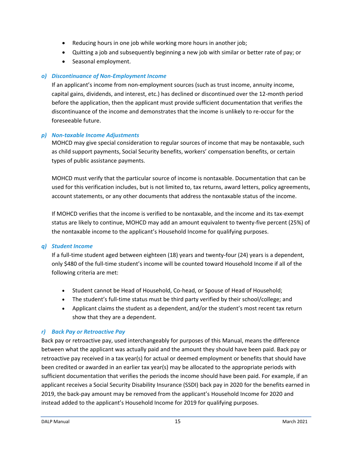- Reducing hours in one job while working more hours in another job;
- Quitting a job and subsequently beginning a new job with similar or better rate of pay; or
- Seasonal employment.

### *o) Discontinuance of Non-Employment Income*

If an applicant's income from non-employment sources (such as trust income, annuity income, capital gains, dividends, and interest, etc.) has declined or discontinued over the 12-month period before the application, then the applicant must provide sufficient documentation that verifies the discontinuance of the income and demonstrates that the income is unlikely to re-occur for the foreseeable future.

### *p) Non-taxable Income Adjustments*

MOHCD may give special consideration to regular sources of income that may be nontaxable, such as child support payments, Social Security benefits, workers' compensation benefits, or certain types of public assistance payments.

MOHCD must verify that the particular source of income is nontaxable. Documentation that can be used for this verification includes, but is not limited to, tax returns, award letters, policy agreements, account statements, or any other documents that address the nontaxable status of the income.

If MOHCD verifies that the income is verified to be nontaxable, and the income and its tax-exempt status are likely to continue, MOHCD may add an amount equivalent to twenty-five percent (25%) of the nontaxable income to the applicant's Household Income for qualifying purposes.

### *q) Student Income*

If a full-time student aged between eighteen (18) years and twenty-four (24) years is a dependent, only \$480 of the full-time student's income will be counted toward Household Income if all of the following criteria are met:

- Student cannot be Head of Household, Co-head, or Spouse of Head of Household;
- The student's full-time status must be third party verified by their school/college; and
- Applicant claims the student as a dependent, and/or the student's most recent tax return show that they are a dependent.

### *r) Back Pay or Retroactive Pay*

Back pay or retroactive pay, used interchangeably for purposes of this Manual, means the difference between what the applicant was actually paid and the amount they should have been paid. Back pay or retroactive pay received in a tax year(s) for actual or deemed employment or benefits that should have been credited or awarded in an earlier tax year(s) may be allocated to the appropriate periods with sufficient documentation that verifies the periods the income should have been paid. For example, if an applicant receives a Social Security Disability Insurance (SSDI) back pay in 2020 for the benefits earned in 2019, the back-pay amount may be removed from the applicant's Household Income for 2020 and instead added to the applicant's Household Income for 2019 for qualifying purposes.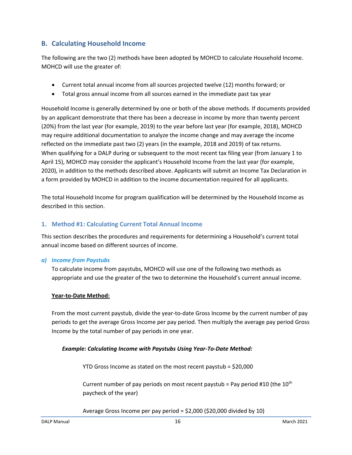### <span id="page-19-0"></span>**B. Calculating Household Income**

The following are the two (2) methods have been adopted by MOHCD to calculate Household Income. MOHCD will use the greater of:

- Current total annual income from all sources projected twelve (12) months forward; or
- Total gross annual income from all sources earned in the immediate past tax year

Household Income is generally determined by one or both of the above methods. If documents provided by an applicant demonstrate that there has been a decrease in income by more than twenty percent (20%) from the last year (for example, 2019) to the year before last year (for example, 2018), MOHCD may require additional documentation to analyze the income change and may average the income reflected on the immediate past two (2) years (in the example, 2018 and 2019) of tax returns. When qualifying for a DALP during or subsequent to the most recent tax filing year (from January 1 to April 15), MOHCD may consider the applicant's Household Income from the last year (for example, 2020), in addition to the methods described above. Applicants will submit an Income Tax Declaration in a form provided by MOHCD in addition to the income documentation required for all applicants.

The total Household Income for program qualification will be determined by the Household Income as described in this section.

### **1. Method #1: Calculating Current Total Annual Income**

This section describes the procedures and requirements for determining a Household's current total annual income based on different sources of income.

### *a) Income from Paystubs*

To calculate income from paystubs, MOHCD will use one of the following two methods as appropriate and use the greater of the two to determine the Household's current annual income.

### **Year-to-Date Method:**

From the most current paystub, divide the year-to-date Gross Income by the current number of pay periods to get the average Gross Income per pay period. Then multiply the average pay period Gross Income by the total number of pay periods in one year.

### *Example: Calculating Income with Paystubs Using Year-To-Date Method:*

YTD Gross Income as stated on the most recent paystub = \$20,000

Current number of pay periods on most recent paystub = Pay period #10 (the  $10^{th}$ paycheck of the year)

Average Gross Income per pay period = \$2,000 (\$20,000 divided by 10)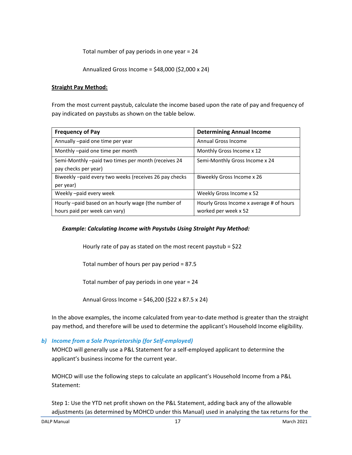Total number of pay periods in one year = 24

Annualized Gross Income = \$48,000 (\$2,000 x 24)

#### **Straight Pay Method:**

From the most current paystub, calculate the income based upon the rate of pay and frequency of pay indicated on paystubs as shown on the table below.

| <b>Frequency of Pay</b>                               | <b>Determining Annual Income</b>         |
|-------------------------------------------------------|------------------------------------------|
| Annually -paid one time per year                      | <b>Annual Gross Income</b>               |
| Monthly -paid one time per month                      | Monthly Gross Income x 12                |
| Semi-Monthly -paid two times per month (receives 24   | Semi-Monthly Gross Income x 24           |
| pay checks per year)                                  |                                          |
| Biweekly-paid every two weeks (receives 26 pay checks | Biweekly Gross Income x 26               |
| per year)                                             |                                          |
| Weekly-paid every week                                | Weekly Gross Income x 52                 |
| Hourly -paid based on an hourly wage (the number of   | Hourly Gross Income x average # of hours |
| hours paid per week can vary)                         | worked per week x 52                     |

#### *Example: Calculating Income with Paystubs Using Straight Pay Method:*

Hourly rate of pay as stated on the most recent paystub = \$22

Total number of hours per pay period = 87.5

Total number of pay periods in one year = 24

Annual Gross Income = \$46,200 (\$22 x 87.5 x 24)

In the above examples, the income calculated from year-to-date method is greater than the straight pay method, and therefore will be used to determine the applicant's Household Income eligibility.

#### *b) Income from a Sole Proprietorship (for Self-employed)*

MOHCD will generally use a P&L Statement for a self-employed applicant to determine the applicant's business income for the current year.

MOHCD will use the following steps to calculate an applicant's Household Income from a P&L Statement:

Step 1: Use the YTD net profit shown on the P&L Statement, adding back any of the allowable adjustments (as determined by MOHCD under this Manual) used in analyzing the tax returns for the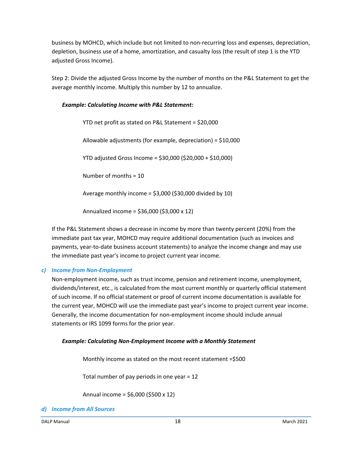business by MOHCD, which include but not limited to non-recurring loss and expenses, depreciation, depletion, business use of a home, amortization, and casualty loss (the result of step 1 is the YTD adjusted Gross Income).

Step 2: Divide the adjusted Gross Income by the number of months on the P&L Statement to get the average monthly income. Multiply this number by 12 to annualize.

### *Example: Calculating Income with P&L Statement:*

YTD net profit as stated on P&L Statement = \$20,000 Allowable adjustments (for example, depreciation) = \$10,000 YTD adjusted Gross Income = \$30,000 (\$20,000 + \$10,000) Number of months = 10 Average monthly income =  $$3,000$  ( $$30,000$  divided by 10) Annualized income = \$36,000 (\$3,000 x 12)

If the P&L Statement shows a decrease in income by more than twenty percent (20%) from the immediate past tax year, MOHCD may require additional documentation (such as invoices and payments, year-to-date business account statements) to analyze the income change and may use the immediate past year's income to project current year income.

### *c) Income from Non-Employment*

Non-employment income, such as trust income, pension and retirement income, unemployment, dividends/interest, etc., is calculated from the most current monthly or quarterly official statement of such income. If no official statement or proof of current income documentation is available for the current year, MOHCD will use the immediate past year's income to project current year income. Generally, the income documentation for non-employment income should include annual statements or IRS 1099 forms for the prior year.

### *Example: Calculating Non-Employment Income with a Monthly Statement*

Monthly income as stated on the most recent statement =\$500

Total number of pay periods in one year = 12

Annual income = \$6,000 (\$500 x 12)

*d) Income from All Sources*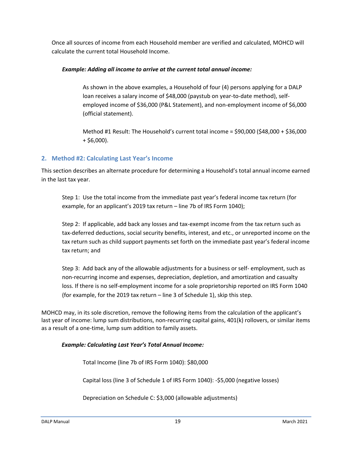Once all sources of income from each Household member are verified and calculated, MOHCD will calculate the current total Household Income.

### *Example: Adding all income to arrive at the current total annual income:*

As shown in the above examples, a Household of four (4) persons applying for a DALP loan receives a salary income of \$48,000 (paystub on year-to-date method), selfemployed income of \$36,000 (P&L Statement), and non-employment income of \$6,000 (official statement).

Method #1 Result: The Household's current total income = \$90,000 (\$48,000 + \$36,000  $+$  \$6,000).

### **2. Method #2: Calculating Last Year's Income**

This section describes an alternate procedure for determining a Household's total annual income earned in the last tax year.

Step 1: Use the total income from the immediate past year's federal income tax return (for example, for an applicant's 2019 tax return – line 7b of IRS Form 1040);

Step 2: If applicable, add back any losses and tax-exempt income from the tax return such as tax-deferred deductions, social security benefits, interest, and etc., or unreported income on the tax return such as child support payments set forth on the immediate past year's federal income tax return; and

Step 3: Add back any of the allowable adjustments for a business or self- employment, such as non-recurring income and expenses, depreciation, depletion, and amortization and casualty loss. If there is no self-employment income for a sole proprietorship reported on IRS Form 1040 (for example, for the 2019 tax return – line 3 of Schedule 1), skip this step.

MOHCD may, in its sole discretion, remove the following items from the calculation of the applicant's last year of income: lump sum distributions, non-recurring capital gains, 401(k) rollovers, or similar items as a result of a one-time, lump sum addition to family assets.

### *Example: Calculating Last Year's Total Annual Income:*

Total Income (line 7b of IRS Form 1040): \$80,000

Capital loss (line 3 of Schedule 1 of IRS Form 1040): -\$5,000 (negative losses)

Depreciation on Schedule C: \$3,000 (allowable adjustments)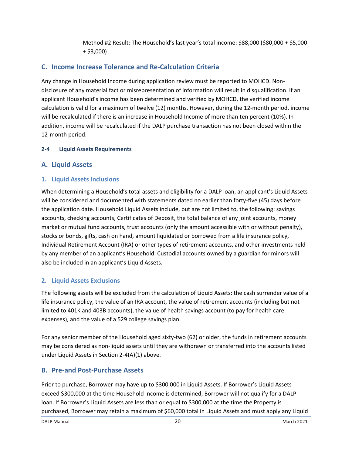Method #2 Result: The Household's last year's total income: \$88,000 (\$80,000 + \$5,000 + \$3,000)

### <span id="page-23-0"></span>**C. Income Increase Tolerance and Re-Calculation Criteria**

Any change in Household Income during application review must be reported to MOHCD. Nondisclosure of any material fact or misrepresentation of information will result in disqualification. If an applicant Household's income has been determined and verified by MOHCD, the verified income calculation is valid for a maximum of twelve (12) months. However, during the 12-month period, income will be recalculated if there is an increase in Household Income of more than ten percent (10%). In addition, income will be recalculated if the DALP purchase transaction has not been closed within the 12-month period.

### <span id="page-23-1"></span>**2-4 Liquid Assets Requirements**

### <span id="page-23-2"></span>**A. Liquid Assets**

### **1. Liquid Assets Inclusions**

When determining a Household's total assets and eligibility for a DALP loan, an applicant's Liquid Assets will be considered and documented with statements dated no earlier than forty-five (45) days before the application date. Household Liquid Assets include, but are not limited to, the following: savings accounts, checking accounts, Certificates of Deposit, the total balance of any joint accounts, money market or mutual fund accounts, trust accounts (only the amount accessible with or without penalty), stocks or bonds, gifts, cash on hand, amount liquidated or borrowed from a life insurance policy, Individual Retirement Account (IRA) or other types of retirement accounts, and other investments held by any member of an applicant's Household. Custodial accounts owned by a guardian for minors will also be included in an applicant's Liquid Assets.

### **2. Liquid Assets Exclusions**

The following assets will be excluded from the calculation of Liquid Assets: the cash surrender value of a life insurance policy, the value of an IRA account, the value of retirement accounts (including but not limited to 401K and 403B accounts), the value of health savings account (to pay for health care expenses), and the value of a 529 college savings plan.

For any senior member of the Household aged sixty-two (62) or older, the funds in retirement accounts may be considered as non-liquid assets until they are withdrawn or transferred into the accounts listed under Liquid Assets in Section 2-4(A)(1) above.

### <span id="page-23-3"></span>**B. Pre-and Post-Purchase Assets**

Prior to purchase, Borrower may have up to \$300,000 in Liquid Assets. If Borrower's Liquid Assets exceed \$300,000 at the time Household Income is determined, Borrower will not qualify for a DALP loan. If Borrower's Liquid Assets are less than or equal to \$300,000 at the time the Property is purchased, Borrower may retain a maximum of \$60,000 total in Liquid Assets and must apply any Liquid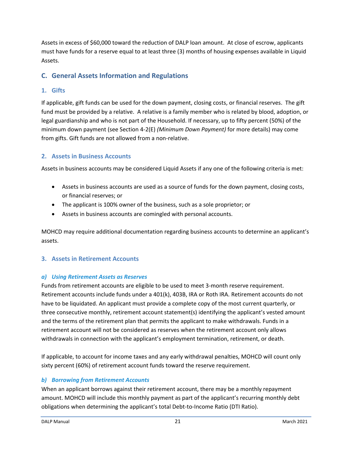Assets in excess of \$60,000 toward the reduction of DALP loan amount. At close of escrow, applicants must have funds for a reserve equal to at least three (3) months of housing expenses available in Liquid Assets.

### <span id="page-24-0"></span>**C. General Assets Information and Regulations**

### **1. Gifts**

If applicable, gift funds can be used for the down payment, closing costs, or financial reserves. The gift fund must be provided by a relative. A relative is a family member who is related by blood, adoption, or legal guardianship and who is not part of the Household. If necessary, up to fifty percent (50%) of the minimum down payment (see Section 4-2(E) *(Minimum Down Payment)* for more details) may come from gifts. Gift funds are not allowed from a non-relative.

### **2. Assets in Business Accounts**

Assets in business accounts may be considered Liquid Assets if any one of the following criteria is met:

- Assets in business accounts are used as a source of funds for the down payment, closing costs, or financial reserves; or
- The applicant is 100% owner of the business, such as a sole proprietor; or
- Assets in business accounts are comingled with personal accounts.

MOHCD may require additional documentation regarding business accounts to determine an applicant's assets.

### **3. Assets in Retirement Accounts**

### *a) Using Retirement Assets as Reserves*

Funds from retirement accounts are eligible to be used to meet 3-month reserve requirement. Retirement accounts include funds under a 401(k), 403B, IRA or Roth IRA. Retirement accounts do not have to be liquidated. An applicant must provide a complete copy of the most current quarterly, or three consecutive monthly, retirement account statement(s) identifying the applicant's vested amount and the terms of the retirement plan that permits the applicant to make withdrawals. Funds in a retirement account will not be considered as reserves when the retirement account only allows withdrawals in connection with the applicant's employment termination, retirement, or death.

If applicable, to account for income taxes and any early withdrawal penalties, MOHCD will count only sixty percent (60%) of retirement account funds toward the reserve requirement.

### *b) Borrowing from Retirement Accounts*

When an applicant borrows against their retirement account, there may be a monthly repayment amount. MOHCD will include this monthly payment as part of the applicant's recurring monthly debt obligations when determining the applicant's total Debt-to-Income Ratio (DTI Ratio).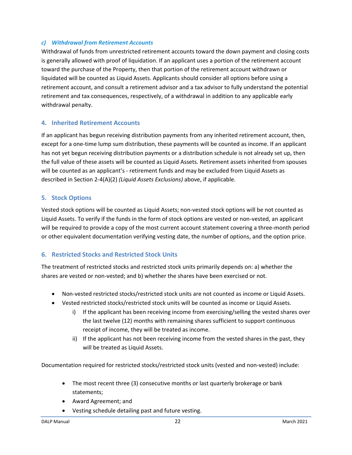### *c) Withdrawal from Retirement Accounts*

Withdrawal of funds from unrestricted retirement accounts toward the down payment and closing costs is generally allowed with proof of liquidation. If an applicant uses a portion of the retirement account toward the purchase of the Property, then that portion of the retirement account withdrawn or liquidated will be counted as Liquid Assets. Applicants should consider all options before using a retirement account, and consult a retirement advisor and a tax advisor to fully understand the potential retirement and tax consequences, respectively, of a withdrawal in addition to any applicable early withdrawal penalty.

### **4. Inherited Retirement Accounts**

If an applicant has begun receiving distribution payments from any inherited retirement account, then, except for a one-time lump sum distribution, these payments will be counted as income. If an applicant has not yet begun receiving distribution payments or a distribution schedule is not already set up, then the full value of these assets will be counted as Liquid Assets. Retirement assets inherited from spouses will be counted as an applicant's - retirement funds and may be excluded from Liquid Assets as described in Section 2-4(A)(2) *(Liquid Assets Exclusions)* above, if applicable.

#### **5. Stock Options**

Vested stock options will be counted as Liquid Assets; non-vested stock options will be not counted as Liquid Assets. To verify if the funds in the form of stock options are vested or non-vested, an applicant will be required to provide a copy of the most current account statement covering a three-month period or other equivalent documentation verifying vesting date, the number of options, and the option price.

### **6. Restricted Stocks and Restricted Stock Units**

The treatment of restricted stocks and restricted stock units primarily depends on: a) whether the shares are vested or non-vested; and b) whether the shares have been exercised or not.

- Non-vested restricted stocks/restricted stock units are not counted as income or Liquid Assets.
- Vested restricted stocks/restricted stock units will be counted as income or Liquid Assets.
	- i) If the applicant has been receiving income from exercising/selling the vested shares over the last twelve (12) months with remaining shares sufficient to support continuous receipt of income, they will be treated as income.
	- ii) If the applicant has not been receiving income from the vested shares in the past, they will be treated as Liquid Assets.

Documentation required for restricted stocks/restricted stock units (vested and non-vested) include:

- The most recent three (3) consecutive months or last quarterly brokerage or bank statements;
- Award Agreement; and
- Vesting schedule detailing past and future vesting.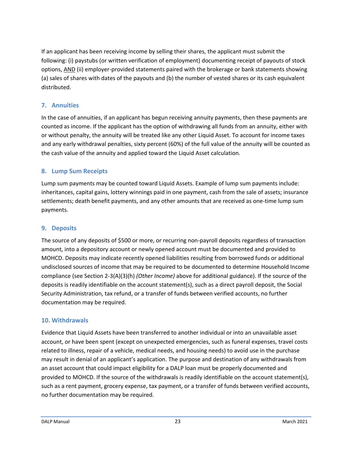If an applicant has been receiving income by selling their shares, the applicant must submit the following: (i) paystubs (or written verification of employment) documenting receipt of payouts of stock options, AND (ii) employer-provided statements paired with the brokerage or bank statements showing (a) sales of shares with dates of the payouts and (b) the number of vested shares or its cash equivalent distributed.

### **7. Annuities**

In the case of annuities, if an applicant has begun receiving annuity payments, then these payments are counted as income. If the applicant has the option of withdrawing all funds from an annuity, either with or without penalty, the annuity will be treated like any other Liquid Asset. To account for income taxes and any early withdrawal penalties, sixty percent (60%) of the full value of the annuity will be counted as the cash value of the annuity and applied toward the Liquid Asset calculation.

### **8. Lump Sum Receipts**

Lump sum payments may be counted toward Liquid Assets. Example of lump sum payments include: inheritances, capital gains, lottery winnings paid in one payment, cash from the sale of assets; insurance settlements; death benefit payments, and any other amounts that are received as one-time lump sum payments.

### **9. Deposits**

The source of any deposits of \$500 or more, or recurring non-payroll deposits regardless of transaction amount, into a depository account or newly opened account must be documented and provided to MOHCD. Deposits may indicate recently opened liabilities resulting from borrowed funds or additional undisclosed sources of income that may be required to be documented to determine Household Income compliance (see Section 2-3(A)(3)(h) *(Other Income)* above for additional guidance). If the source of the deposits is readily identifiable on the account statement(s), such as a direct payroll deposit, the Social Security Administration, tax refund, or a transfer of funds between verified accounts, no further documentation may be required.

### **10. Withdrawals**

Evidence that Liquid Assets have been transferred to another individual or into an unavailable asset account, or have been spent (except on unexpected emergencies, such as funeral expenses, travel costs related to illness, repair of a vehicle, medical needs, and housing needs) to avoid use in the purchase may result in denial of an applicant's application. The purpose and destination of any withdrawals from an asset account that could impact eligibility for a DALP loan must be properly documented and provided to MOHCD. If the source of the withdrawals is readily identifiable on the account statement(s), such as a rent payment, grocery expense, tax payment, or a transfer of funds between verified accounts, no further documentation may be required.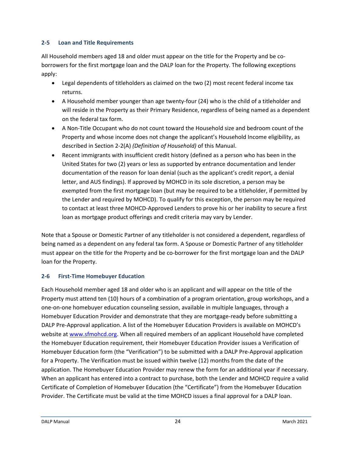### <span id="page-27-0"></span>**2-5 Loan and Title Requirements**

All Household members aged 18 and older must appear on the title for the Property and be coborrowers for the first mortgage loan and the DALP loan for the Property. The following exceptions apply:

- Legal dependents of titleholders as claimed on the two (2) most recent federal income tax returns.
- A Household member younger than age twenty-four (24) who is the child of a titleholder and will reside in the Property as their Primary Residence, regardless of being named as a dependent on the federal tax form.
- A Non-Title Occupant who do not count toward the Household size and bedroom count of the Property and whose income does not change the applicant's Household Income eligibility, as described in Section 2-2(A) *(Definition of Household)* of this Manual.
- Recent immigrants with insufficient credit history (defined as a person who has been in the United States for two (2) years or less as supported by entrance documentation and lender documentation of the reason for loan denial (such as the applicant's credit report, a denial letter, and AUS findings). If approved by MOHCD in its sole discretion, a person may be exempted from the first mortgage loan (but may be required to be a titleholder, if permitted by the Lender and required by MOHCD). To qualify for this exception, the person may be required to contact at least three MOHCD-Approved Lenders to prove his or her inability to secure a first loan as mortgage product offerings and credit criteria may vary by Lender.

Note that a Spouse or Domestic Partner of any titleholder is not considered a dependent, regardless of being named as a dependent on any federal tax form. A Spouse or Domestic Partner of any titleholder must appear on the title for the Property and be co-borrower for the first mortgage loan and the DALP loan for the Property.

### <span id="page-27-1"></span>**2-6 First-Time Homebuyer Education**

Each Household member aged 18 and older who is an applicant and will appear on the title of the Property must attend ten (10) hours of a combination of a program orientation, group workshops, and a one-on-one homebuyer education counseling session, available in multiple languages, through a Homebuyer Education Provider and demonstrate that they are mortgage-ready before submitting a DALP Pre-Approval application. A list of the Homebuyer Education Providers is available on MOHCD's website at [www.sfmohcd.org.](file:///C:/Users/BMcCloskey/AppData/Local/Microsoft/Windows/Temporary%20Internet%20Files/Content.Outlook/90V8OEVD/www.sfmohcd.org) When all required members of an applicant Household have completed the Homebuyer Education requirement, their Homebuyer Education Provider issues a Verification of Homebuyer Education form (the "Verification") to be submitted with a DALP Pre-Approval application for a Property. The Verification must be issued within twelve (12) months from the date of the application. The Homebuyer Education Provider may renew the form for an additional year if necessary. When an applicant has entered into a contract to purchase, both the Lender and MOHCD require a valid Certificate of Completion of Homebuyer Education (the "Certificate") from the Homebuyer Education Provider. The Certificate must be valid at the time MOHCD issues a final approval for a DALP loan.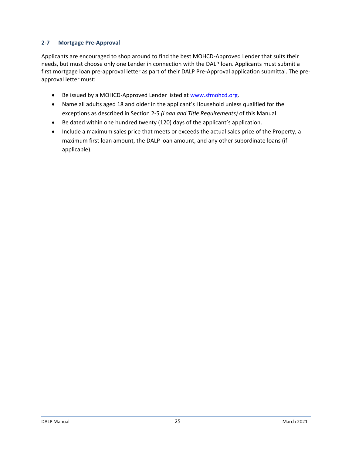### <span id="page-28-0"></span>**2-7 Mortgage Pre-Approval**

Applicants are encouraged to shop around to find the best MOHCD-Approved Lender that suits their needs, but must choose only one Lender in connection with the DALP loan. Applicants must submit a first mortgage loan pre-approval letter as part of their DALP Pre-Approval application submittal. The preapproval letter must:

- Be issued by a MOHCD-Approved Lender listed at [www.sfmohcd.org.](file:///C:/Users/BMcCloskey/AppData/Local/Microsoft/Windows/Temporary%20Internet%20Files/Content.Outlook/90V8OEVD/www.sfmohcd.org)
- Name all adults aged 18 and older in the applicant's Household unless qualified for the exceptions as described in Section 2-5 *(Loan and Title Requirements)* of this Manual.
- Be dated within one hundred twenty (120) days of the applicant's application.
- Include a maximum sales price that meets or exceeds the actual sales price of the Property, a maximum first loan amount, the DALP loan amount, and any other subordinate loans (if applicable).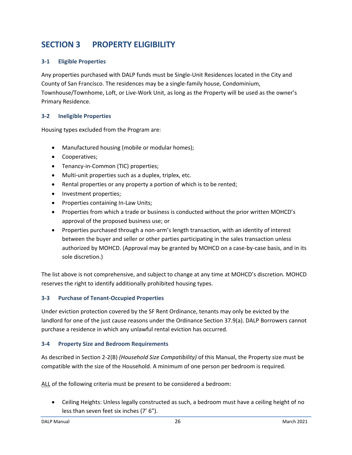# <span id="page-29-0"></span>**SECTION 3 PROPERTY ELIGIBILITY**

#### <span id="page-29-1"></span>**3-1 Eligible Properties**

Any properties purchased with DALP funds must be Single-Unit Residences located in the City and County of San Francisco. The residences may be a single-family house, Condominium, Townhouse/Townhome, Loft, or Live-Work Unit, as long as the Property will be used as the owner's Primary Residence.

#### <span id="page-29-2"></span>**3-2 Ineligible Properties**

Housing types excluded from the Program are:

- Manufactured housing (mobile or modular homes);
- Cooperatives;
- Tenancy-in-Common (TIC) properties;
- Multi-unit properties such as a duplex, triplex, etc.
- Rental properties or any property a portion of which is to be rented;
- Investment properties;
- Properties containing In-Law Units;
- Properties from which a trade or business is conducted without the prior written MOHCD's approval of the proposed business use; or
- Properties purchased through a non-arm's length transaction, with an identity of interest between the buyer and seller or other parties participating in the sales transaction unless authorized by MOHCD. (Approval may be granted by MOHCD on a case-by-case basis, and in its sole discretion.)

The list above is not comprehensive, and subject to change at any time at MOHCD's discretion. MOHCD reserves the right to identify additionally prohibited housing types.

#### <span id="page-29-3"></span>**3-3 Purchase of Tenant-Occupied Properties**

Under eviction protection covered by the SF Rent Ordinance, tenants may only be evicted by the landlord for one of the just cause reasons under the Ordinance Section 37.9(a). DALP Borrowers cannot purchase a residence in which any unlawful rental eviction has occurred.

#### <span id="page-29-4"></span>**3-4 Property Size and Bedroom Requirements**

As described in Section 2-2(B) *(Household Size Compatibility)* of this Manual, the Property size must be compatible with the size of the Household. A minimum of one person per bedroom is required.

ALL of the following criteria must be present to be considered a bedroom:

• Ceiling Heights: Unless legally constructed as such, a bedroom must have a ceiling height of no less than seven feet six inches (7' 6").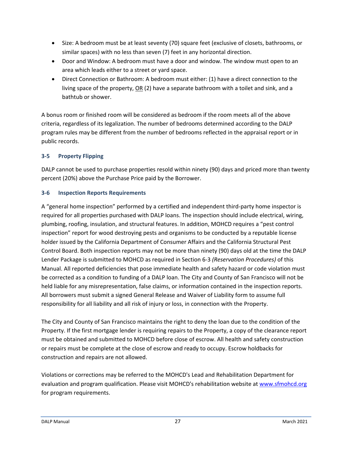- Size: A bedroom must be at least seventy (70) square feet (exclusive of closets, bathrooms, or similar spaces) with no less than seven (7) feet in any horizontal direction.
- Door and Window: A bedroom must have a door and window. The window must open to an area which leads either to a street or yard space.
- Direct Connection or Bathroom: A bedroom must either: (1) have a direct connection to the living space of the property, OR (2) have a separate bathroom with a toilet and sink, and a bathtub or shower.

A bonus room or finished room will be considered as bedroom if the room meets all of the above criteria, regardless of its legalization. The number of bedrooms determined according to the DALP program rules may be different from the number of bedrooms reflected in the appraisal report or in public records.

### <span id="page-30-0"></span>**3-5 Property Flipping**

DALP cannot be used to purchase properties resold within ninety (90) days and priced more than twenty percent (20%) above the Purchase Price paid by the Borrower.

### <span id="page-30-1"></span>**3-6 Inspection Reports Requirements**

A "general home inspection" performed by a certified and independent third-party home inspector is required for all properties purchased with DALP loans. The inspection should include electrical, wiring, plumbing, roofing, insulation, and structural features. In addition, MOHCD requires a "pest control inspection" report for wood destroying pests and organisms to be conducted by a reputable license holder issued by the California Department of Consumer Affairs and the California Structural Pest Control Board. Both inspection reports may not be more than ninety (90) days old at the time the DALP Lender Package is submitted to MOHCD as required in Section 6-3 *(Reservation Procedures)* of this Manual. All reported deficiencies that pose immediate health and safety hazard or code violation must be corrected as a condition to funding of a DALP loan. The City and County of San Francisco will not be held liable for any misrepresentation, false claims, or information contained in the inspection reports. All borrowers must submit a signed General Release and Waiver of Liability form to assume full responsibility for all liability and all risk of injury or loss, in connection with the Property.

The City and County of San Francisco maintains the right to deny the loan due to the condition of the Property. If the first mortgage lender is requiring repairs to the Property, a copy of the clearance report must be obtained and submitted to MOHCD before close of escrow. All health and safety construction or repairs must be complete at the close of escrow and ready to occupy. Escrow holdbacks for construction and repairs are not allowed.

Violations or corrections may be referred to the MOHCD's Lead and Rehabilitation Department for evaluation and program qualification. Please visit MOHCD's rehabilitation website at [www.sfmohcd.org](http://www.sfmohcd.org/) for program requirements.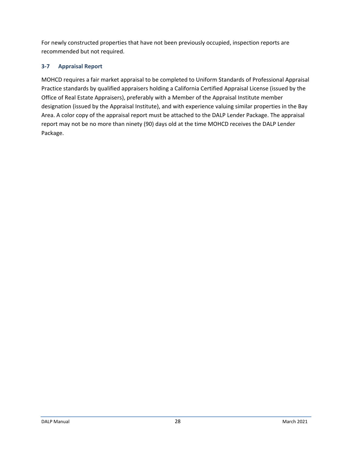For newly constructed properties that have not been previously occupied, inspection reports are recommended but not required.

### <span id="page-31-0"></span>**3-7 Appraisal Report**

MOHCD requires a fair market appraisal to be completed to Uniform Standards of Professional Appraisal Practice standards by qualified appraisers holding a California Certified Appraisal License (issued by the Office of Real Estate Appraisers), preferably with a Member of the Appraisal Institute member designation (issued by the Appraisal Institute), and with experience valuing similar properties in the Bay Area. A color copy of the appraisal report must be attached to the DALP Lender Package. The appraisal report may not be no more than ninety (90) days old at the time MOHCD receives the DALP Lender Package.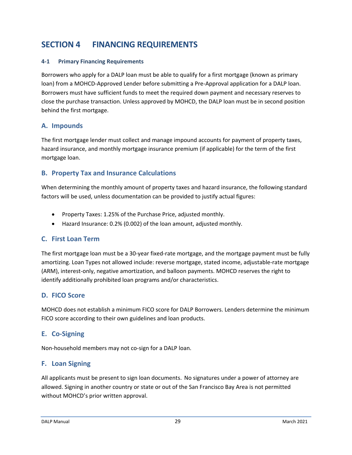# <span id="page-32-0"></span>**SECTION 4 FINANCING REQUIREMENTS**

### <span id="page-32-1"></span>**4-1 Primary Financing Requirements**

Borrowers who apply for a DALP loan must be able to qualify for a first mortgage (known as primary loan) from a MOHCD-Approved Lender before submitting a Pre-Approval application for a DALP loan. Borrowers must have sufficient funds to meet the required down payment and necessary reserves to close the purchase transaction. Unless approved by MOHCD, the DALP loan must be in second position behind the first mortgage.

### <span id="page-32-2"></span>**A. Impounds**

The first mortgage lender must collect and manage impound accounts for payment of property taxes, hazard insurance, and monthly mortgage insurance premium (if applicable) for the term of the first mortgage loan.

### <span id="page-32-3"></span>**B. Property Tax and Insurance Calculations**

When determining the monthly amount of property taxes and hazard insurance, the following standard factors will be used, unless documentation can be provided to justify actual figures:

- Property Taxes: 1.25% of the Purchase Price, adjusted monthly.
- Hazard Insurance: 0.2% (0.002) of the loan amount, adjusted monthly.

### <span id="page-32-4"></span>**C. First Loan Term**

The first mortgage loan must be a 30-year fixed-rate mortgage, and the mortgage payment must be fully amortizing. Loan Types not allowed include: reverse mortgage, stated income, adjustable-rate mortgage (ARM), interest-only, negative amortization, and balloon payments. MOHCD reserves the right to identify additionally prohibited loan programs and/or characteristics.

### <span id="page-32-5"></span>**D. FICO Score**

MOHCD does not establish a minimum FICO score for DALP Borrowers. Lenders determine the minimum FICO score according to their own guidelines and loan products.

### <span id="page-32-6"></span>**E. Co-Signing**

Non-household members may not co-sign for a DALP loan.

### <span id="page-32-7"></span>**F. Loan Signing**

All applicants must be present to sign loan documents. No signatures under a power of attorney are allowed. Signing in another country or state or out of the San Francisco Bay Area is not permitted without MOHCD's prior written approval.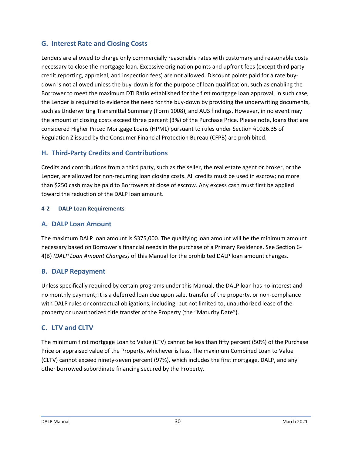### <span id="page-33-0"></span>**G. Interest Rate and Closing Costs**

Lenders are allowed to charge only commercially reasonable rates with customary and reasonable costs necessary to close the mortgage loan. Excessive origination points and upfront fees (except third party credit reporting, appraisal, and inspection fees) are not allowed. Discount points paid for a rate buydown is not allowed unless the buy-down is for the purpose of loan qualification, such as enabling the Borrower to meet the maximum DTI Ratio established for the first mortgage loan approval. In such case, the Lender is required to evidence the need for the buy-down by providing the underwriting documents, such as Underwriting Transmittal Summary (Form 1008), and AUS findings. However, in no event may the amount of closing costs exceed three percent (3%) of the Purchase Price. Please note, loans that are considered Higher Priced Mortgage Loans (HPML) pursuant to rules under Section §1026.35 of Regulation Z issued by the Consumer Financial Protection Bureau (CFPB) are prohibited.

### <span id="page-33-1"></span>**H. Third-Party Credits and Contributions**

Credits and contributions from a third party, such as the seller, the real estate agent or broker, or the Lender, are allowed for non-recurring loan closing costs. All credits must be used in escrow; no more than \$250 cash may be paid to Borrowers at close of escrow. Any excess cash must first be applied toward the reduction of the DALP loan amount.

#### <span id="page-33-2"></span>**4-2 DALP Loan Requirements**

### <span id="page-33-3"></span>**A. DALP Loan Amount**

The maximum DALP loan amount is \$375,000. The qualifying loan amount will be the minimum amount necessary based on Borrower's financial needs in the purchase of a Primary Residence. See Section 6- 4(B) *(DALP Loan Amount Changes)* of this Manual for the prohibited DALP loan amount changes.

### <span id="page-33-4"></span>**B. DALP Repayment**

Unless specifically required by certain programs under this Manual, the DALP loan has no interest and no monthly payment; it is a deferred loan due upon sale, transfer of the property, or non-compliance with DALP rules or contractual obligations, including, but not limited to, unauthorized lease of the property or unauthorized title transfer of the Property (the "Maturity Date").

### <span id="page-33-5"></span>**C. LTV and CLTV**

The minimum first mortgage Loan to Value (LTV) cannot be less than fifty percent (50%) of the Purchase Price or appraised value of the Property, whichever is less. The maximum Combined Loan to Value (CLTV) cannot exceed ninety-seven percent (97%), which includes the first mortgage, DALP, and any other borrowed subordinate financing secured by the Property.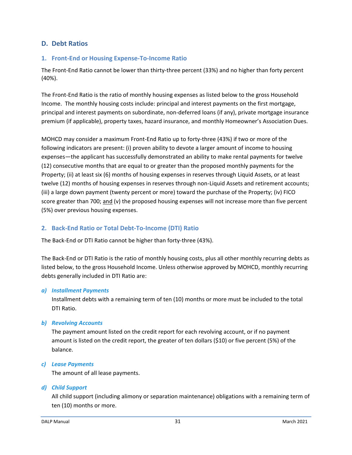### <span id="page-34-0"></span>**D. Debt Ratios**

#### **1. Front-End or Housing Expense-To-Income Ratio**

The Front-End Ratio cannot be lower than thirty-three percent (33%) and no higher than forty percent (40%).

The Front-End Ratio is the ratio of monthly housing expenses as listed below to the gross Household Income. The monthly housing costs include: principal and interest payments on the first mortgage, principal and interest payments on subordinate, non-deferred loans (if any), private mortgage insurance premium (if applicable), property taxes, hazard insurance, and monthly Homeowner's Association Dues.

MOHCD may consider a maximum Front-End Ratio up to forty-three (43%) if two or more of the following indicators are present: (i) proven ability to devote a larger amount of income to housing expenses—the applicant has successfully demonstrated an ability to make rental payments for twelve (12) consecutive months that are equal to or greater than the proposed monthly payments for the Property; (ii) at least six (6) months of housing expenses in reserves through Liquid Assets, or at least twelve (12) months of housing expenses in reserves through non-Liquid Assets and retirement accounts; (iii) a large down payment (twenty percent or more) toward the purchase of the Property; (iv) FICO score greater than 700; and (v) the proposed housing expenses will not increase more than five percent (5%) over previous housing expenses.

### **2. Back-End Ratio or Total Debt-To-Income (DTI) Ratio**

The Back-End or DTI Ratio cannot be higher than forty-three (43%).

The Back-End or DTI Ratio is the ratio of monthly housing costs, plus all other monthly recurring debts as listed below, to the gross Household Income. Unless otherwise approved by MOHCD, monthly recurring debts generally included in DTI Ratio are:

#### *a) Installment Payments*

Installment debts with a remaining term of ten (10) months or more must be included to the total DTI Ratio.

*b) Revolving Accounts*

The payment amount listed on the credit report for each revolving account, or if no payment amount is listed on the credit report, the greater of ten dollars (\$10) or five percent (5%) of the balance.

#### *c) Lease Payments*

The amount of all lease payments.

#### *d) Child Support*

All child support (including alimony or separation maintenance) obligations with a remaining term of ten (10) months or more.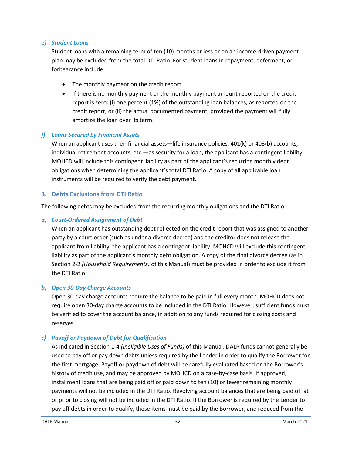#### *e) Student Loans*

Student loans with a remaining term of ten (10) months or less or on an income-driven payment plan may be excluded from the total DTI Ratio. For student loans in repayment, deferment, or forbearance include:

- The monthly payment on the credit report
- If there is no monthly payment or the monthly payment amount reported on the credit report is zero: (i) one percent (1%) of the outstanding loan balances, as reported on the credit report; or (ii) the actual documented payment, provided the payment will fully amortize the loan over its term.

### *f) Loans Secured by Financial Assets*

When an applicant uses their financial assets—life insurance policies, 401(k) or 403(b) accounts, individual retirement accounts, etc.—as security for a loan, the applicant has a contingent liability. MOHCD will include this contingent liability as part of the applicant's recurring monthly debt obligations when determining the applicant's total DTI Ratio. A copy of all applicable loan instruments will be required to verify the debt payment.

#### **3. Debts Exclusions from DTI Ratio**

The following debts may be excluded from the recurring monthly obligations and the DTI Ratio:

### *a) Court-Ordered Assignment of Debt*

When an applicant has outstanding debt reflected on the credit report that was assigned to another party by a court order (such as under a divorce decree) and the creditor does not release the applicant from liability, the applicant has a contingent liability. MOHCD will exclude this contingent liability as part of the applicant's monthly debt obligation. A copy of the final divorce decree (as in Section 2-2 *(Household Requirements)* of this Manual) must be provided in order to exclude it from the DTI Ratio.

#### *b) Open 30-Day Charge Accounts*

Open 30-day charge accounts require the balance to be paid in full every month. MOHCD does not require open 30-day charge accounts to be included in the DTI Ratio. However, sufficient funds must be verified to cover the account balance, in addition to any funds required for closing costs and reserves.

### *c) Payoff or Paydown of Debt for Qualification*

As indicated in Section 1-4 *(Ineligible Uses of Funds)* of this Manual, DALP funds cannot generally be used to pay off or pay down debts unless required by the Lender in order to qualify the Borrower for the first mortgage. Payoff or paydown of debt will be carefully evaluated based on the Borrower's history of credit use, and may be approved by MOHCD on a case-by-case basis. If approved, installment loans that are being paid off or paid down to ten (10) or fewer remaining monthly payments will not be included in the DTI Ratio. Revolving account balances that are being paid off at or prior to closing will not be included in the DTI Ratio. If the Borrower is required by the Lender to pay off debts in order to qualify, these items must be paid by the Borrower, and reduced from the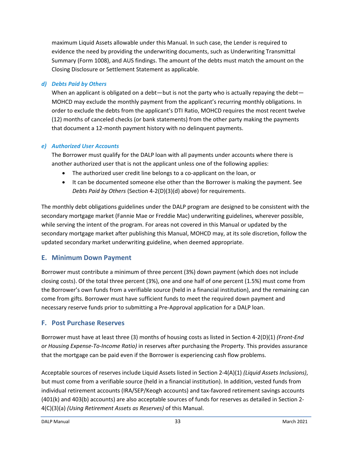maximum Liquid Assets allowable under this Manual. In such case, the Lender is required to evidence the need by providing the underwriting documents, such as Underwriting Transmittal Summary (Form 1008), and AUS findings. The amount of the debts must match the amount on the Closing Disclosure or Settlement Statement as applicable.

#### *d) Debts Paid by Others*

When an applicant is obligated on a debt—but is not the party who is actually repaying the debt— MOHCD may exclude the monthly payment from the applicant's recurring monthly obligations. In order to exclude the debts from the applicant's DTI Ratio, MOHCD requires the most recent twelve (12) months of canceled checks (or bank statements) from the other party making the payments that document a 12-month payment history with no delinquent payments.

#### *e) Authorized User Accounts*

The Borrower must qualify for the DALP loan with all payments under accounts where there is another authorized user that is not the applicant unless one of the following applies:

- The authorized user credit line belongs to a co-applicant on the loan, or
- It can be documented someone else other than the Borrower is making the payment. See *Debts Paid by Others* (Section 4-2(D)(3)(d) above) for requirements.

The monthly debt obligations guidelines under the DALP program are designed to be consistent with the secondary mortgage market (Fannie Mae or Freddie Mac) underwriting guidelines, wherever possible, while serving the intent of the program. For areas not covered in this Manual or updated by the secondary mortgage market after publishing this Manual, MOHCD may, at its sole discretion, follow the updated secondary market underwriting guideline, when deemed appropriate.

## **E. Minimum Down Payment**

Borrower must contribute a minimum of three percent (3%) down payment (which does not include closing costs). Of the total three percent (3%), one and one half of one percent (1.5%) must come from the Borrower's own funds from a verifiable source (held in a financial institution), and the remaining can come from gifts. Borrower must have sufficient funds to meet the required down payment and necessary reserve funds prior to submitting a Pre-Approval application for a DALP loan.

## **F. Post Purchase Reserves**

Borrower must have at least three (3) months of housing costs as listed in Section 4-2(D)(1) *(Front-End or Housing Expense-To-Income Ratio)* in reserves after purchasing the Property. This provides assurance that the mortgage can be paid even if the Borrower is experiencing cash flow problems.

Acceptable sources of reserves include Liquid Assets listed in Section 2-4(A)(1) *(Liquid Assets Inclusions)*, but must come from a verifiable source (held in a financial institution). In addition, vested funds from individual retirement accounts (IRA/SEP/Keogh accounts) and tax-favored retirement savings accounts (401(k) and 403(b) accounts) are also acceptable sources of funds for reserves as detailed in Section 2- 4(C)(3)(a) *(Using Retirement Assets as Reserves)* of this Manual.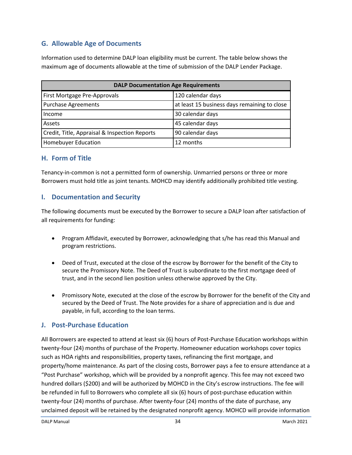# **G. Allowable Age of Documents**

Information used to determine DALP loan eligibility must be current. The table below shows the maximum age of documents allowable at the time of submission of the DALP Lender Package.

| <b>DALP Documentation Age Requirements</b>    |                                              |  |
|-----------------------------------------------|----------------------------------------------|--|
| First Mortgage Pre-Approvals                  | 120 calendar days                            |  |
| <b>Purchase Agreements</b>                    | at least 15 business days remaining to close |  |
| Income                                        | 30 calendar days                             |  |
| Assets                                        | 45 calendar days                             |  |
| Credit, Title, Appraisal & Inspection Reports | 90 calendar days                             |  |
| <b>Homebuyer Education</b>                    | 12 months                                    |  |

## **H. Form of Title**

Tenancy-in-common is not a permitted form of ownership. Unmarried persons or three or more Borrowers must hold title as joint tenants. MOHCD may identify additionally prohibited title vesting.

## **I. Documentation and Security**

The following documents must be executed by the Borrower to secure a DALP loan after satisfaction of all requirements for funding:

- Program Affidavit, executed by Borrower, acknowledging that s/he has read this Manual and program restrictions.
- Deed of Trust, executed at the close of the escrow by Borrower for the benefit of the City to secure the Promissory Note. The Deed of Trust is subordinate to the first mortgage deed of trust, and in the second lien position unless otherwise approved by the City.
- Promissory Note, executed at the close of the escrow by Borrower for the benefit of the City and secured by the Deed of Trust. The Note provides for a share of appreciation and is due and payable, in full, according to the loan terms.

## **J. Post-Purchase Education**

All Borrowers are expected to attend at least six (6) hours of Post-Purchase Education workshops within twenty-four (24) months of purchase of the Property. Homeowner education workshops cover topics such as HOA rights and responsibilities, property taxes, refinancing the first mortgage, and property/home maintenance. As part of the closing costs, Borrower pays a fee to ensure attendance at a "Post Purchase" workshop, which will be provided by a nonprofit agency. This fee may not exceed two hundred dollars (\$200) and will be authorized by MOHCD in the City's escrow instructions. The fee will be refunded in full to Borrowers who complete all six (6) hours of post-purchase education within twenty-four (24) months of purchase. After twenty-four (24) months of the date of purchase, any unclaimed deposit will be retained by the designated nonprofit agency. MOHCD will provide information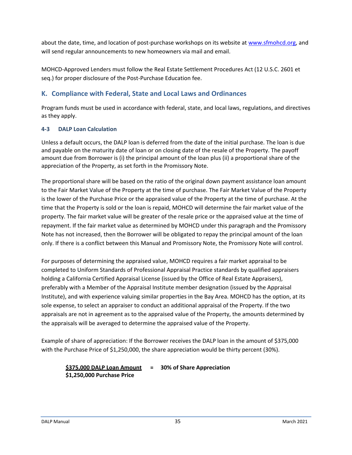about the date, time, and location of post-purchase workshops on its website at [www.sfmohcd.org,](http://www.sfmohcd.org/) and will send regular announcements to new homeowners via mail and email.

MOHCD-Approved Lenders must follow the Real Estate Settlement Procedures Act (12 U.S.C. 2601 et seq.) for proper disclosure of the Post-Purchase Education fee.

## **K. Compliance with Federal, State and Local Laws and Ordinances**

Program funds must be used in accordance with federal, state, and local laws, regulations, and directives as they apply.

#### **4-3 DALP Loan Calculation**

Unless a default occurs, the DALP loan is deferred from the date of the initial purchase. The loan is due and payable on the maturity date of loan or on closing date of the resale of the Property. The payoff amount due from Borrower is (i) the principal amount of the loan plus (ii) a proportional share of the appreciation of the Property, as set forth in the Promissory Note.

The proportional share will be based on the ratio of the original down payment assistance loan amount to the Fair Market Value of the Property at the time of purchase. The Fair Market Value of the Property is the lower of the Purchase Price or the appraised value of the Property at the time of purchase. At the time that the Property is sold or the loan is repaid, MOHCD will determine the fair market value of the property. The fair market value will be greater of the resale price or the appraised value at the time of repayment. If the fair market value as determined by MOHCD under this paragraph and the Promissory Note has not increased, then the Borrower will be obligated to repay the principal amount of the loan only. If there is a conflict between this Manual and Promissory Note, the Promissory Note will control.

For purposes of determining the appraised value, MOHCD requires a fair market appraisal to be completed to Uniform Standards of Professional Appraisal Practice standards by qualified appraisers holding a California Certified Appraisal License (issued by the Office of Real Estate Appraisers), preferably with a Member of the Appraisal Institute member designation (issued by the Appraisal Institute), and with experience valuing similar properties in the Bay Area. MOHCD has the option, at its sole expense, to select an appraiser to conduct an additional appraisal of the Property. If the two appraisals are not in agreement as to the appraised value of the Property, the amounts determined by the appraisals will be averaged to determine the appraised value of the Property.

Example of share of appreciation: If the Borrower receives the DALP loan in the amount of \$375,000 with the Purchase Price of \$1,250,000, the share appreciation would be thirty percent (30%).

#### **\$375,000 DALP Loan Amount = 30% of Share Appreciation \$1,250,000 Purchase Price**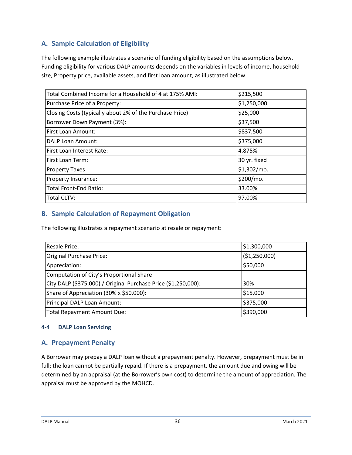# **A. Sample Calculation of Eligibility**

The following example illustrates a scenario of funding eligibility based on the assumptions below. Funding eligibility for various DALP amounts depends on the variables in levels of income, household size, Property price, available assets, and first loan amount, as illustrated below.

| Total Combined Income for a Household of 4 at 175% AMI:  | \$215,500    |
|----------------------------------------------------------|--------------|
| Purchase Price of a Property:                            | \$1,250,000  |
| Closing Costs (typically about 2% of the Purchase Price) | \$25,000     |
| Borrower Down Payment (3%):                              | \$37,500     |
| First Loan Amount:                                       | \$837,500    |
| <b>DALP Loan Amount:</b>                                 | \$375,000    |
| First Loan Interest Rate:                                | 4.875%       |
| First Loan Term:                                         | 30 yr. fixed |
| <b>Property Taxes</b>                                    | \$1,302/mo.  |
| Property Insurance:                                      | \$200/mo.    |
| <b>Total Front-End Ratio:</b>                            | 33.00%       |
| <b>Total CLTV:</b>                                       | 97.00%       |

## **B. Sample Calculation of Repayment Obligation**

The following illustrates a repayment scenario at resale or repayment:

| Resale Price:                                                  | \$1,300,000   |
|----------------------------------------------------------------|---------------|
| Original Purchase Price:                                       | (\$1,250,000) |
| Appreciation:                                                  | \$50,000      |
| Computation of City's Proportional Share                       |               |
| City DALP (\$375,000) / Original Purchase Price (\$1,250,000): | 30%           |
| Share of Appreciation (30% x \$50,000):                        | \$15,000      |
| Principal DALP Loan Amount:                                    | \$375,000     |
| <b>Total Repayment Amount Due:</b>                             | \$390,000     |

#### **4-4 DALP Loan Servicing**

## **A. Prepayment Penalty**

A Borrower may prepay a DALP loan without a prepayment penalty. However, prepayment must be in full; the loan cannot be partially repaid. If there is a prepayment, the amount due and owing will be determined by an appraisal (at the Borrower's own cost) to determine the amount of appreciation. The appraisal must be approved by the MOHCD.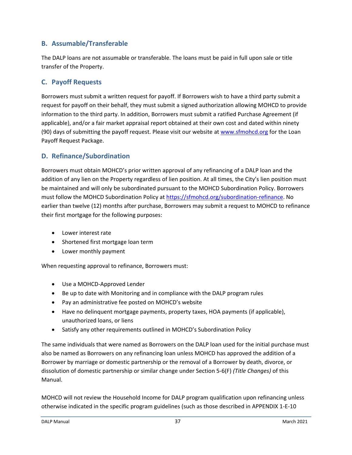## **B. Assumable/Transferable**

The DALP loans are not assumable or transferable. The loans must be paid in full upon sale or title transfer of the Property.

## **C. Payoff Requests**

Borrowers must submit a written request for payoff. If Borrowers wish to have a third party submit a request for payoff on their behalf, they must submit a signed authorization allowing MOHCD to provide information to the third party. In addition, Borrowers must submit a ratified Purchase Agreement (if applicable), and/or a fair market appraisal report obtained at their own cost and dated within ninety (90) days of submitting the payoff request. Please visit our website at [www.sfmohcd.org](http://www.sfmohcd.org/) for the Loan Payoff Request Package.

## **D. Refinance/Subordination**

Borrowers must obtain MOHCD's prior written approval of any refinancing of a DALP loan and the addition of any lien on the Property regardless of lien position. At all times, the City's lien position must be maintained and will only be subordinated pursuant to the MOHCD Subordination Policy. Borrowers must follow the MOHCD Subordination Policy at [https://sfmohcd.org/subordination-refinance.](https://sfmohcd.org/subordination-refinance) No earlier than twelve (12) months after purchase, Borrowers may submit a request to MOHCD to refinance their first mortgage for the following purposes:

- Lower interest rate
- Shortened first mortgage loan term
- Lower monthly payment

When requesting approval to refinance, Borrowers must:

- Use a MOHCD-Approved Lender
- Be up to date with Monitoring and in compliance with the DALP program rules
- Pay an administrative fee posted on MOHCD's website
- Have no delinquent mortgage payments, property taxes, HOA payments (if applicable), unauthorized loans, or liens
- Satisfy any other requirements outlined in MOHCD's Subordination Policy

The same individuals that were named as Borrowers on the DALP loan used for the initial purchase must also be named as Borrowers on any refinancing loan unless MOHCD has approved the addition of a Borrower by marriage or domestic partnership or the removal of a Borrower by death, divorce, or dissolution of domestic partnership or similar change under Section 5-6(F) *(Title Changes)* of this Manual.

MOHCD will not review the Household Income for DALP program qualification upon refinancing unless otherwise indicated in the specific program guidelines (such as those described in APPENDIX 1-E-10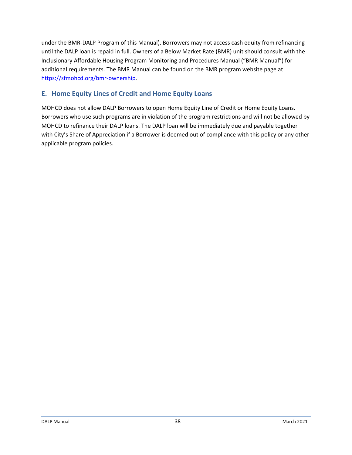under the BMR-DALP Program of this Manual). Borrowers may not access cash equity from refinancing until the DALP loan is repaid in full. Owners of a Below Market Rate (BMR) unit should consult with the Inclusionary Affordable Housing Program Monitoring and Procedures Manual ("BMR Manual") for additional requirements. The BMR Manual can be found on the BMR program website page at [https://sfmohcd.org/bmr-ownership.](https://sfmohcd.org/bmr-ownership)

# **E. Home Equity Lines of Credit and Home Equity Loans**

MOHCD does not allow DALP Borrowers to open Home Equity Line of Credit or Home Equity Loans. Borrowers who use such programs are in violation of the program restrictions and will not be allowed by MOHCD to refinance their DALP loans. The DALP loan will be immediately due and payable together with City's Share of Appreciation if a Borrower is deemed out of compliance with this policy or any other applicable program policies.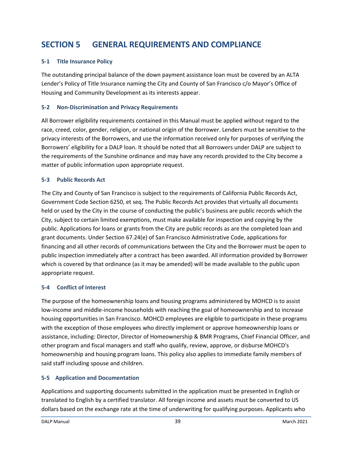# **SECTION 5 GENERAL REQUIREMENTS AND COMPLIANCE**

#### **5-1 Title Insurance Policy**

The outstanding principal balance of the down payment assistance loan must be covered by an ALTA Lender's Policy of Title Insurance naming the City and County of San Francisco c/o Mayor's Office of Housing and Community Development as its interests appear.

#### **5-2 Non-Discrimination and Privacy Requirements**

All Borrower eligibility requirements contained in this Manual must be applied without regard to the race, creed, color, gender, religion, or national origin of the Borrower. Lenders must be sensitive to the privacy interests of the Borrowers, and use the information received only for purposes of verifying the Borrowers' eligibility for a DALP loan. It should be noted that all Borrowers under DALP are subject to the requirements of the Sunshine ordinance and may have any records provided to the City become a matter of public information upon appropriate request.

#### **5-3 Public Records Act**

The City and County of San Francisco is subject to the requirements of California Public Records Act, Government Code Section 6250, et seq. The Public Records Act provides that virtually all documents held or used by the City in the course of conducting the public's business are public records which the City, subject to certain limited exemptions, must make available for inspection and copying by the public. Applications for loans or grants from the City are public records as are the completed loan and grant documents. Under Section 67.24(e) of San Francisco Administrative Code, applications for financing and all other records of communications between the City and the Borrower must be open to public inspection immediately after a contract has been awarded. All information provided by Borrower which is covered by that ordinance (as it may be amended) will be made available to the public upon appropriate request.

## **5-4 Conflict of Interest**

The purpose of the homeownership loans and housing programs administered by MOHCD is to assist low-income and middle-income households with reaching the goal of homeownership and to increase housing opportunities in San Francisco. MOHCD employees are eligible to participate in these programs with the exception of those employees who directly implement or approve homeownership loans or assistance, including: Director, Director of Homeownership & BMR Programs, Chief Financial Officer, and other program and fiscal managers and staff who qualify, review, approve, or disburse MOHCD's homeownership and housing program loans. This policy also applies to immediate family members of said staff including spouse and children.

## **5-5 Application and Documentation**

Applications and supporting documents submitted in the application must be presented in English or translated to English by a certified translator. All foreign income and assets must be converted to US dollars based on the exchange rate at the time of underwriting for qualifying purposes. Applicants who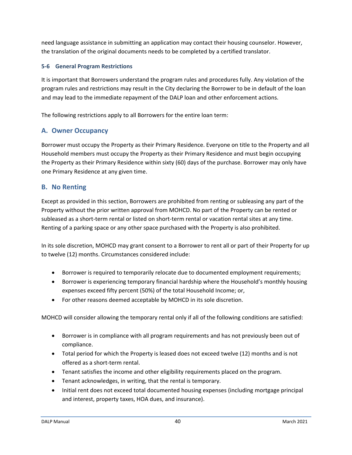need language assistance in submitting an application may contact their housing counselor. However, the translation of the original documents needs to be completed by a certified translator.

#### **5-6 General Program Restrictions**

It is important that Borrowers understand the program rules and procedures fully. Any violation of the program rules and restrictions may result in the City declaring the Borrower to be in default of the loan and may lead to the immediate repayment of the DALP loan and other enforcement actions.

The following restrictions apply to all Borrowers for the entire loan term:

## **A. Owner Occupancy**

Borrower must occupy the Property as their Primary Residence. Everyone on title to the Property and all Household members must occupy the Property as their Primary Residence and must begin occupying the Property as their Primary Residence within sixty (60) days of the purchase. Borrower may only have one Primary Residence at any given time.

## **B. No Renting**

Except as provided in this section, Borrowers are prohibited from renting or subleasing any part of the Property without the prior written approval from MOHCD. No part of the Property can be rented or subleased as a short-term rental or listed on short-term rental or vacation rental sites at any time. Renting of a parking space or any other space purchased with the Property is also prohibited.

In its sole discretion, MOHCD may grant consent to a Borrower to rent all or part of their Property for up to twelve (12) months. Circumstances considered include:

- Borrower is required to temporarily relocate due to documented employment requirements;
- Borrower is experiencing temporary financial hardship where the Household's monthly housing expenses exceed fifty percent (50%) of the total Household Income; or,
- For other reasons deemed acceptable by MOHCD in its sole discretion.

MOHCD will consider allowing the temporary rental only if all of the following conditions are satisfied:

- Borrower is in compliance with all program requirements and has not previously been out of compliance.
- Total period for which the Property is leased does not exceed twelve (12) months and is not offered as a short-term rental.
- Tenant satisfies the income and other eligibility requirements placed on the program.
- Tenant acknowledges, in writing, that the rental is temporary.
- Initial rent does not exceed total documented housing expenses (including mortgage principal and interest, property taxes, HOA dues, and insurance).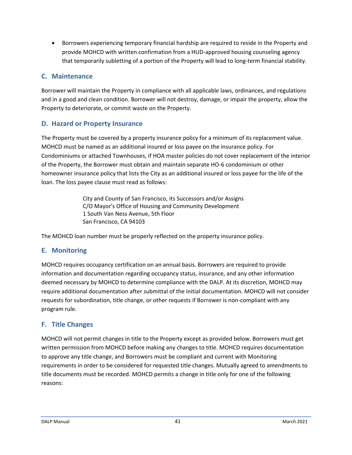• Borrowers experiencing temporary financial hardship are required to reside in the Property and provide MOHCD with written confirmation from a HUD-approved housing counseling agency that temporarily subletting of a portion of the Property will lead to long-term financial stability.

## **C. Maintenance**

Borrower will maintain the Property in compliance with all applicable laws, ordinances, and regulations and in a good and clean condition. Borrower will not destroy, damage, or impair the property, allow the Property to deteriorate, or commit waste on the Property.

## **D. Hazard or Property Insurance**

The Property must be covered by a property insurance policy for a minimum of its replacement value. MOHCD must be named as an additional insured or loss payee on the insurance policy. For Condominiums or attached Townhouses, if HOA master policies do not cover replacement of the interior of the Property, the Borrower must obtain and maintain separate HO-6 condominium or other homeowner insurance policy that lists the City as an additional insured or loss payee for the life of the loan. The loss payee clause must read as follows:

> City and County of San Francisco, its Successors and/or Assigns C/O Mayor's Office of Housing and Community Development 1 South Van Ness Avenue, 5th Floor San Francisco, CA 94103

The MOHCD loan number must be properly reflected on the property insurance policy.

## **E. Monitoring**

MOHCD requires occupancy certification on an annual basis. Borrowers are required to provide information and documentation regarding occupancy status, insurance, and any other information deemed necessary by MOHCD to determine compliance with the DALP. At its discretion, MOHCD may require additional documentation after submittal of the initial documentation. MOHCD will not consider requests for subordination, title change, or other requests if Borrower is non-compliant with any program rule.

## **F. Title Changes**

MOHCD will not permit changes in title to the Property except as provided below. Borrowers must get written permission from MOHCD before making any changes to title. MOHCD requires documentation to approve any title change, and Borrowers must be compliant and current with Monitoring requirements in order to be considered for requested title changes. Mutually agreed to amendments to title documents must be recorded. MOHCD permits a change in title only for one of the following reasons: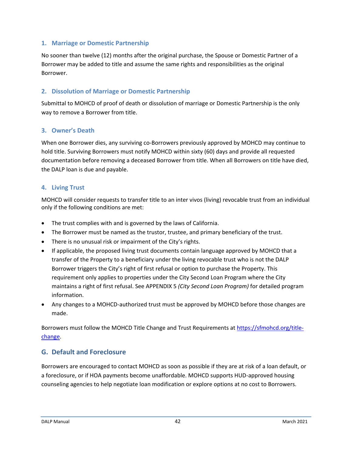#### **1. Marriage or Domestic Partnership**

No sooner than twelve (12) months after the original purchase, the Spouse or Domestic Partner of a Borrower may be added to title and assume the same rights and responsibilities as the original Borrower.

#### **2. Dissolution of Marriage or Domestic Partnership**

Submittal to MOHCD of proof of death or dissolution of marriage or Domestic Partnership is the only way to remove a Borrower from title.

#### **3. Owner's Death**

When one Borrower dies, any surviving co-Borrowers previously approved by MOHCD may continue to hold title. Surviving Borrowers must notify MOHCD within sixty (60) days and provide all requested documentation before removing a deceased Borrower from title. When all Borrowers on title have died, the DALP loan is due and payable.

#### **4. Living Trust**

MOHCD will consider requests to transfer title to an inter vivos (living) revocable trust from an individual only if the following conditions are met:

- The trust complies with and is governed by the laws of California.
- The Borrower must be named as the trustor, trustee, and primary beneficiary of the trust.
- There is no unusual risk or impairment of the City's rights.
- If applicable, the proposed living trust documents contain language approved by MOHCD that a transfer of the Property to a beneficiary under the living revocable trust who is not the DALP Borrower triggers the City's right of first refusal or option to purchase the Property. This requirement only applies to properties under the City Second Loan Program where the City maintains a right of first refusal. See APPENDIX 5 *(City Second Loan Program)* for detailed program information.
- Any changes to a MOHCD-authorized trust must be approved by MOHCD before those changes are made.

Borrowers must follow the MOHCD Title Change and Trust Requirements at [https://sfmohcd.org/title](https://sfmohcd.org/title-change)[change.](https://sfmohcd.org/title-change)

## **G. Default and Foreclosure**

Borrowers are encouraged to contact MOHCD as soon as possible if they are at risk of a loan default, or a foreclosure, or if HOA payments become unaffordable. MOHCD supports HUD-approved housing counseling agencies to help negotiate loan modification or explore options at no cost to Borrowers.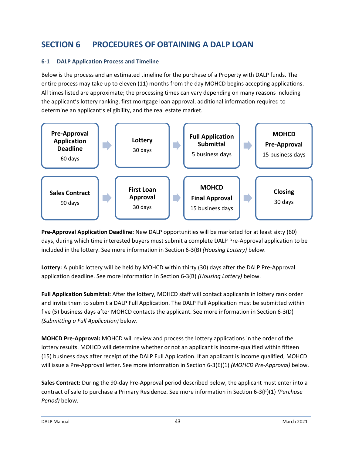# **SECTION 6 PROCEDURES OF OBTAINING A DALP LOAN**

#### **6-1 DALP Application Process and Timeline**

Below is the process and an estimated timeline for the purchase of a Property with DALP funds. The entire process may take up to eleven (11) months from the day MOHCD begins accepting applications. All times listed are approximate; the processing times can vary depending on many reasons including the applicant's lottery ranking, first mortgage loan approval, additional information required to determine an applicant's eligibility, and the real estate market.



**Pre-Approval Application Deadline:** New DALP opportunities will be marketed for at least sixty (60) days, during which time interested buyers must submit a complete DALP Pre-Approval application to be included in the lottery. See more information in Section 6-3(B) *(Housing Lottery)* below.

**Lottery:** A public lottery will be held by MOHCD within thirty (30) days after the DALP Pre-Approval application deadline. See more information in Section 6-3(B) *(Housing Lottery)* below.

**Full Application Submittal:** After the lottery, MOHCD staff will contact applicants in lottery rank order and invite them to submit a DALP Full Application. The DALP Full Application must be submitted within five (5) business days after MOHCD contacts the applicant. See more information in Section 6-3(D) *(Submitting a Full Application)* below.

**MOHCD Pre-Approval:** MOHCD will review and process the lottery applications in the order of the lottery results. MOHCD will determine whether or not an applicant is income-qualified within fifteen (15) business days after receipt of the DALP Full Application. If an applicant is income qualified, MOHCD will issue a Pre-Approval letter. See more information in Section 6-3(E)(1) *(MOHCD Pre-Approval)* below.

**Sales Contract:** During the 90-day Pre-Approval period described below, the applicant must enter into a contract of sale to purchase a Primary Residence. See more information in Section 6-3(F)(1) *(Purchase Period)* below.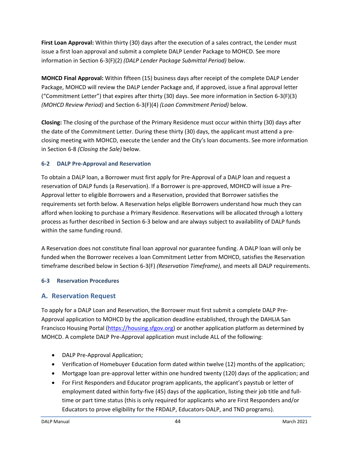**First Loan Approval:** Within thirty (30) days after the execution of a sales contract, the Lender must issue a first loan approval and submit a complete DALP Lender Package to MOHCD. See more information in Section 6-3(F)(2) *(DALP Lender Package Submittal Period)* below.

**MOHCD Final Approval:** Within fifteen (15) business days after receipt of the complete DALP Lender Package, MOHCD will review the DALP Lender Package and, if approved, issue a final approval letter ("Commitment Letter") that expires after thirty (30) days. See more information in Section 6-3(F)(3) *(MOHCD Review Period)* and Section 6-3(F)(4) *(Loan Commitment Period)* below.

**Closing:** The closing of the purchase of the Primary Residence must occur within thirty (30) days after the date of the Commitment Letter. During these thirty (30) days, the applicant must attend a preclosing meeting with MOHCD, execute the Lender and the City's loan documents. See more information in Section 6-8 *(Closing the Sale)* below.

#### **6-2 DALP Pre-Approval and Reservation**

To obtain a DALP loan, a Borrower must first apply for Pre-Approval of a DALP loan and request a reservation of DALP funds (a Reservation). If a Borrower is pre-approved, MOHCD will issue a Pre-Approval letter to eligible Borrowers and a Reservation, provided that Borrower satisfies the requirements set forth below. A Reservation helps eligible Borrowers understand how much they can afford when looking to purchase a Primary Residence. Reservations will be allocated through a lottery process as further described in Section 6-3 below and are always subject to availability of DALP funds within the same funding round.

A Reservation does not constitute final loan approval nor guarantee funding. A DALP loan will only be funded when the Borrower receives a loan Commitment Letter from MOHCD, satisfies the Reservation timeframe described below in Section 6-3(F) *(Reservation Timeframe)*, and meets all DALP requirements.

#### **6-3 Reservation Procedures**

## **A. Reservation Request**

To apply for a DALP Loan and Reservation, the Borrower must first submit a complete DALP Pre-Approval application to MOHCD by the application deadline established, through the DAHLIA San Francisco Housing Portal [\(https://housing.sfgov.org\)](https://housing.sfgov.org/) or another application platform as determined by MOHCD. A complete DALP Pre-Approval application must include ALL of the following:

- DALP Pre-Approval Application;
- Verification of Homebuyer Education form dated within twelve (12) months of the application;
- Mortgage loan pre-approval letter within one hundred twenty (120) days of the application; and
- For First Responders and Educator program applicants, the applicant's paystub or letter of employment dated within forty-five (45) days of the application, listing their job title and fulltime or part time status (this is only required for applicants who are First Responders and/or Educators to prove eligibility for the FRDALP, Educators-DALP, and TND programs).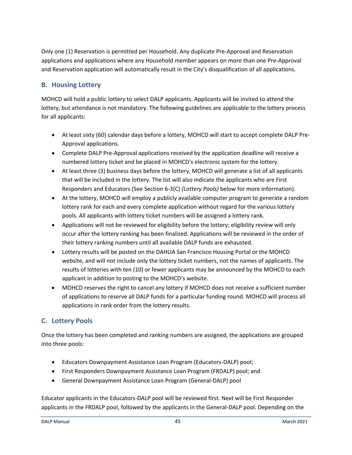Only one (1) Reservation is permitted per Household. Any duplicate Pre-Approval and Reservation applications and applications where any Household member appears on more than one Pre-Approval and Reservation application will automatically result in the City's disqualification of all applications.

# **B. Housing Lottery**

MOHCD will hold a public lottery to select DALP applicants. Applicants will be invited to attend the lottery, but attendance is not mandatory. The following guidelines are applicable to the lottery process for all applicants:

- At least sixty (60) calendar days before a lottery, MOHCD will start to accept complete DALP Pre-Approval applications.
- Complete DALP Pre-Approval applications received by the application deadline will receive a numbered lottery ticket and be placed in MOHCD's electronic system for the lottery.
- At least three (3) business days before the lottery, MOHCD will generate a list of all applicants that will be included in the lottery. The list will also indicate the applicants who are First Responders and Educators (See Section 6-3(C) *(Lottery Pools)* below for more information).
- At the lottery, MOHCD will employ a publicly available computer program to generate a random lottery rank for each and every complete application without regard for the various lottery pools. All applicants with lottery ticket numbers will be assigned a lottery rank.
- Applications will not be reviewed for eligibility before the lottery; eligibility review will only occur after the lottery ranking has been finalized. Applications will be reviewed in the order of their lottery ranking numbers until all available DALP funds are exhausted.
- Lottery results will be posted on the DAHLIA San Francisco Housing Portal or the MOHCD website, and will not include only the lottery ticket numbers, not the names of applicants. The results of lotteries with ten (10) or fewer applicants may be announced by the MOHCD to each applicant in addition to posting to the MOHCD's website.
- MOHCD reserves the right to cancel any lottery if MOHCD does not receive a sufficient number of applications to reserve all DALP funds for a particular funding round. MOHCD will process all applications in rank order from the lottery results.

# **C. Lottery Pools**

Once the lottery has been completed and ranking numbers are assigned, the applications are grouped into three pools:

- Educators Downpayment Assistance Loan Program (Educators-DALP) pool;
- First Responders Downpayment Assistance Loan Program (FRDALP) pool; and
- General Downpayment Assistance Loan Program (General-DALP) pool

Educator applicants in the Educators-DALP pool will be reviewed first. Next will be First Responder applicants in the FRDALP pool, followed by the applicants in the General-DALP pool. Depending on the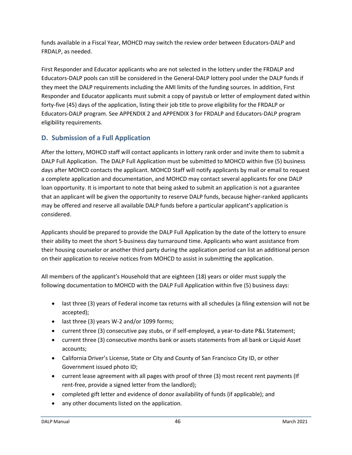funds available in a Fiscal Year, MOHCD may switch the review order between Educators-DALP and FRDALP, as needed.

First Responder and Educator applicants who are not selected in the lottery under the FRDALP and Educators-DALP pools can still be considered in the General-DALP lottery pool under the DALP funds if they meet the DALP requirements including the AMI limits of the funding sources. In addition, First Responder and Educator applicants must submit a copy of paystub or letter of employment dated within forty-five (45) days of the application, listing their job title to prove eligibility for the FRDALP or Educators-DALP program. See APPENDIX 2 and APPENDIX 3 for FRDALP and Educators-DALP program eligibility requirements.

# **D. Submission of a Full Application**

After the lottery, MOHCD staff will contact applicants in lottery rank order and invite them to submit a DALP Full Application. The DALP Full Application must be submitted to MOHCD within five (5) business days after MOHCD contacts the applicant. MOHCD Staff will notify applicants by mail or email to request a complete application and documentation, and MOHCD may contact several applicants for one DALP loan opportunity. It is important to note that being asked to submit an application is not a guarantee that an applicant will be given the opportunity to reserve DALP funds, because higher-ranked applicants may be offered and reserve all available DALP funds before a particular applicant's application is considered.

Applicants should be prepared to provide the DALP Full Application by the date of the lottery to ensure their ability to meet the short 5-business day turnaround time. Applicants who want assistance from their housing counselor or another third party during the application period can list an additional person on their application to receive notices from MOHCD to assist in submitting the application.

All members of the applicant's Household that are eighteen (18) years or older must supply the following documentation to MOHCD with the DALP Full Application within five (5) business days:

- last three (3) years of Federal income tax returns with all schedules (a filing extension will not be accepted);
- last three (3) years W-2 and/or 1099 forms;
- current three (3) consecutive pay stubs, or if self-employed, a year-to-date P&L Statement;
- current three (3) consecutive months bank or assets statements from all bank or Liquid Asset accounts;
- California Driver's License, State or City and County of San Francisco City ID, or other Government issued photo ID;
- current lease agreement with all pages with proof of three (3) most recent rent payments (If rent-free, provide a signed letter from the landlord);
- completed gift letter and evidence of donor availability of funds (if applicable); and
- any other documents listed on the application.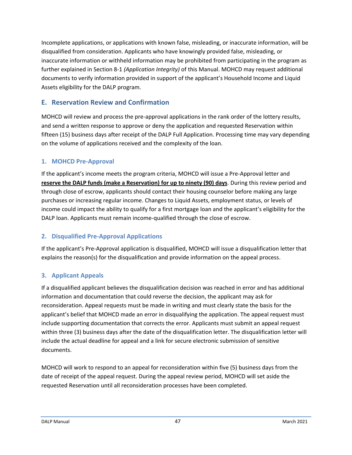Incomplete applications, or applications with known false, misleading, or inaccurate information, will be disqualified from consideration. Applicants who have knowingly provided false, misleading, or inaccurate information or withheld information may be prohibited from participating in the program as further explained in Section 8-1 *(Application Integrity)* of this Manual. MOHCD may request additional documents to verify information provided in support of the applicant's Household Income and Liquid Assets eligibility for the DALP program.

# **E. Reservation Review and Confirmation**

MOHCD will review and process the pre-approval applications in the rank order of the lottery results, and send a written response to approve or deny the application and requested Reservation within fifteen (15) business days after receipt of the DALP Full Application. Processing time may vary depending on the volume of applications received and the complexity of the loan.

## **1. MOHCD Pre-Approval**

If the applicant's income meets the program criteria, MOHCD will issue a Pre-Approval letter and **reserve the DALP funds (make a Reservation) for up to ninety (90) days**. During this review period and through close of escrow, applicants should contact their housing counselor before making any large purchases or increasing regular income. Changes to Liquid Assets, employment status, or levels of income could impact the ability to qualify for a first mortgage loan and the applicant's eligibility for the DALP loan. Applicants must remain income-qualified through the close of escrow.

## **2. Disqualified Pre-Approval Applications**

If the applicant's Pre-Approval application is disqualified, MOHCD will issue a disqualification letter that explains the reason(s) for the disqualification and provide information on the appeal process.

## **3. Applicant Appeals**

If a disqualified applicant believes the disqualification decision was reached in error and has additional information and documentation that could reverse the decision, the applicant may ask for reconsideration. Appeal requests must be made in writing and must clearly state the basis for the applicant's belief that MOHCD made an error in disqualifying the application. The appeal request must include supporting documentation that corrects the error. Applicants must submit an appeal request within three (3) business days after the date of the disqualification letter. The disqualification letter will include the actual deadline for appeal and a link for secure electronic submission of sensitive documents.

MOHCD will work to respond to an appeal for reconsideration within five (5) business days from the date of receipt of the appeal request. During the appeal review period, MOHCD will set aside the requested Reservation until all reconsideration processes have been completed.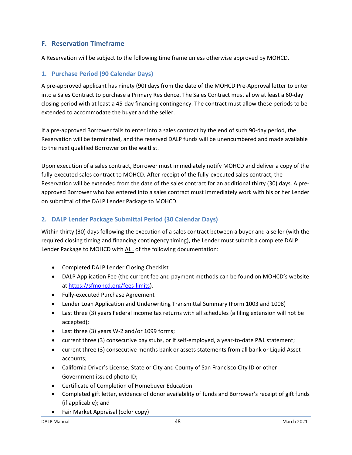## **F. Reservation Timeframe**

A Reservation will be subject to the following time frame unless otherwise approved by MOHCD.

#### **1. Purchase Period (90 Calendar Days)**

A pre-approved applicant has ninety (90) days from the date of the MOHCD Pre-Approval letter to enter into a Sales Contract to purchase a Primary Residence. The Sales Contract must allow at least a 60-day closing period with at least a 45-day financing contingency. The contract must allow these periods to be extended to accommodate the buyer and the seller.

If a pre-approved Borrower fails to enter into a sales contract by the end of such 90-day period, the Reservation will be terminated, and the reserved DALP funds will be unencumbered and made available to the next qualified Borrower on the waitlist.

Upon execution of a sales contract, Borrower must immediately notify MOHCD and deliver a copy of the fully-executed sales contract to MOHCD. After receipt of the fully-executed sales contract, the Reservation will be extended from the date of the sales contract for an additional thirty (30) days. A preapproved Borrower who has entered into a sales contract must immediately work with his or her Lender on submittal of the DALP Lender Package to MOHCD.

#### **2. DALP Lender Package Submittal Period (30 Calendar Days)**

Within thirty (30) days following the execution of a sales contract between a buyer and a seller (with the required closing timing and financing contingency timing), the Lender must submit a complete DALP Lender Package to MOHCD with ALL of the following documentation:

- Completed DALP Lender Closing Checklist
- DALP Application Fee (the current fee and payment methods can be found on MOHCD's website at [https://sfmohcd.org/fees-limits\)](https://sfmohcd.org/fees-limits).
- Fully-executed Purchase Agreement
- Lender Loan Application and Underwriting Transmittal Summary (Form 1003 and 1008)
- Last three (3) years Federal income tax returns with all schedules (a filing extension will not be accepted);
- Last three (3) years W-2 and/or 1099 forms;
- current three (3) consecutive pay stubs, or if self-employed, a year-to-date P&L statement;
- current three (3) consecutive months bank or assets statements from all bank or Liquid Asset accounts;
- California Driver's License, State or City and County of San Francisco City ID or other Government issued photo ID;
- Certificate of Completion of Homebuyer Education
- Completed gift letter, evidence of donor availability of funds and Borrower's receipt of gift funds (if applicable); and
- Fair Market Appraisal (color copy)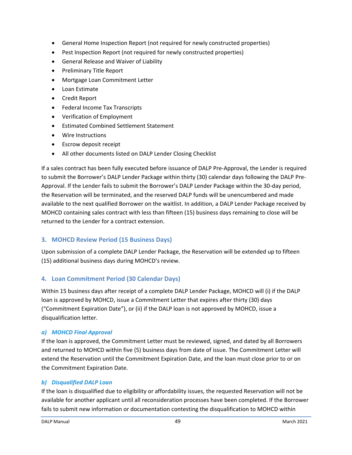- General Home Inspection Report (not required for newly constructed properties)
- Pest Inspection Report (not required for newly constructed properties)
- General Release and Waiver of Liability
- Preliminary Title Report
- Mortgage Loan Commitment Letter
- Loan Estimate
- Credit Report
- Federal Income Tax Transcripts
- Verification of Employment
- Estimated Combined Settlement Statement
- Wire Instructions
- Escrow deposit receipt
- All other documents listed on DALP Lender Closing Checklist

If a sales contract has been fully executed before issuance of DALP Pre-Approval, the Lender is required to submit the Borrower's DALP Lender Package within thirty (30) calendar days following the DALP Pre-Approval. If the Lender fails to submit the Borrower's DALP Lender Package within the 30-day period, the Reservation will be terminated, and the reserved DALP funds will be unencumbered and made available to the next qualified Borrower on the waitlist. In addition, a DALP Lender Package received by MOHCD containing sales contract with less than fifteen (15) business days remaining to close will be returned to the Lender for a contract extension.

## **3. MOHCD Review Period (15 Business Days)**

Upon submission of a complete DALP Lender Package, the Reservation will be extended up to fifteen (15) additional business days during MOHCD's review.

## **4. Loan Commitment Period (30 Calendar Days)**

Within 15 business days after receipt of a complete DALP Lender Package, MOHCD will (i) if the DALP loan is approved by MOHCD, issue a Commitment Letter that expires after thirty (30) days ("Commitment Expiration Date"), or (ii) if the DALP loan is not approved by MOHCD, issue a disqualification letter.

#### *a) MOHCD Final Approval*

If the loan is approved, the Commitment Letter must be reviewed, signed, and dated by all Borrowers and returned to MOHCD within five (5) business days from date of issue. The Commitment Letter will extend the Reservation until the Commitment Expiration Date, and the loan must close prior to or on the Commitment Expiration Date.

## *b) Disqualified DALP Loan*

If the loan is disqualified due to eligibility or affordability issues, the requested Reservation will not be available for another applicant until all reconsideration processes have been completed. If the Borrower fails to submit new information or documentation contesting the disqualification to MOHCD within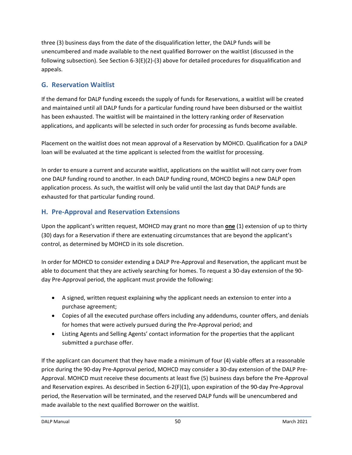three (3) business days from the date of the disqualification letter, the DALP funds will be unencumbered and made available to the next qualified Borrower on the waitlist (discussed in the following subsection). See Section 6-3(E)(2)-(3) above for detailed procedures for disqualification and appeals.

# **G. Reservation Waitlist**

If the demand for DALP funding exceeds the supply of funds for Reservations, a waitlist will be created and maintained until all DALP funds for a particular funding round have been disbursed or the waitlist has been exhausted. The waitlist will be maintained in the lottery ranking order of Reservation applications, and applicants will be selected in such order for processing as funds become available.

Placement on the waitlist does not mean approval of a Reservation by MOHCD. Qualification for a DALP loan will be evaluated at the time applicant is selected from the waitlist for processing.

In order to ensure a current and accurate waitlist, applications on the waitlist will not carry over from one DALP funding round to another. In each DALP funding round, MOHCD begins a new DALP open application process. As such, the waitlist will only be valid until the last day that DALP funds are exhausted for that particular funding round.

## **H. Pre-Approval and Reservation Extensions**

Upon the applicant's written request, MOHCD may grant no more than **one** (1) extension of up to thirty (30) days for a Reservation if there are extenuating circumstances that are beyond the applicant's control, as determined by MOHCD in its sole discretion.

In order for MOHCD to consider extending a DALP Pre-Approval and Reservation, the applicant must be able to document that they are actively searching for homes. To request a 30-day extension of the 90 day Pre-Approval period, the applicant must provide the following:

- A signed, written request explaining why the applicant needs an extension to enter into a purchase agreement;
- Copies of all the executed purchase offers including any addendums, counter offers, and denials for homes that were actively pursued during the Pre-Approval period; and
- Listing Agents and Selling Agents' contact information for the properties that the applicant submitted a purchase offer.

If the applicant can document that they have made a minimum of four (4) viable offers at a reasonable price during the 90-day Pre-Approval period, MOHCD may consider a 30-day extension of the DALP Pre-Approval. MOHCD must receive these documents at least five (5) business days before the Pre-Approval and Reservation expires. As described in Section 6-2(F)(1), upon expiration of the 90-day Pre-Approval period, the Reservation will be terminated, and the reserved DALP funds will be unencumbered and made available to the next qualified Borrower on the waitlist.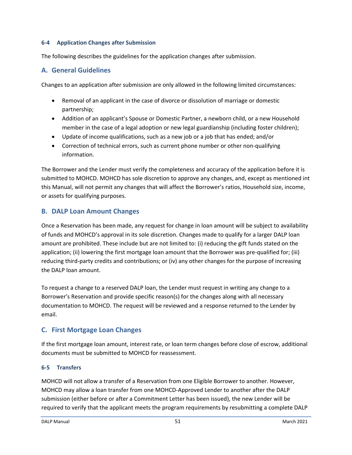#### **6-4 Application Changes after Submission**

The following describes the guidelines for the application changes after submission.

## **A. General Guidelines**

Changes to an application after submission are only allowed in the following limited circumstances:

- Removal of an applicant in the case of divorce or dissolution of marriage or domestic partnership;
- Addition of an applicant's Spouse or Domestic Partner, a newborn child, or a new Household member in the case of a legal adoption or new legal guardianship (including foster children);
- Update of income qualifications, such as a new job or a job that has ended; and/or
- Correction of technical errors, such as current phone number or other non-qualifying information.

The Borrower and the Lender must verify the completeness and accuracy of the application before it is submitted to MOHCD. MOHCD has sole discretion to approve any changes, and, except as mentioned int this Manual, will not permit any changes that will affect the Borrower's ratios, Household size, income, or assets for qualifying purposes.

## **B. DALP Loan Amount Changes**

Once a Reservation has been made, any request for change in loan amount will be subject to availability of funds and MOHCD's approval in its sole discretion. Changes made to qualify for a larger DALP loan amount are prohibited. These include but are not limited to: (i) reducing the gift funds stated on the application; (ii) lowering the first mortgage loan amount that the Borrower was pre-qualified for; (iii) reducing third-party credits and contributions; or (iv) any other changes for the purpose of increasing the DALP loan amount.

To request a change to a reserved DALP loan, the Lender must request in writing any change to a Borrower's Reservation and provide specific reason(s) for the changes along with all necessary documentation to MOHCD. The request will be reviewed and a response returned to the Lender by email.

## **C. First Mortgage Loan Changes**

If the first mortgage loan amount, interest rate, or loan term changes before close of escrow, additional documents must be submitted to MOHCD for reassessment.

#### **6-5 Transfers**

MOHCD will not allow a transfer of a Reservation from one Eligible Borrower to another. However, MOHCD may allow a loan transfer from one MOHCD-Approved Lender to another after the DALP submission (either before or after a Commitment Letter has been issued), the new Lender will be required to verify that the applicant meets the program requirements by resubmitting a complete DALP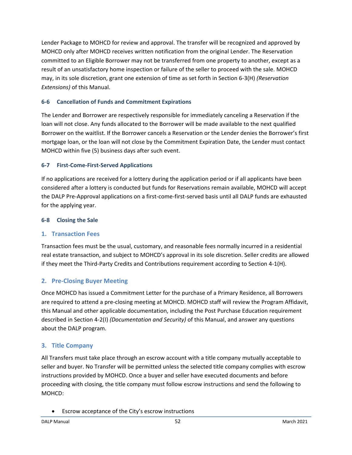Lender Package to MOHCD for review and approval. The transfer will be recognized and approved by MOHCD only after MOHCD receives written notification from the original Lender. The Reservation committed to an Eligible Borrower may not be transferred from one property to another, except as a result of an unsatisfactory home inspection or failure of the seller to proceed with the sale. MOHCD may, in its sole discretion, grant one extension of time as set forth in Section 6-3(H) *(Reservation Extensions)* of this Manual.

#### **6-6 Cancellation of Funds and Commitment Expirations**

The Lender and Borrower are respectively responsible for immediately canceling a Reservation if the loan will not close. Any funds allocated to the Borrower will be made available to the next qualified Borrower on the waitlist. If the Borrower cancels a Reservation or the Lender denies the Borrower's first mortgage loan, or the loan will not close by the Commitment Expiration Date, the Lender must contact MOHCD within five (5) business days after such event.

#### **6-7 First-Come-First-Served Applications**

If no applications are received for a lottery during the application period or if all applicants have been considered after a lottery is conducted but funds for Reservations remain available, MOHCD will accept the DALP Pre-Approval applications on a first-come-first-served basis until all DALP funds are exhausted for the applying year.

#### **6-8 Closing the Sale**

#### **1. Transaction Fees**

Transaction fees must be the usual, customary, and reasonable fees normally incurred in a residential real estate transaction, and subject to MOHCD's approval in its sole discretion. Seller credits are allowed if they meet the Third-Party Credits and Contributions requirement according to Section 4-1(H).

## **2. Pre-Closing Buyer Meeting**

Once MOHCD has issued a Commitment Letter for the purchase of a Primary Residence, all Borrowers are required to attend a pre-closing meeting at MOHCD. MOHCD staff will review the Program Affidavit, this Manual and other applicable documentation, including the Post Purchase Education requirement described in Section 4-2(I) *(Documentation and Security)* of this Manual, and answer any questions about the DALP program.

## **3. Title Company**

All Transfers must take place through an escrow account with a title company mutually acceptable to seller and buyer. No Transfer will be permitted unless the selected title company complies with escrow instructions provided by MOHCD. Once a buyer and seller have executed documents and before proceeding with closing, the title company must follow escrow instructions and send the following to MOHCD:

• Escrow acceptance of the City's escrow instructions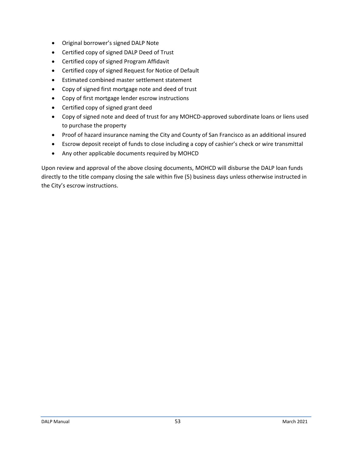- Original borrower's signed DALP Note
- Certified copy of signed DALP Deed of Trust
- Certified copy of signed Program Affidavit
- Certified copy of signed Request for Notice of Default
- Estimated combined master settlement statement
- Copy of signed first mortgage note and deed of trust
- Copy of first mortgage lender escrow instructions
- Certified copy of signed grant deed
- Copy of signed note and deed of trust for any MOHCD-approved subordinate loans or liens used to purchase the property
- Proof of hazard insurance naming the City and County of San Francisco as an additional insured
- Escrow deposit receipt of funds to close including a copy of cashier's check or wire transmittal
- Any other applicable documents required by MOHCD

Upon review and approval of the above closing documents, MOHCD will disburse the DALP loan funds directly to the title company closing the sale within five (5) business days unless otherwise instructed in the City's escrow instructions.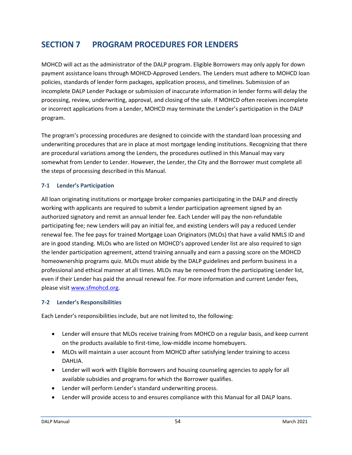# **SECTION 7 PROGRAM PROCEDURES FOR LENDERS**

MOHCD will act as the administrator of the DALP program. Eligible Borrowers may only apply for down payment assistance loans through MOHCD-Approved Lenders. The Lenders must adhere to MOHCD loan policies, standards of lender form packages, application process, and timelines. Submission of an incomplete DALP Lender Package or submission of inaccurate information in lender forms will delay the processing, review, underwriting, approval, and closing of the sale. If MOHCD often receives incomplete or incorrect applications from a Lender, MOHCD may terminate the Lender's participation in the DALP program.

The program's processing procedures are designed to coincide with the standard loan processing and underwriting procedures that are in place at most mortgage lending institutions. Recognizing that there are procedural variations among the Lenders, the procedures outlined in this Manual may vary somewhat from Lender to Lender. However, the Lender, the City and the Borrower must complete all the steps of processing described in this Manual.

#### **7-1 Lender's Participation**

All loan originating institutions or mortgage broker companies participating in the DALP and directly working with applicants are required to submit a lender participation agreement signed by an authorized signatory and remit an annual lender fee. Each Lender will pay the non-refundable participating fee; new Lenders will pay an initial fee, and existing Lenders will pay a reduced Lender renewal fee. The fee pays for trained Mortgage Loan Originators (MLOs) that have a valid NMLS ID and are in good standing. MLOs who are listed on MOHCD's approved Lender list are also required to sign the lender participation agreement, attend training annually and earn a passing score on the MOHCD homeownership programs quiz. MLOs must abide by the DALP guidelines and perform business in a professional and ethical manner at all times. MLOs may be removed from the participating Lender list, even if their Lender has paid the annual renewal fee. For more information and current Lender fees, please visit [www.sfmohcd.org.](http://www.sfmohcd.org/)

#### **7-2 Lender's Responsibilities**

Each Lender's responsibilities include, but are not limited to, the following:

- Lender will ensure that MLOs receive training from MOHCD on a regular basis, and keep current on the products available to first-time, low-middle income homebuyers.
- MLOs will maintain a user account from MOHCD after satisfying lender training to access DAHLIA.
- Lender will work with Eligible Borrowers and housing counseling agencies to apply for all available subsidies and programs for which the Borrower qualifies.
- Lender will perform Lender's standard underwriting process.
- Lender will provide access to and ensures compliance with this Manual for all DALP loans.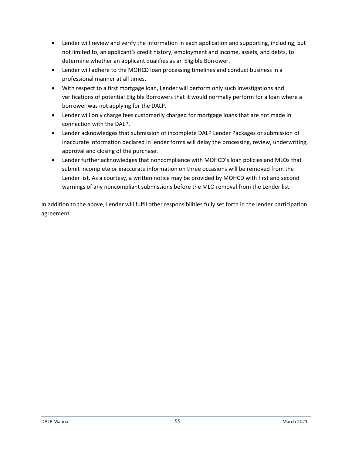- Lender will review and verify the information in each application and supporting, including, but not limited to, an applicant's credit history, employment and income, assets, and debts, to determine whether an applicant qualifies as an Eligible Borrower.
- Lender will adhere to the MOHCD loan processing timelines and conduct business in a professional manner at all times.
- With respect to a first mortgage loan, Lender will perform only such investigations and verifications of potential Eligible Borrowers that it would normally perform for a loan where a borrower was not applying for the DALP.
- Lender will only charge fees customarily charged for mortgage loans that are not made in connection with the DALP.
- Lender acknowledges that submission of incomplete DALP Lender Packages or submission of inaccurate information declared in lender forms will delay the processing, review, underwriting, approval and closing of the purchase.
- Lender further acknowledges that noncompliance with MOHCD's loan policies and MLOs that submit incomplete or inaccurate information on three occasions will be removed from the Lender list. As a courtesy, a written notice may be provided by MOHCD with first and second warnings of any noncompliant submissions before the MLO removal from the Lender list.

In addition to the above, Lender will fulfil other responsibilities fully set forth in the lender participation agreement.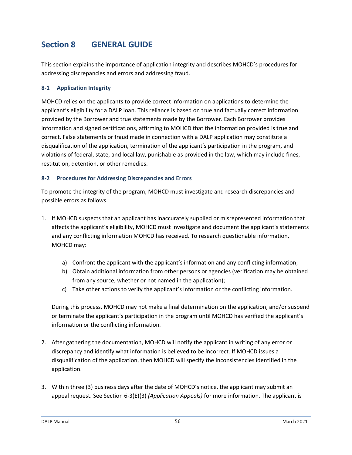# **Section 8 GENERAL GUIDE**

This section explains the importance of application integrity and describes MOHCD's procedures for addressing discrepancies and errors and addressing fraud.

#### **8-1 Application Integrity**

MOHCD relies on the applicants to provide correct information on applications to determine the applicant's eligibility for a DALP loan. This reliance is based on true and factually correct information provided by the Borrower and true statements made by the Borrower. Each Borrower provides information and signed certifications, affirming to MOHCD that the information provided is true and correct. False statements or fraud made in connection with a DALP application may constitute a disqualification of the application, termination of the applicant's participation in the program, and violations of federal, state, and local law, punishable as provided in the law, which may include fines, restitution, detention, or other remedies.

#### **8-2 Procedures for Addressing Discrepancies and Errors**

To promote the integrity of the program, MOHCD must investigate and research discrepancies and possible errors as follows.

- 1. If MOHCD suspects that an applicant has inaccurately supplied or misrepresented information that affects the applicant's eligibility, MOHCD must investigate and document the applicant's statements and any conflicting information MOHCD has received. To research questionable information, MOHCD may:
	- a) Confront the applicant with the applicant's information and any conflicting information;
	- b) Obtain additional information from other persons or agencies (verification may be obtained from any source, whether or not named in the application);
	- c) Take other actions to verify the applicant's information or the conflicting information.

During this process, MOHCD may not make a final determination on the application, and/or suspend or terminate the applicant's participation in the program until MOHCD has verified the applicant's information or the conflicting information.

- 2. After gathering the documentation, MOHCD will notify the applicant in writing of any error or discrepancy and identify what information is believed to be incorrect. If MOHCD issues a disqualification of the application, then MOHCD will specify the inconsistencies identified in the application.
- 3. Within three (3) business days after the date of MOHCD's notice, the applicant may submit an appeal request. See Section 6-3(E)(3) *(Application Appeals)* for more information. The applicant is

DALP Manual 56 March 2021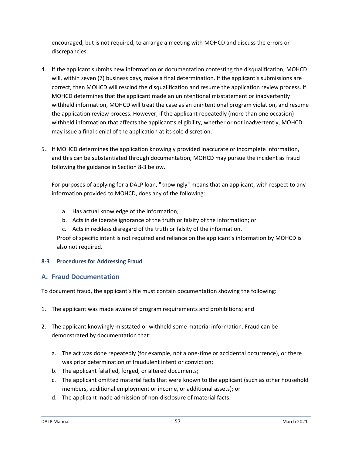encouraged, but is not required, to arrange a meeting with MOHCD and discuss the errors or discrepancies.

- 4. If the applicant submits new information or documentation contesting the disqualification, MOHCD will, within seven (7) business days, make a final determination. If the applicant's submissions are correct, then MOHCD will rescind the disqualification and resume the application review process. If MOHCD determines that the applicant made an unintentional misstatement or inadvertently withheld information, MOHCD will treat the case as an unintentional program violation, and resume the application review process. However, if the applicant repeatedly (more than one occasion) withheld information that affects the applicant's eligibility, whether or not inadvertently, MOHCD may issue a final denial of the application at its sole discretion.
- 5. If MOHCD determines the application knowingly provided inaccurate or incomplete information, and this can be substantiated through documentation, MOHCD may pursue the incident as fraud following the guidance in Section 8-3 below.

For purposes of applying for a DALP loan, "knowingly" means that an applicant, with respect to any information provided to MOHCD, does any of the following:

- a. Has actual knowledge of the information;
- b. Acts in deliberate ignorance of the truth or falsity of the information; or
- c. Acts in reckless disregard of the truth or falsity of the information.

Proof of specific intent is not required and reliance on the applicant's information by MOHCD is also not required.

#### **8-3 Procedures for Addressing Fraud**

## **A. Fraud Documentation**

To document fraud, the applicant's file must contain documentation showing the following:

- 1. The applicant was made aware of program requirements and prohibitions; and
- 2. The applicant knowingly misstated or withheld some material information. Fraud can be demonstrated by documentation that:
	- a. The act was done repeatedly (for example, not a one-time or accidental occurrence), or there was prior determination of fraudulent intent or conviction;
	- b. The applicant falsified, forged, or altered documents;
	- c. The applicant omitted material facts that were known to the applicant (such as other household members, additional employment or income, or additional assets); or
	- d. The applicant made admission of non-disclosure of material facts.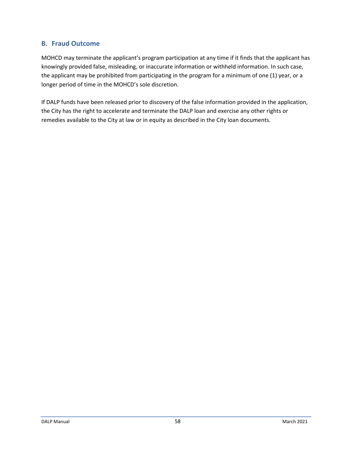## **B. Fraud Outcome**

MOHCD may terminate the applicant's program participation at any time if it finds that the applicant has knowingly provided false, misleading, or inaccurate information or withheld information. In such case, the applicant may be prohibited from participating in the program for a minimum of one (1) year, or a longer period of time in the MOHCD's sole discretion.

If DALP funds have been released prior to discovery of the false information provided in the application, the City has the right to accelerate and terminate the DALP loan and exercise any other rights or remedies available to the City at law or in equity as described in the City loan documents.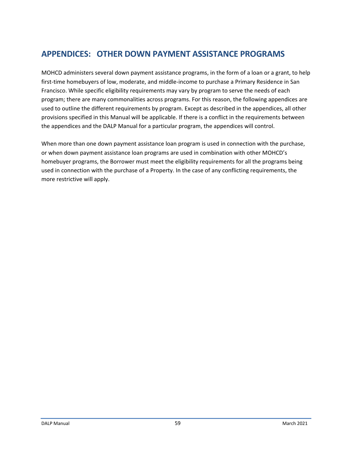# **APPENDICES: OTHER DOWN PAYMENT ASSISTANCE PROGRAMS**

MOHCD administers several down payment assistance programs, in the form of a loan or a grant, to help first-time homebuyers of low, moderate, and middle-income to purchase a Primary Residence in San Francisco. While specific eligibility requirements may vary by program to serve the needs of each program; there are many commonalities across programs. For this reason, the following appendices are used to outline the different requirements by program. Except as described in the appendices, all other provisions specified in this Manual will be applicable. If there is a conflict in the requirements between the appendices and the DALP Manual for a particular program, the appendices will control.

When more than one down payment assistance loan program is used in connection with the purchase, or when down payment assistance loan programs are used in combination with other MOHCD's homebuyer programs, the Borrower must meet the eligibility requirements for all the programs being used in connection with the purchase of a Property. In the case of any conflicting requirements, the more restrictive will apply.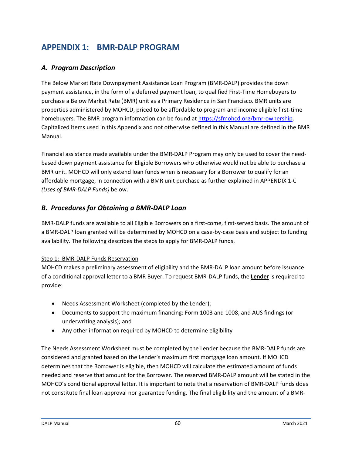# **APPENDIX 1: BMR-DALP PROGRAM**

# *A. Program Description*

The Below Market Rate Downpayment Assistance Loan Program (BMR-DALP) provides the down payment assistance, in the form of a deferred payment loan, to qualified First-Time Homebuyers to purchase a Below Market Rate (BMR) unit as a Primary Residence in San Francisco. BMR units are properties administered by MOHCD, priced to be affordable to program and income eligible first-time homebuyers. The BMR program information can be found at [https://sfmohcd.org/bmr-ownership.](https://sfmohcd.org/bmr-ownership) Capitalized items used in this Appendix and not otherwise defined in this Manual are defined in the BMR Manual.

Financial assistance made available under the BMR-DALP Program may only be used to cover the needbased down payment assistance for Eligible Borrowers who otherwise would not be able to purchase a BMR unit. MOHCD will only extend loan funds when is necessary for a Borrower to qualify for an affordable mortgage, in connection with a BMR unit purchase as further explained in APPENDIX 1-C *(Uses of BMR-DALP Funds)* below.

## *B. Procedures for Obtaining a BMR-DALP Loan*

BMR-DALP funds are available to all Eligible Borrowers on a first-come, first-served basis. The amount of a BMR-DALP loan granted will be determined by MOHCD on a case-by-case basis and subject to funding availability. The following describes the steps to apply for BMR-DALP funds.

## Step 1: BMR-DALP Funds Reservation

MOHCD makes a preliminary assessment of eligibility and the BMR-DALP loan amount before issuance of a conditional approval letter to a BMR Buyer. To request BMR-DALP funds, the **Lender** is required to provide:

- Needs Assessment Worksheet (completed by the Lender);
- Documents to support the maximum financing: Form 1003 and 1008, and AUS findings (or underwriting analysis); and
- Any other information required by MOHCD to determine eligibility

The Needs Assessment Worksheet must be completed by the Lender because the BMR-DALP funds are considered and granted based on the Lender's maximum first mortgage loan amount. If MOHCD determines that the Borrower is eligible, then MOHCD will calculate the estimated amount of funds needed and reserve that amount for the Borrower. The reserved BMR-DALP amount will be stated in the MOHCD's conditional approval letter. It is important to note that a reservation of BMR-DALP funds does not constitute final loan approval nor guarantee funding. The final eligibility and the amount of a BMR-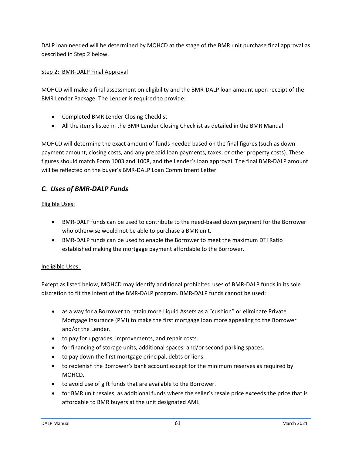DALP loan needed will be determined by MOHCD at the stage of the BMR unit purchase final approval as described in Step 2 below.

#### Step 2: BMR-DALP Final Approval

MOHCD will make a final assessment on eligibility and the BMR-DALP loan amount upon receipt of the BMR Lender Package. The Lender is required to provide:

- Completed BMR Lender Closing Checklist
- All the items listed in the BMR Lender Closing Checklist as detailed in the BMR Manual

MOHCD will determine the exact amount of funds needed based on the final figures (such as down payment amount, closing costs, and any prepaid loan payments, taxes, or other property costs). These figures should match Form 1003 and 1008, and the Lender's loan approval. The final BMR-DALP amount will be reflected on the buyer's BMR-DALP Loan Commitment Letter.

# *C. Uses of BMR-DALP Funds*

#### Eligible Uses:

- BMR-DALP funds can be used to contribute to the need-based down payment for the Borrower who otherwise would not be able to purchase a BMR unit.
- BMR-DALP funds can be used to enable the Borrower to meet the maximum DTI Ratio established making the mortgage payment affordable to the Borrower.

#### Ineligible Uses:

Except as listed below, MOHCD may identify additional prohibited uses of BMR-DALP funds in its sole discretion to fit the intent of the BMR-DALP program. BMR-DALP funds cannot be used:

- as a way for a Borrower to retain more Liquid Assets as a "cushion" or eliminate Private Mortgage Insurance (PMI) to make the first mortgage loan more appealing to the Borrower and/or the Lender.
- to pay for upgrades, improvements, and repair costs.
- for financing of storage units, additional spaces, and/or second parking spaces.
- to pay down the first mortgage principal, debts or liens.
- to replenish the Borrower's bank account except for the minimum reserves as required by MOHCD.
- to avoid use of gift funds that are available to the Borrower.
- for BMR unit resales, as additional funds where the seller's resale price exceeds the price that is affordable to BMR buyers at the unit designated AMI.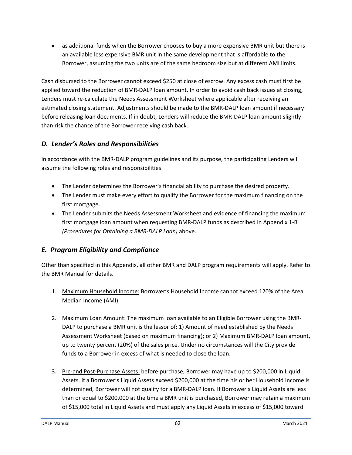• as additional funds when the Borrower chooses to buy a more expensive BMR unit but there is an available less expensive BMR unit in the same development that is affordable to the Borrower, assuming the two units are of the same bedroom size but at different AMI limits.

Cash disbursed to the Borrower cannot exceed \$250 at close of escrow. Any excess cash must first be applied toward the reduction of BMR-DALP loan amount. In order to avoid cash back issues at closing, Lenders must re-calculate the Needs Assessment Worksheet where applicable after receiving an estimated closing statement. Adjustments should be made to the BMR-DALP loan amount if necessary before releasing loan documents. If in doubt, Lenders will reduce the BMR-DALP loan amount slightly than risk the chance of the Borrower receiving cash back.

# *D. Lender's Roles and Responsibilities*

In accordance with the BMR-DALP program guidelines and its purpose, the participating Lenders will assume the following roles and responsibilities:

- The Lender determines the Borrower's financial ability to purchase the desired property.
- The Lender must make every effort to qualify the Borrower for the maximum financing on the first mortgage.
- The Lender submits the Needs Assessment Worksheet and evidence of financing the maximum first mortgage loan amount when requesting BMR-DALP funds as described in Appendix 1-B *(Procedures for Obtaining a BMR-DALP Loan)* above.

# *E. Program Eligibility and Compliance*

Other than specified in this Appendix, all other BMR and DALP program requirements will apply. Refer to the BMR Manual for details.

- 1. Maximum Household Income: Borrower's Household Income cannot exceed 120% of the Area Median Income (AMI).
- 2. Maximum Loan Amount: The maximum loan available to an Eligible Borrower using the BMR-DALP to purchase a BMR unit is the lessor of: 1) Amount of need established by the Needs Assessment Worksheet (based on maximum financing); or 2) Maximum BMR-DALP loan amount, up to twenty percent (20%) of the sales price. Under no circumstances will the City provide funds to a Borrower in excess of what is needed to close the loan.
- 3. Pre-and Post-Purchase Assets: before purchase, Borrower may have up to \$200,000 in Liquid Assets. If a Borrower's Liquid Assets exceed \$200,000 at the time his or her Household Income is determined, Borrower will not qualify for a BMR-DALP loan. If Borrower's Liquid Assets are less than or equal to \$200,000 at the time a BMR unit is purchased, Borrower may retain a maximum of \$15,000 total in Liquid Assets and must apply any Liquid Assets in excess of \$15,000 toward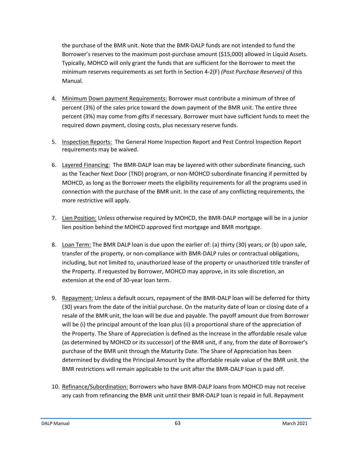the purchase of the BMR unit. Note that the BMR-DALP funds are not intended to fund the Borrower's reserves to the maximum post-purchase amount (\$15,000) allowed in Liquid Assets. Typically, MOHCD will only grant the funds that are sufficient for the Borrower to meet the minimum reserves requirements as set forth in Section 4-2(F) *(Post Purchase Reserves)* of this Manual.

- 4. Minimum Down payment Requirements: Borrower must contribute a minimum of three of percent (3%) of the sales price toward the down payment of the BMR unit. The entire three percent (3%) may come from gifts if necessary. Borrower must have sufficient funds to meet the required down payment, closing costs, plus necessary reserve funds.
- 5. Inspection Reports: The General Home Inspection Report and Pest Control Inspection Report requirements may be waived.
- 6. Layered Financing: The BMR-DALP loan may be layered with other subordinate financing, such as the Teacher Next Door (TND) program, or non-MOHCD subordinate financing if permitted by MOHCD, as long as the Borrower meets the eligibility requirements for all the programs used in connection with the purchase of the BMR unit. In the case of any conflicting requirements, the more restrictive will apply.
- 7. Lien Position: Unless otherwise required by MOHCD, the BMR-DALP mortgage will be in a junior lien position behind the MOHCD approved first mortgage and BMR mortgage.
- 8. Loan Term: The BMR DALP loan is due upon the earlier of: (a) thirty (30) years; or (b) upon sale, transfer of the property, or non-compliance with BMR-DALP rules or contractual obligations, including, but not limited to, unauthorized lease of the property or unauthorized title transfer of the Property. If requested by Borrower, MOHCD may approve, in its sole discretion, an extension at the end of 30-year loan term.
- 9. Repayment: Unless a default occurs, repayment of the BMR-DALP loan will be deferred for thirty (30) years from the date of the initial purchase. On the maturity date of loan or closing date of a resale of the BMR unit, the loan will be due and payable. The payoff amount due from Borrower will be (i) the principal amount of the loan plus (ii) a proportional share of the appreciation of the Property. The Share of Appreciation is defined as the increase in the affordable resale value (as determined by MOHCD or its successor) of the BMR unit, if any, from the date of Borrower's purchase of the BMR unit through the Maturity Date. The Share of Appreciation has been determined by dividing the Principal Amount by the affordable resale value of the BMR unit. the BMR restrictions will remain applicable to the unit after the BMR-DALP loan is paid off.
- 10. Refinance/Subordination: Borrowers who have BMR-DALP loans from MOHCD may not receive any cash from refinancing the BMR unit until their BMR-DALP loan is repaid in full. Repayment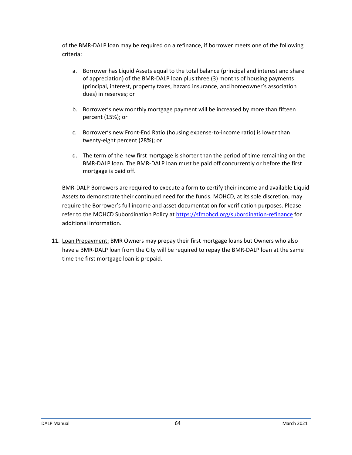of the BMR-DALP loan may be required on a refinance, if borrower meets one of the following criteria:

- a. Borrower has Liquid Assets equal to the total balance (principal and interest and share of appreciation) of the BMR-DALP loan plus three (3) months of housing payments (principal, interest, property taxes, hazard insurance, and homeowner's association dues) in reserves; or
- b. Borrower's new monthly mortgage payment will be increased by more than fifteen percent (15%); or
- c. Borrower's new Front-End Ratio (housing expense-to-income ratio) is lower than twenty-eight percent (28%); or
- d. The term of the new first mortgage is shorter than the period of time remaining on the BMR-DALP loan. The BMR-DALP loan must be paid off concurrently or before the first mortgage is paid off.

BMR-DALP Borrowers are required to execute a form to certify their income and available Liquid Assets to demonstrate their continued need for the funds. MOHCD, at its sole discretion, may require the Borrower's full income and asset documentation for verification purposes. Please refer to the MOHCD Subordination Policy at<https://sfmohcd.org/subordination-refinance> for additional information.

11. Loan Prepayment: BMR Owners may prepay their first mortgage loans but Owners who also have a BMR-DALP loan from the City will be required to repay the BMR-DALP loan at the same time the first mortgage loan is prepaid.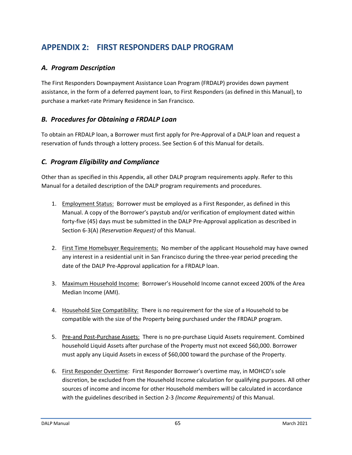# **APPENDIX 2: FIRST RESPONDERS DALP PROGRAM**

# *A. Program Description*

The First Responders Downpayment Assistance Loan Program (FRDALP) provides down payment assistance, in the form of a deferred payment loan, to First Responders (as defined in this Manual), to purchase a market-rate Primary Residence in San Francisco.

## *B. Procedures for Obtaining a FRDALP Loan*

To obtain an FRDALP loan, a Borrower must first apply for Pre-Approval of a DALP loan and request a reservation of funds through a lottery process. See Section 6 of this Manual for details.

## *C. Program Eligibility and Compliance*

Other than as specified in this Appendix, all other DALP program requirements apply. Refer to this Manual for a detailed description of the DALP program requirements and procedures.

- 1. Employment Status: Borrower must be employed as a First Responder, as defined in this Manual. A copy of the Borrower's paystub and/or verification of employment dated within forty-five (45) days must be submitted in the DALP Pre-Approval application as described in Section 6-3(A) *(Reservation Request)* of this Manual.
- 2. First Time Homebuyer Requirements: No member of the applicant Household may have owned any interest in a residential unit in San Francisco during the three-year period preceding the date of the DALP Pre-Approval application for a FRDALP loan.
- 3. Maximum Household Income: Borrower's Household Income cannot exceed 200% of the Area Median Income (AMI).
- 4. Household Size Compatibility: There is no requirement for the size of a Household to be compatible with the size of the Property being purchased under the FRDALP program.
- 5. Pre-and Post-Purchase Assets: There is no pre-purchase Liquid Assets requirement. Combined household Liquid Assets after purchase of the Property must not exceed \$60,000. Borrower must apply any Liquid Assets in excess of \$60,000 toward the purchase of the Property.
- 6. First Responder Overtime: First Responder Borrower's overtime may, in MOHCD's sole discretion, be excluded from the Household Income calculation for qualifying purposes. All other sources of income and income for other Household members will be calculated in accordance with the guidelines described in Section 2-3 *(Income Requirements)* of this Manual.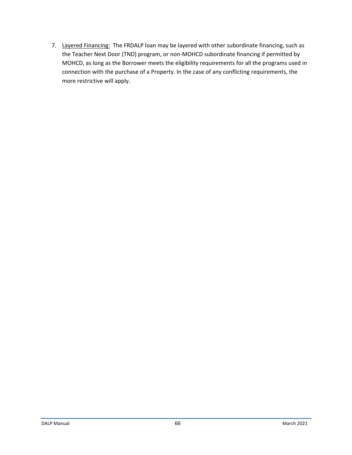7. Layered Financing: The FRDALP loan may be layered with other subordinate financing, such as the Teacher Next Door (TND) program, or non-MOHCD subordinate financing if permitted by MOHCD, as long as the Borrower meets the eligibility requirements for all the programs used in connection with the purchase of a Property. In the case of any conflicting requirements, the more restrictive will apply.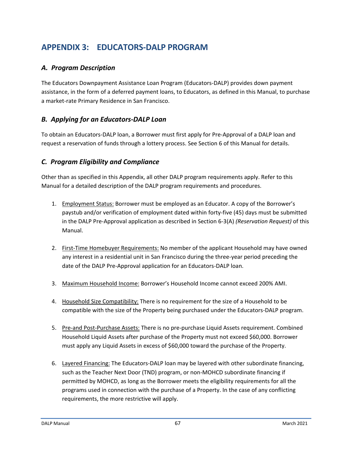# **APPENDIX 3: EDUCATORS-DALP PROGRAM**

# *A. Program Description*

The Educators Downpayment Assistance Loan Program (Educators-DALP) provides down payment assistance, in the form of a deferred payment loans, to Educators, as defined in this Manual, to purchase a market-rate Primary Residence in San Francisco.

## *B. Applying for an Educators-DALP Loan*

To obtain an Educators-DALP loan, a Borrower must first apply for Pre-Approval of a DALP loan and request a reservation of funds through a lottery process. See Section 6 of this Manual for details.

## *C. Program Eligibility and Compliance*

Other than as specified in this Appendix, all other DALP program requirements apply. Refer to this Manual for a detailed description of the DALP program requirements and procedures.

- 1. Employment Status: Borrower must be employed as an Educator. A copy of the Borrower's paystub and/or verification of employment dated within forty-five (45) days must be submitted in the DALP Pre-Approval application as described in Section 6-3(A) *(Reservation Request)* of this Manual.
- 2. First-Time Homebuyer Requirements: No member of the applicant Household may have owned any interest in a residential unit in San Francisco during the three-year period preceding the date of the DALP Pre-Approval application for an Educators-DALP loan.
- 3. Maximum Household Income: Borrower's Household Income cannot exceed 200% AMI.
- 4. Household Size Compatibility: There is no requirement for the size of a Household to be compatible with the size of the Property being purchased under the Educators-DALP program.
- 5. Pre-and Post-Purchase Assets: There is no pre-purchase Liquid Assets requirement. Combined Household Liquid Assets after purchase of the Property must not exceed \$60,000. Borrower must apply any Liquid Assets in excess of \$60,000 toward the purchase of the Property.
- 6. Layered Financing: The Educators-DALP loan may be layered with other subordinate financing, such as the Teacher Next Door (TND) program, or non-MOHCD subordinate financing if permitted by MOHCD, as long as the Borrower meets the eligibility requirements for all the programs used in connection with the purchase of a Property. In the case of any conflicting requirements, the more restrictive will apply.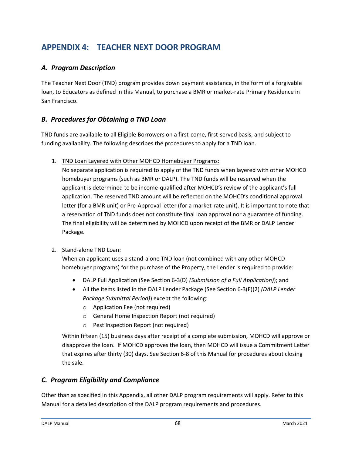# **APPENDIX 4: TEACHER NEXT DOOR PROGRAM**

# *A. Program Description*

The Teacher Next Door (TND) program provides down payment assistance, in the form of a forgivable loan, to Educators as defined in this Manual, to purchase a BMR or market-rate Primary Residence in San Francisco.

## *B. Procedures for Obtaining a TND Loan*

TND funds are available to all Eligible Borrowers on a first-come, first-served basis, and subject to funding availability. The following describes the procedures to apply for a TND loan.

1. TND Loan Layered with Other MOHCD Homebuyer Programs:

No separate application is required to apply of the TND funds when layered with other MOHCD homebuyer programs (such as BMR or DALP). The TND funds will be reserved when the applicant is determined to be income-qualified after MOHCD's review of the applicant's full application. The reserved TND amount will be reflected on the MOHCD's conditional approval letter (for a BMR unit) or Pre-Approval letter (for a market-rate unit). It is important to note that a reservation of TND funds does not constitute final loan approval nor a guarantee of funding. The final eligibility will be determined by MOHCD upon receipt of the BMR or DALP Lender Package.

#### 2. Stand-alone TND Loan:

When an applicant uses a stand-alone TND loan (not combined with any other MOHCD homebuyer programs) for the purchase of the Property, the Lender is required to provide:

- DALP Full Application (See Section 6-3(D) *(Submission of a Full Application)*); and
- All the items listed in the DALP Lender Package (See Section 6-3(F)(2) *(DALP Lender Package Submittal Period)*) except the following:
	- o Application Fee (not required)
	- o General Home Inspection Report (not required)
	- o Pest Inspection Report (not required)

Within fifteen (15) business days after receipt of a complete submission, MOHCD will approve or disapprove the loan. If MOHCD approves the loan, then MOHCD will issue a Commitment Letter that expires after thirty (30) days. See Section 6-8 of this Manual for procedures about closing the sale.

## *C. Program Eligibility and Compliance*

Other than as specified in this Appendix, all other DALP program requirements will apply. Refer to this Manual for a detailed description of the DALP program requirements and procedures.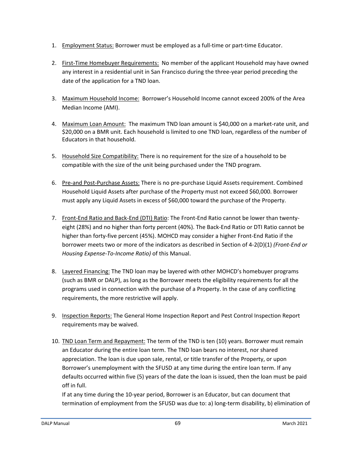- 1. Employment Status: Borrower must be employed as a full-time or part-time Educator.
- 2. First-Time Homebuyer Requirements: No member of the applicant Household may have owned any interest in a residential unit in San Francisco during the three-year period preceding the date of the application for a TND loan.
- 3. Maximum Household Income: Borrower's Household Income cannot exceed 200% of the Area Median Income (AMI).
- 4. Maximum Loan Amount: The maximum TND loan amount is \$40,000 on a market-rate unit, and \$20,000 on a BMR unit. Each household is limited to one TND loan, regardless of the number of Educators in that household.
- 5. Household Size Compatibility: There is no requirement for the size of a household to be compatible with the size of the unit being purchased under the TND program.
- 6. Pre-and Post-Purchase Assets: There is no pre-purchase Liquid Assets requirement. Combined Household Liquid Assets after purchase of the Property must not exceed \$60,000. Borrower must apply any Liquid Assets in excess of \$60,000 toward the purchase of the Property.
- 7. Front-End Ratio and Back-End (DTI) Ratio: The Front-End Ratio cannot be lower than twentyeight (28%) and no higher than forty percent (40%). The Back-End Ratio or DTI Ratio cannot be higher than forty-five percent (45%). MOHCD may consider a higher Front-End Ratio if the borrower meets two or more of the indicators as described in Section of 4-2(D)(1) *(Front-End or Housing Expense-To-Income Ratio)* of this Manual.
- 8. Layered Financing: The TND loan may be layered with other MOHCD's homebuyer programs (such as BMR or DALP), as long as the Borrower meets the eligibility requirements for all the programs used in connection with the purchase of a Property. In the case of any conflicting requirements, the more restrictive will apply.
- 9. Inspection Reports: The General Home Inspection Report and Pest Control Inspection Report requirements may be waived.
- 10. TND Loan Term and Repayment: The term of the TND is ten (10) years. Borrower must remain an Educator during the entire loan term. The TND loan bears no interest, nor shared appreciation. The loan is due upon sale, rental, or title transfer of the Property, or upon Borrower's unemployment with the SFUSD at any time during the entire loan term. If any defaults occurred within five (5) years of the date the loan is issued, then the loan must be paid off in full.

If at any time during the 10-year period, Borrower is an Educator, but can document that termination of employment from the SFUSD was due to: a) long-term disability, b) elimination of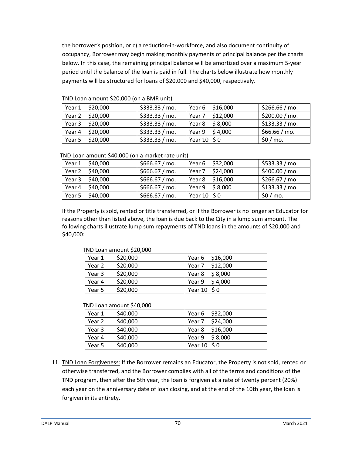the borrower's position, or c) a reduction-in-workforce, and also document continuity of occupancy, Borrower may begin making monthly payments of principal balance per the charts below. In this case, the remaining principal balance will be amortized over a maximum 5-year period until the balance of the loan is paid in full. The charts below illustrate how monthly payments will be structured for loans of \$20,000 and \$40,000, respectively.

|        | Year 1 \$20,000 | \$333.33 / mo. |                  | Year 6 \$16,000     | \$266.66 / mo. |
|--------|-----------------|----------------|------------------|---------------------|----------------|
|        | Year 2 \$20,000 | \$333.33 / mo. |                  | Year 7 \$12,000     | \$200.00 / mo. |
|        | Year 3 \$20,000 | \$333.33 / mo. |                  | Year 8 \$8,000      | \$133.33 / mo. |
| Year 4 | \$20,000        | \$333.33 / mo. |                  | Year $9 \leq 4,000$ | \$66.66 / mo.  |
| Year 5 | \$20,000        | \$333.33 / mo. | Year $10 \div 0$ |                     | \$0/m0.        |

TND Loan amount \$20,000 (on a BMR unit)

| TND Loan amount \$40,000 (on a market rate unit) |
|--------------------------------------------------|
|--------------------------------------------------|

| Year 1 \$40,000 | \$666.67 / mo. |             | Year 6 \$32,000     | \$533.33 / mo. |
|-----------------|----------------|-------------|---------------------|----------------|
| Year 2 \$40,000 | \$666.67 / mo. |             | Year 7 \$24,000     | \$400.00 / mo. |
| Year 3 \$40,000 | \$666.67 / mo. |             | Year 8 \$16,000     | \$266.67 / mo. |
| Year 4 \$40,000 | \$666.67 / mo. |             | Year $9 \leq 8,000$ | \$133.33 / mo. |
| Year 5 \$40,000 | \$666.67 / mo. | Year 10 \$0 |                     | \$0/mo.        |

If the Property is sold, rented or title transferred, or if the Borrower is no longer an Educator for reasons other than listed above, the loan is due back to the City in a lump sum amount. The following charts illustrate lump sum repayments of TND loans in the amounts of \$20,000 and \$40,000:

| TND Loan amount \$20,000 |          |                       |  |
|--------------------------|----------|-----------------------|--|
| Year 1                   | \$20,000 | Year 6 \$16,000       |  |
| Year 2                   | \$20,000 | Year 7 \$12,000       |  |
| Year 3                   | \$20,000 | Year 8 $$8,000$       |  |
| Year 4                   | \$20,000 | Year $9 \quad $4,000$ |  |
| Year 5                   | \$20,000 | Year 10 \$0           |  |

| TND Loan amount \$40,000 |          |                 |  |
|--------------------------|----------|-----------------|--|
| Year 1                   | \$40,000 | Year 6 \$32,000 |  |
| Year 2                   | \$40,000 | Year 7 \$24,000 |  |
| Year 3                   | \$40,000 | Year 8 \$16,000 |  |
| Year 4                   | \$40,000 | Year 9 \$8,000  |  |
| Year 5                   | \$40,000 | Year 10 \$0     |  |

11. TND Loan Forgiveness: If the Borrower remains an Educator, the Property is not sold, rented or otherwise transferred, and the Borrower complies with all of the terms and conditions of the TND program, then after the 5th year, the loan is forgiven at a rate of twenty percent (20%) each year on the anniversary date of loan closing, and at the end of the 10th year, the loan is forgiven in its entirety.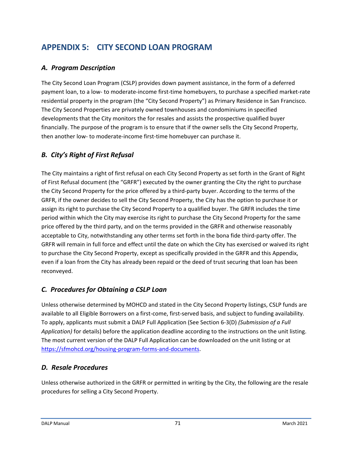# **APPENDIX 5: CITY SECOND LOAN PROGRAM**

# *A. Program Description*

The City Second Loan Program (CSLP) provides down payment assistance, in the form of a deferred payment loan, to a low- to moderate-income first-time homebuyers, to purchase a specified market-rate residential property in the program (the "City Second Property") as Primary Residence in San Francisco. The City Second Properties are privately owned townhouses and condominiums in specified developments that the City monitors the for resales and assists the prospective qualified buyer financially. The purpose of the program is to ensure that if the owner sells the City Second Property, then another low- to moderate-income first-time homebuyer can purchase it.

# *B. City's Right of First Refusal*

The City maintains a right of first refusal on each City Second Property as set forth in the Grant of Right of First Refusal document (the "GRFR") executed by the owner granting the City the right to purchase the City Second Property for the price offered by a third-party buyer. According to the terms of the GRFR, if the owner decides to sell the City Second Property, the City has the option to purchase it or assign its right to purchase the City Second Property to a qualified buyer. The GRFR includes the time period within which the City may exercise its right to purchase the City Second Property for the same price offered by the third party, and on the terms provided in the GRFR and otherwise reasonably acceptable to City, notwithstanding any other terms set forth in the bona fide third-party offer. The GRFR will remain in full force and effect until the date on which the City has exercised or waived its right to purchase the City Second Property, except as specifically provided in the GRFR and this Appendix, even if a loan from the City has already been repaid or the deed of trust securing that loan has been reconveyed.

# *C. Procedures for Obtaining a CSLP Loan*

Unless otherwise determined by MOHCD and stated in the City Second Property listings, CSLP funds are available to all Eligible Borrowers on a first-come, first-served basis, and subject to funding availability. To apply, applicants must submit a DALP Full Application (See Section 6-3(D) *(Submission of a Full Application)* for details) before the application deadline according to the instructions on the unit listing. The most current version of the DALP Full Application can be downloaded on the unit listing or at [https://sfmohcd.org/housing-program-forms-and-documents.](https://sfmohcd.org/housing-program-forms-and-documents)

# *D. Resale Procedures*

Unless otherwise authorized in the GRFR or permitted in writing by the City, the following are the resale procedures for selling a City Second Property.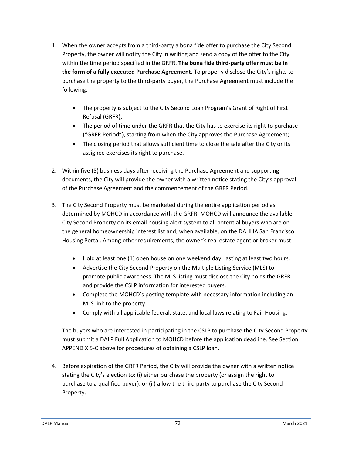- 1. When the owner accepts from a third-party a bona fide offer to purchase the City Second Property, the owner will notify the City in writing and send a copy of the offer to the City within the time period specified in the GRFR. **The bona fide third-party offer must be in the form of a fully executed Purchase Agreement.** To properly disclose the City's rights to purchase the property to the third-party buyer, the Purchase Agreement must include the following:
	- The property is subject to the City Second Loan Program's Grant of Right of First Refusal (GRFR);
	- The period of time under the GRFR that the City has to exercise its right to purchase ("GRFR Period"), starting from when the City approves the Purchase Agreement;
	- The closing period that allows sufficient time to close the sale after the City or its assignee exercises its right to purchase.
- 2. Within five (5) business days after receiving the Purchase Agreement and supporting documents, the City will provide the owner with a written notice stating the City's approval of the Purchase Agreement and the commencement of the GRFR Period.
- 3. The City Second Property must be marketed during the entire application period as determined by MOHCD in accordance with the GRFR. MOHCD will announce the available City Second Property on its email housing alert system to all potential buyers who are on the general homeownership interest list and, when available, on the DAHLIA San Francisco Housing Portal. Among other requirements, the owner's real estate agent or broker must:
	- Hold at least one (1) open house on one weekend day, lasting at least two hours.
	- Advertise the City Second Property on the Multiple Listing Service (MLS) to promote public awareness. The MLS listing must disclose the City holds the GRFR and provide the CSLP information for interested buyers.
	- Complete the MOHCD's posting template with necessary information including an MLS link to the property.
	- Comply with all applicable federal, state, and local laws relating to Fair Housing.

The buyers who are interested in participating in the CSLP to purchase the City Second Property must submit a DALP Full Application to MOHCD before the application deadline. See Section APPENDIX 5-C above for procedures of obtaining a CSLP loan.

4. Before expiration of the GRFR Period, the City will provide the owner with a written notice stating the City's election to: (i) either purchase the property (or assign the right to purchase to a qualified buyer), or (ii) allow the third party to purchase the City Second Property.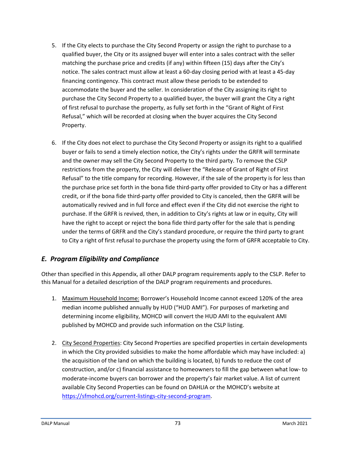- 5. If the City elects to purchase the City Second Property or assign the right to purchase to a qualified buyer, the City or its assigned buyer will enter into a sales contract with the seller matching the purchase price and credits (if any) within fifteen (15) days after the City's notice. The sales contract must allow at least a 60-day closing period with at least a 45-day financing contingency. This contract must allow these periods to be extended to accommodate the buyer and the seller. In consideration of the City assigning its right to purchase the City Second Property to a qualified buyer, the buyer will grant the City a right of first refusal to purchase the property, as fully set forth in the "Grant of Right of First Refusal," which will be recorded at closing when the buyer acquires the City Second Property.
- 6. If the City does not elect to purchase the City Second Property or assign its right to a qualified buyer or fails to send a timely election notice, the City's rights under the GRFR will terminate and the owner may sell the City Second Property to the third party. To remove the CSLP restrictions from the property, the City will deliver the "Release of Grant of Right of First Refusal" to the title company for recording. However, if the sale of the property is for less than the purchase price set forth in the bona fide third-party offer provided to City or has a different credit, or if the bona fide third-party offer provided to City is canceled, then the GRFR will be automatically revived and in full force and effect even if the City did not exercise the right to purchase. If the GRFR is revived, then, in addition to City's rights at law or in equity, City will have the right to accept or reject the bona fide third party offer for the sale that is pending under the terms of GRFR and the City's standard procedure, or require the third party to grant to City a right of first refusal to purchase the property using the form of GRFR acceptable to City.

# *E. Program Eligibility and Compliance*

Other than specified in this Appendix, all other DALP program requirements apply to the CSLP. Refer to this Manual for a detailed description of the DALP program requirements and procedures.

- 1. Maximum Household Income: Borrower's Household Income cannot exceed 120% of the area median income published annually by HUD ("HUD AMI"). For purposes of marketing and determining income eligibility, MOHCD will convert the HUD AMI to the equivalent AMI published by MOHCD and provide such information on the CSLP listing.
- 2. City Second Properties: City Second Properties are specified properties in certain developments in which the City provided subsidies to make the home affordable which may have included: a) the acquisition of the land on which the building is located, b) funds to reduce the cost of construction, and/or c) financial assistance to homeowners to fill the gap between what low- to moderate-income buyers can borrower and the property's fair market value. A list of current available City Second Properties can be found on DAHLIA or the MOHCD's website at [https://sfmohcd.org/current-listings-city-second-program.](https://sfmohcd.org/current-listings-city-second-program)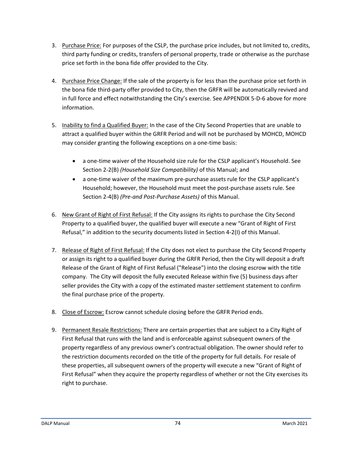- 3. Purchase Price: For purposes of the CSLP, the purchase price includes, but not limited to, credits, third party funding or credits, transfers of personal property, trade or otherwise as the purchase price set forth in the bona fide offer provided to the City.
- 4. Purchase Price Change: If the sale of the property is for less than the purchase price set forth in the bona fide third-party offer provided to City, then the GRFR will be automatically revived and in full force and effect notwithstanding the City's exercise. See APPENDIX 5-D-6 above for more information.
- 5. Inability to find a Qualified Buyer: In the case of the City Second Properties that are unable to attract a qualified buyer within the GRFR Period and will not be purchased by MOHCD, MOHCD may consider granting the following exceptions on a one-time basis:
	- a one-time waiver of the Household size rule for the CSLP applicant's Household. See Section 2-2(B) *(Household Size Compatibility)* of this Manual; and
	- a one-time waiver of the maximum pre-purchase assets rule for the CSLP applicant's Household; however, the Household must meet the post-purchase assets rule. See Section 2-4(B) *(Pre-and Post-Purchase Assets)* of this Manual.
- 6. New Grant of Right of First Refusal: If the City assigns its rights to purchase the City Second Property to a qualified buyer, the qualified buyer will execute a new "Grant of Right of First Refusal," in addition to the security documents listed in Section 4-2(I) of this Manual.
- 7. Release of Right of First Refusal: If the City does not elect to purchase the City Second Property or assign its right to a qualified buyer during the GRFR Period, then the City will deposit a draft Release of the Grant of Right of First Refusal ("Release") into the closing escrow with the title company. The City will deposit the fully executed Release within five (5) business days after seller provides the City with a copy of the estimated master settlement statement to confirm the final purchase price of the property.
- 8. Close of Escrow: Escrow cannot schedule closing before the GRFR Period ends.
- 9. Permanent Resale Restrictions: There are certain properties that are subject to a City Right of First Refusal that runs with the land and is enforceable against subsequent owners of the property regardless of any previous owner's contractual obligation. The owner should refer to the restriction documents recorded on the title of the property for full details. For resale of these properties, all subsequent owners of the property will execute a new "Grant of Right of First Refusal" when they acquire the property regardless of whether or not the City exercises its right to purchase.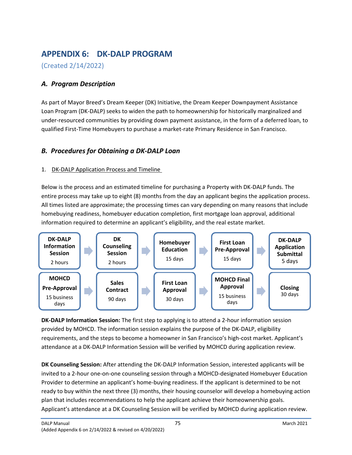# **APPENDIX 6: DK-DALP PROGRAM**

(Created 2/14/2022)

# *A. Program Description*

As part of Mayor Breed's Dream Keeper (DK) Initiative, the Dream Keeper Downpayment Assistance Loan Program (DK-DALP) seeks to widen the path to homeownership for historically marginalized and under-resourced communities by providing down payment assistance, in the form of a deferred loan, to qualified First-Time Homebuyers to purchase a market-rate Primary Residence in San Francisco.

# *B. Procedures for Obtaining a DK-DALP Loan*

## 1. DK-DALP Application Process and Timeline

Below is the process and an estimated timeline for purchasing a Property with DK-DALP funds. The entire process may take up to eight (8) months from the day an applicant begins the application process. All times listed are approximate; the processing times can vary depending on many reasons that include homebuying readiness, homebuyer education completion, first mortgage loan approval, additional information required to determine an applicant's eligibility, and the real estate market.



**DK-DALP Information Session:** The first step to applying is to attend a 2-hour information session provided by MOHCD. The information session explains the purpose of the DK-DALP, eligibility requirements, and the steps to become a homeowner in San Francisco's high-cost market. Applicant's attendance at a DK-DALP Information Session will be verified by MOHCD during application review.

**DK Counseling Session:** After attending the DK-DALP Information Session, interested applicants will be invited to a 2-hour one-on-one counseling session through a MOHCD-designated Homebuyer Education Provider to determine an applicant's home-buying readiness. If the applicant is determined to be not ready to buy within the next three (3) months, their housing counselor will develop a homebuying action plan that includes recommendations to help the applicant achieve their homeownership goals. Applicant's attendance at a DK Counseling Session will be verified by MOHCD during application review.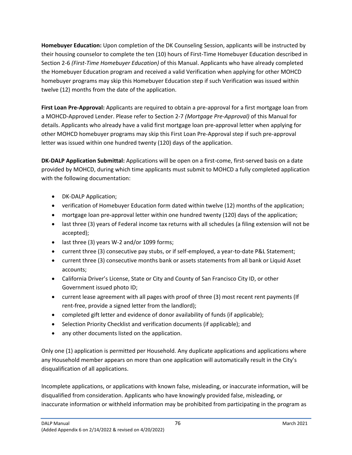**Homebuyer Education:** Upon completion of the DK Counseling Session, applicants will be instructed by their housing counselor to complete the ten (10) hours of First-Time Homebuyer Education described in Section 2-6 *(First-Time Homebuyer Education)* of this Manual. Applicants who have already completed the Homebuyer Education program and received a valid Verification when applying for other MOHCD homebuyer programs may skip this Homebuyer Education step if such Verification was issued within twelve (12) months from the date of the application.

**First Loan Pre-Approval:** Applicants are required to obtain a pre-approval for a first mortgage loan from a MOHCD-Approved Lender. Please refer to Section 2-7 *(Mortgage Pre-Approval)* of this Manual for details. Applicants who already have a valid first mortgage loan pre-approval letter when applying for other MOHCD homebuyer programs may skip this First Loan Pre-Approval step if such pre-approval letter was issued within one hundred twenty (120) days of the application.

**DK-DALP Application Submittal:** Applications will be open on a first-come, first-served basis on a date provided by MOHCD, during which time applicants must submit to MOHCD a fully completed application with the following documentation:

- DK-DALP Application;
- verification of Homebuyer Education form dated within twelve (12) months of the application;
- mortgage loan pre-approval letter within one hundred twenty (120) days of the application;
- last three (3) years of Federal income tax returns with all schedules (a filing extension will not be accepted);
- last three (3) years W-2 and/or 1099 forms;
- current three (3) consecutive pay stubs, or if self-employed, a year-to-date P&L Statement;
- current three (3) consecutive months bank or assets statements from all bank or Liquid Asset accounts;
- California Driver's License, State or City and County of San Francisco City ID, or other Government issued photo ID;
- current lease agreement with all pages with proof of three (3) most recent rent payments (If rent-free, provide a signed letter from the landlord);
- completed gift letter and evidence of donor availability of funds (if applicable);
- Selection Priority Checklist and verification documents (if applicable); and
- any other documents listed on the application.

Only one (1) application is permitted per Household. Any duplicate applications and applications where any Household member appears on more than one application will automatically result in the City's disqualification of all applications.

Incomplete applications, or applications with known false, misleading, or inaccurate information, will be disqualified from consideration. Applicants who have knowingly provided false, misleading, or inaccurate information or withheld information may be prohibited from participating in the program as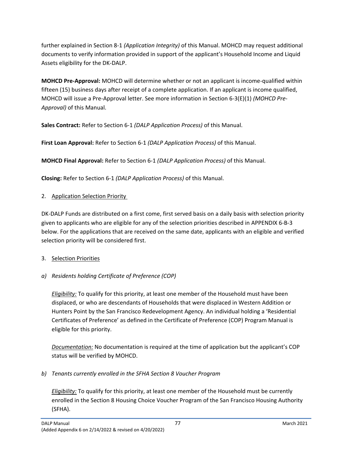further explained in Section 8-1 *(Application Integrity)* of this Manual. MOHCD may request additional documents to verify information provided in support of the applicant's Household Income and Liquid Assets eligibility for the DK-DALP.

**MOHCD Pre-Approval:** MOHCD will determine whether or not an applicant is income-qualified within fifteen (15) business days after receipt of a complete application. If an applicant is income qualified, MOHCD will issue a Pre-Approval letter. See more information in Section 6-3(E)(1) *(MOHCD Pre-Approval)* of this Manual.

**Sales Contract:** Refer to Section 6-1 *(DALP Application Process)* of this Manual.

**First Loan Approval:** Refer to Section 6-1 *(DALP Application Process)* of this Manual.

**MOHCD Final Approval:** Refer to Section 6-1 *(DALP Application Process)* of this Manual.

**Closing:** Refer to Section 6-1 *(DALP Application Process)* of this Manual.

## 2. Application Selection Priority

DK-DALP Funds are distributed on a first come, first served basis on a daily basis with selection priority given to applicants who are eligible for any of the selection priorities described in APPENDIX 6-B-3 below. For the applications that are received on the same date, applicants with an eligible and verified selection priority will be considered first.

## 3. Selection Priorities

# *a) Residents holding Certificate of Preference (COP)*

*Eligibility:* To qualify for this priority, at least one member of the Household must have been displaced, or who are descendants of Households that were displaced in Western Addition or Hunters Point by the San Francisco Redevelopment Agency. An individual holding a 'Residential Certificates of Preference' as defined in the Certificate of Preference (COP) Program Manual is eligible for this priority.

*Documentation:* No documentation is required at the time of application but the applicant's COP status will be verified by MOHCD.

*b) Tenants currently enrolled in the SFHA Section 8 Voucher Program* 

*Eligibility:* To qualify for this priority, at least one member of the Household must be currently enrolled in the Section 8 Housing Choice Voucher Program of the San Francisco Housing Authority (SFHA).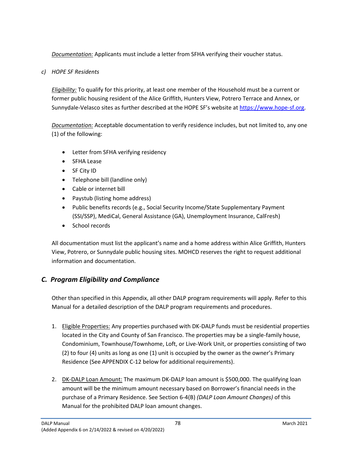*Documentation:* Applicants must include a letter from SFHA verifying their voucher status.

## *c) HOPE SF Residents*

*Eligibility:* To qualify for this priority, at least one member of the Household must be a current or former public housing resident of the Alice Griffith, Hunters View, Potrero Terrace and Annex, or Sunnydale-Velasco sites as further described at the HOPE SF's website at [https://www.hope-sf.org.](https://www.hope-sf.org/)

*Documentation:* Acceptable documentation to verify residence includes, but not limited to, any one (1) of the following:

- Letter from SFHA verifying residency
- SFHA Lease
- SF City ID
- Telephone bill (landline only)
- Cable or internet bill
- Paystub (listing home address)
- Public benefits records (e.g., Social Security Income/State Supplementary Payment (SSI/SSP), MediCal, General Assistance (GA), Unemployment Insurance, CalFresh)
- School records

All documentation must list the applicant's name and a home address within Alice Griffith, Hunters View, Potrero, or Sunnydale public housing sites. MOHCD reserves the right to request additional information and documentation.

# *C. Program Eligibility and Compliance*

Other than specified in this Appendix, all other DALP program requirements will apply. Refer to this Manual for a detailed description of the DALP program requirements and procedures.

- 1. Eligible Properties: Any properties purchased with DK-DALP funds must be residential properties located in the City and County of San Francisco. The properties may be a single-family house, Condominium, Townhouse/Townhome, Loft, or Live-Work Unit, or properties consisting of two (2) to four (4) units as long as one (1) unit is occupied by the owner as the owner's Primary Residence (See APPENDIX C-12 below for additional requirements).
- 2. DK-DALP Loan Amount: The maximum DK-DALP loan amount is \$500,000. The qualifying loan amount will be the minimum amount necessary based on Borrower's financial needs in the purchase of a Primary Residence. See Section 6-4(B) *(DALP Loan Amount Changes)* of this Manual for the prohibited DALP loan amount changes.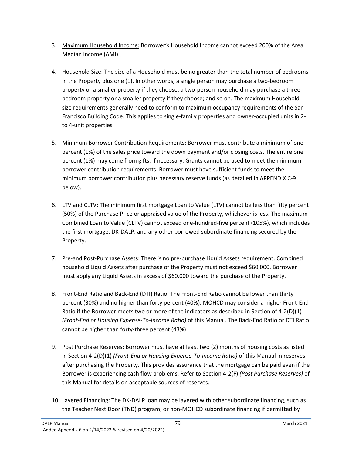- 3. Maximum Household Income: Borrower's Household Income cannot exceed 200% of the Area Median Income (AMI).
- 4. Household Size: The size of a Household must be no greater than the total number of bedrooms in the Property plus one (1). In other words, a single person may purchase a two-bedroom property or a smaller property if they choose; a two-person household may purchase a threebedroom property or a smaller property if they choose; and so on. The maximum Household size requirements generally need to conform to maximum occupancy requirements of the San Francisco Building Code. This applies to single-family properties and owner-occupied units in 2 to 4-unit properties.
- 5. Minimum Borrower Contribution Requirements: Borrower must contribute a minimum of one percent (1%) of the sales price toward the down payment and/or closing costs. The entire one percent (1%) may come from gifts, if necessary. Grants cannot be used to meet the minimum borrower contribution requirements. Borrower must have sufficient funds to meet the minimum borrower contribution plus necessary reserve funds (as detailed in APPENDIX C-9 below).
- 6. LTV and CLTV: The minimum first mortgage Loan to Value (LTV) cannot be less than fifty percent (50%) of the Purchase Price or appraised value of the Property, whichever is less. The maximum Combined Loan to Value (CLTV) cannot exceed one-hundred-five percent (105%), which includes the first mortgage, DK-DALP, and any other borrowed subordinate financing secured by the Property.
- 7. Pre-and Post-Purchase Assets: There is no pre-purchase Liquid Assets requirement. Combined household Liquid Assets after purchase of the Property must not exceed \$60,000. Borrower must apply any Liquid Assets in excess of \$60,000 toward the purchase of the Property.
- 8. Front-End Ratio and Back-End (DTI) Ratio: The Front-End Ratio cannot be lower than thirty percent (30%) and no higher than forty percent (40%). MOHCD may consider a higher Front-End Ratio if the Borrower meets two or more of the indicators as described in Section of 4-2(D)(1) *(Front-End or Housing Expense-To-Income Ratio)* of this Manual. The Back-End Ratio or DTI Ratio cannot be higher than forty-three percent (43%).
- 9. Post Purchase Reserves: Borrower must have at least two (2) months of housing costs as listed in Section 4-2(D)(1) *(Front-End or Housing Expense-To-Income Ratio)* of this Manual in reserves after purchasing the Property. This provides assurance that the mortgage can be paid even if the Borrower is experiencing cash flow problems. Refer to Section 4-2(F) *(Post Purchase Reserves)* of this Manual for details on acceptable sources of reserves.
- 10. Layered Financing: The DK-DALP loan may be layered with other subordinate financing, such as the Teacher Next Door (TND) program, or non-MOHCD subordinate financing if permitted by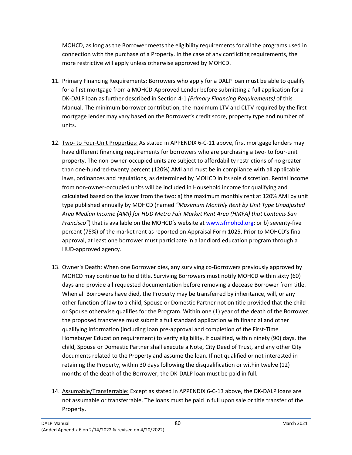MOHCD, as long as the Borrower meets the eligibility requirements for all the programs used in connection with the purchase of a Property. In the case of any conflicting requirements, the more restrictive will apply unless otherwise approved by MOHCD.

- 11. Primary Financing Requirements: Borrowers who apply for a DALP loan must be able to qualify for a first mortgage from a MOHCD-Approved Lender before submitting a full application for a DK-DALP loan as further described in Section 4-1 *(Primary Financing Requirements)* of this Manual. The minimum borrower contribution, the maximum LTV and CLTV required by the first mortgage lender may vary based on the Borrower's credit score, property type and number of units.
- 12. Two- to Four-Unit Properties: As stated in APPENDIX 6-C-11 above, first mortgage lenders may have different financing requirements for borrowers who are purchasing a two- to four-unit property. The non-owner-occupied units are subject to affordability restrictions of no greater than one-hundred-twenty percent (120%) AMI and must be in compliance with all applicable laws, ordinances and regulations, as determined by MOHCD in its sole discretion. Rental income from non-owner-occupied units will be included in Household income for qualifying and calculated based on the lower from the two: a) the maximum monthly rent at 120% AMI by unit type published annually by MOHCD (named *"Maximum Monthly Rent by Unit Type Unadjusted Area Median Income (AMI) for HUD Metro Fair Market Rent Area (HMFA) that Contains San Francisco"*) that is available on the MOHCD's website at [www.sfmohcd.org;](http://www.sfmohcd.org/) or b) seventy-five percent (75%) of the market rent as reported on Appraisal Form 1025. Prior to MOHCD's final approval, at least one borrower must participate in a landlord education program through a HUD-approved agency.
- 13. Owner's Death: When one Borrower dies, any surviving co-Borrowers previously approved by MOHCD may continue to hold title. Surviving Borrowers must notify MOHCD within sixty (60) days and provide all requested documentation before removing a decease Borrower from title. When all Borrowers have died, the Property may be transferred by inheritance, will, or any other function of law to a child, Spouse or Domestic Partner not on title provided that the child or Spouse otherwise qualifies for the Program. Within one (1) year of the death of the Borrower, the proposed transferee must submit a full standard application with financial and other qualifying information (including loan pre-approval and completion of the First-Time Homebuyer Education requirement) to verify eligibility. If qualified, within ninety (90) days, the child, Spouse or Domestic Partner shall execute a Note, City Deed of Trust, and any other City documents related to the Property and assume the loan. If not qualified or not interested in retaining the Property, within 30 days following the disqualification or within twelve (12) months of the death of the Borrower, the DK-DALP loan must be paid in full.
- 14. Assumable/Transferrable: Except as stated in APPENDIX 6-C-13 above, the DK-DALP loans are not assumable or transferrable. The loans must be paid in full upon sale or title transfer of the Property.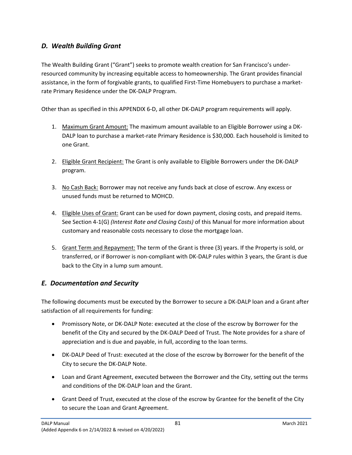# *D. Wealth Building Grant*

The Wealth Building Grant ("Grant") seeks to promote wealth creation for San Francisco's underresourced community by increasing equitable access to homeownership. The Grant provides financial assistance, in the form of forgivable grants, to qualified First-Time Homebuyers to purchase a marketrate Primary Residence under the DK-DALP Program.

Other than as specified in this APPENDIX 6-D, all other DK-DALP program requirements will apply.

- 1. Maximum Grant Amount: The maximum amount available to an Eligible Borrower using a DK-DALP loan to purchase a market-rate Primary Residence is \$30,000. Each household is limited to one Grant.
- 2. Eligible Grant Recipient: The Grant is only available to Eligible Borrowers under the DK-DALP program.
- 3. No Cash Back: Borrower may not receive any funds back at close of escrow. Any excess or unused funds must be returned to MOHCD.
- 4. Eligible Uses of Grant: Grant can be used for down payment, closing costs, and prepaid items. See Section 4-1(G) *(Interest Rate and Closing Costs)* of this Manual for more information about customary and reasonable costs necessary to close the mortgage loan.
- 5. Grant Term and Repayment: The term of the Grant is three (3) years. If the Property is sold, or transferred, or if Borrower is non-compliant with DK-DALP rules within 3 years, the Grant is due back to the City in a lump sum amount.

# *E. Documentation and Security*

The following documents must be executed by the Borrower to secure a DK-DALP loan and a Grant after satisfaction of all requirements for funding:

- Promissory Note, or DK-DALP Note: executed at the close of the escrow by Borrower for the benefit of the City and secured by the DK-DALP Deed of Trust. The Note provides for a share of appreciation and is due and payable, in full, according to the loan terms.
- DK-DALP Deed of Trust: executed at the close of the escrow by Borrower for the benefit of the City to secure the DK-DALP Note.
- Loan and Grant Agreement, executed between the Borrower and the City, setting out the terms and conditions of the DK-DALP loan and the Grant.
- Grant Deed of Trust, executed at the close of the escrow by Grantee for the benefit of the City to secure the Loan and Grant Agreement.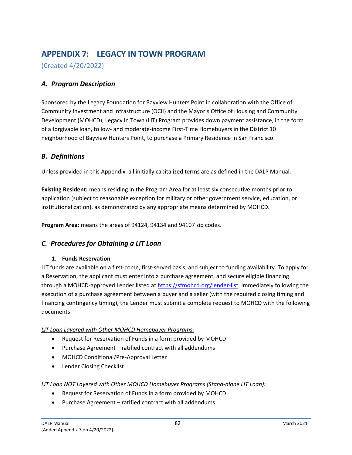# **APPENDIX 7: LEGACY IN TOWN PROGRAM**

(Created 4/20/2022)

# *A. Program Description*

Sponsored by the Legacy Foundation for Bayview Hunters Point in collaboration with the Office of Community Investment and Infrastructure (OCII) and the Mayor's Office of Housing and Community Development (MOHCD), Legacy In Town (LIT) Program provides down payment assistance, in the form of a forgivable loan, to low- and moderate-income First-Time Homebuyers in the District 10 neighborhood of Bayview Hunters Point, to purchase a Primary Residence in San Francisco.

# *B. Definitions*

Unless provided in this Appendix, all initially capitalized terms are as defined in the DALP Manual.

**Existing Resident:** means residing in the Program Area for at least six consecutive months prior to application (subject to reasonable exception for military or other government service, education, or institutionalization), as demonstrated by any appropriate means determined by MOHCD.

**Program Area:** means the areas of 94124, 94134 and 94107 zip codes.

# *C. Procedures for Obtaining a LIT Loan*

### **1. Funds Reservation**

LIT funds are available on a first-come, first-served basis, and subject to funding availability. To apply for a Reservation, the applicant must enter into a purchase agreement, and secure eligible financing through a MOHCD-approved Lender listed at [https://sfmohcd.org/lender-list.](https://sfmohcd.org/lender-list) Immediately following the execution of a purchase agreement between a buyer and a seller (with the required closing timing and financing contingency timing), the Lender must submit a complete request to MOHCD with the following documents:

### *LIT Loan Layered with Other MOHCD Homebuyer Programs:*

- Request for Reservation of Funds in a form provided by MOHCD
- Purchase Agreement ratified contract with all addendums
- MOHCD Conditional/Pre-Approval Letter
- Lender Closing Checklist

### *LIT Loan NOT Layered with Other MOHCD Homebuyer Programs (Stand-alone LIT Loan):*

- Request for Reservation of Funds in a form provided by MOHCD
- Purchase Agreement ratified contract with all addendums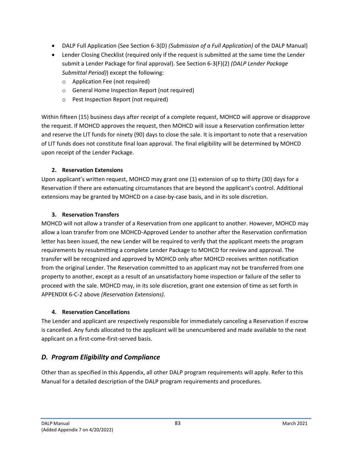- DALP Full Application (See Section 6-3(D) *(Submission of a Full Application)* of the DALP Manual)
- Lender Closing Checklist (required only if the request is submitted at the same time the Lender submit a Lender Package for final approval). See Section 6-3(F)(2) *(DALP Lender Package Submittal Period)*) except the following:
	- o Application Fee (not required)
	- o General Home Inspection Report (not required)
	- o Pest Inspection Report (not required)

Within fifteen (15) business days after receipt of a complete request, MOHCD will approve or disapprove the request. If MOHCD approves the request, then MOHCD will issue a Reservation confirmation letter and reserve the LIT funds for ninety (90) days to close the sale. It is important to note that a reservation of LIT funds does not constitute final loan approval. The final eligibility will be determined by MOHCD upon receipt of the Lender Package.

## **2. Reservation Extensions**

Upon applicant's written request, MOHCD may grant one (1) extension of up to thirty (30) days for a Reservation if there are extenuating circumstances that are beyond the applicant's control. Additional extensions may be granted by MOHCD on a case-by-case basis, and in its sole discretion.

## **3. Reservation Transfers**

MOHCD will not allow a transfer of a Reservation from one applicant to another. However, MOHCD may allow a loan transfer from one MOHCD-Approved Lender to another after the Reservation confirmation letter has been issued, the new Lender will be required to verify that the applicant meets the program requirements by resubmitting a complete Lender Package to MOHCD for review and approval. The transfer will be recognized and approved by MOHCD only after MOHCD receives written notification from the original Lender. The Reservation committed to an applicant may not be transferred from one property to another, except as a result of an unsatisfactory home inspection or failure of the seller to proceed with the sale. MOHCD may, in its sole discretion, grant one extension of time as set forth in APPENDIX 6-C-2 above *(Reservation Extensions)*.

## **4. Reservation Cancellations**

The Lender and applicant are respectively responsible for immediately canceling a Reservation if escrow is cancelled. Any funds allocated to the applicant will be unencumbered and made available to the next applicant on a first-come-first-served basis.

# *D. Program Eligibility and Compliance*

Other than as specified in this Appendix, all other DALP program requirements will apply. Refer to this Manual for a detailed description of the DALP program requirements and procedures.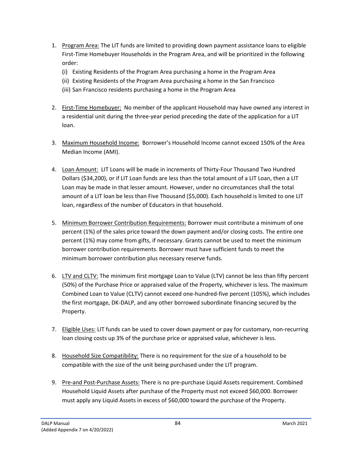- 1. Program Area: The LIT funds are limited to providing down payment assistance loans to eligible First-Time Homebuyer Households in the Program Area, and will be prioritized in the following order:
	- (i) Existing Residents of the Program Area purchasing a home in the Program Area
	- (ii) Existing Residents of the Program Area purchasing a home in the San Francisco
	- (iii) San Francisco residents purchasing a home in the Program Area
- 2. First-Time Homebuyer: No member of the applicant Household may have owned any interest in a residential unit during the three-year period preceding the date of the application for a LIT loan.
- 3. Maximum Household Income: Borrower's Household Income cannot exceed 150% of the Area Median Income (AMI).
- 4. Loan Amount: LIT Loans will be made in increments of Thirty-Four Thousand Two Hundred Dollars (\$34,200), or if LIT Loan funds are less than the total amount of a LIT Loan, then a LIT Loan may be made in that lesser amount. However, under no circumstances shall the total amount of a LIT loan be less than Five Thousand (\$5,000). Each household is limited to one LIT loan, regardless of the number of Educators in that household.
- 5. Minimum Borrower Contribution Requirements: Borrower must contribute a minimum of one percent (1%) of the sales price toward the down payment and/or closing costs. The entire one percent (1%) may come from gifts, if necessary. Grants cannot be used to meet the minimum borrower contribution requirements. Borrower must have sufficient funds to meet the minimum borrower contribution plus necessary reserve funds.
- 6. LTV and CLTV: The minimum first mortgage Loan to Value (LTV) cannot be less than fifty percent (50%) of the Purchase Price or appraised value of the Property, whichever is less. The maximum Combined Loan to Value (CLTV) cannot exceed one-hundred-five percent (105%), which includes the first mortgage, DK-DALP, and any other borrowed subordinate financing secured by the Property.
- 7. Eligible Uses: LIT funds can be used to cover down payment or pay for customary, non-recurring loan closing costs up 3% of the purchase price or appraised value, whichever is less.
- 8. Household Size Compatibility: There is no requirement for the size of a household to be compatible with the size of the unit being purchased under the LIT program.
- 9. Pre-and Post-Purchase Assets: There is no pre-purchase Liquid Assets requirement. Combined Household Liquid Assets after purchase of the Property must not exceed \$60,000. Borrower must apply any Liquid Assets in excess of \$60,000 toward the purchase of the Property.